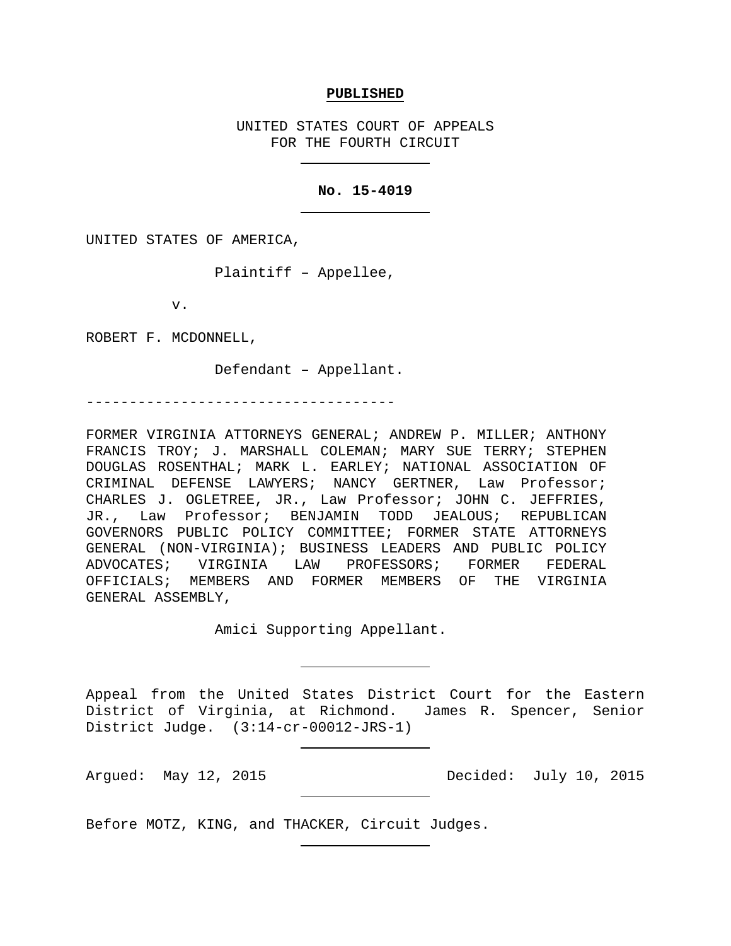#### **PUBLISHED**

UNITED STATES COURT OF APPEALS FOR THE FOURTH CIRCUIT

### **No. 15-4019**

UNITED STATES OF AMERICA,

Plaintiff – Appellee,

v.

ROBERT F. MCDONNELL,

Defendant – Appellant.

------------------------------------

FORMER VIRGINIA ATTORNEYS GENERAL; ANDREW P. MILLER; ANTHONY FRANCIS TROY; J. MARSHALL COLEMAN; MARY SUE TERRY; STEPHEN DOUGLAS ROSENTHAL; MARK L. EARLEY; NATIONAL ASSOCIATION OF CRIMINAL DEFENSE LAWYERS; NANCY GERTNER, Law Professor; CHARLES J. OGLETREE, JR., Law Professor; JOHN C. JEFFRIES, JR., Law Professor; BENJAMIN TODD JEALOUS; REPUBLICAN GOVERNORS PUBLIC POLICY COMMITTEE; FORMER STATE ATTORNEYS GENERAL (NON-VIRGINIA); BUSINESS LEADERS AND PUBLIC POLICY ADVOCATES; VIRGINIA LAW PROFESSORS; FORMER FEDERAL OFFICIALS; MEMBERS AND FORMER MEMBERS OF THE VIRGINIA GENERAL ASSEMBLY,

Amici Supporting Appellant.

Appeal from the United States District Court for the Eastern District of Virginia, at Richmond. James R. Spencer, Senior District Judge. (3:14-cr-00012-JRS-1)

Argued: May 12, 2015 Decided: July 10, 2015

Before MOTZ, KING, and THACKER, Circuit Judges.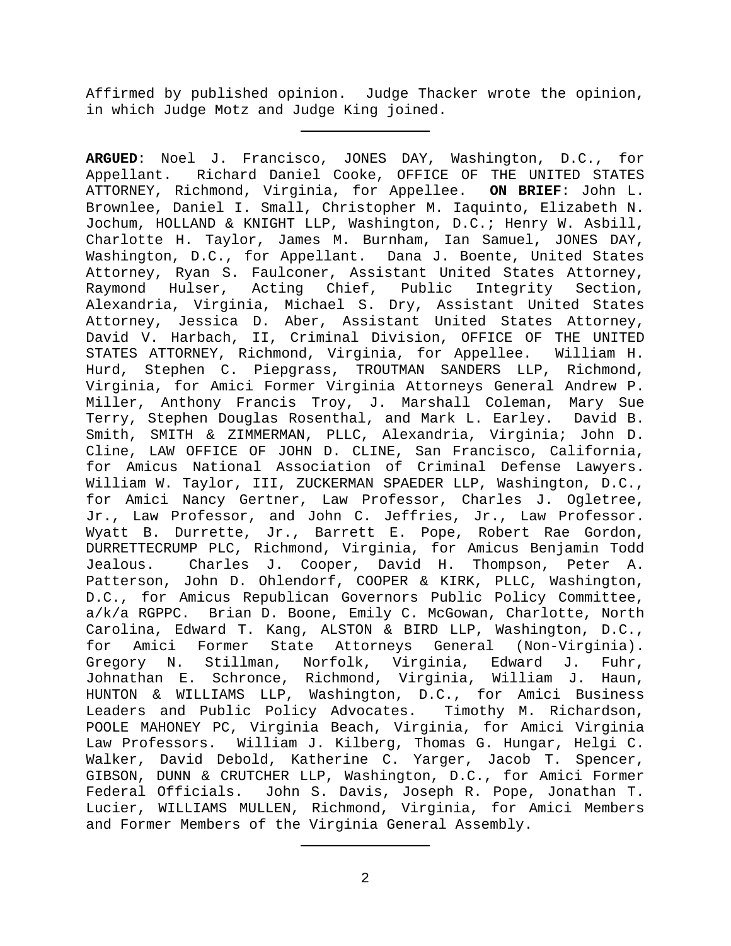Affirmed by published opinion. Judge Thacker wrote the opinion, in which Judge Motz and Judge King joined.

**ARGUED**: Noel J. Francisco, JONES DAY, Washington, D.C., for Appellant. Richard Daniel Cooke, OFFICE OF THE UNITED STATES ATTORNEY, Richmond, Virginia, for Appellee. **ON BRIEF**: John L. Brownlee, Daniel I. Small, Christopher M. Iaquinto, Elizabeth N. Jochum, HOLLAND & KNIGHT LLP, Washington, D.C.; Henry W. Asbill, Charlotte H. Taylor, James M. Burnham, Ian Samuel, JONES DAY, Washington, D.C., for Appellant. Dana J. Boente, United States Attorney, Ryan S. Faulconer, Assistant United States Attorney,<br>Raymond Hulser, Acting Chief, Public Integrity Section, Raymond Hulser, Acting Chief, Public Integrity Section, Alexandria, Virginia, Michael S. Dry, Assistant United States Attorney, Jessica D. Aber, Assistant United States Attorney, David V. Harbach, II, Criminal Division, OFFICE OF THE UNITED STATES ATTORNEY, Richmond, Virginia, for Appellee. William H. Hurd, Stephen C. Piepgrass, TROUTMAN SANDERS LLP, Richmond, Virginia, for Amici Former Virginia Attorneys General Andrew P. Miller, Anthony Francis Troy, J. Marshall Coleman, Mary Sue Terry, Stephen Douglas Rosenthal, and Mark L. Earley. David B. Smith, SMITH & ZIMMERMAN, PLLC, Alexandria, Virginia; John D. Cline, LAW OFFICE OF JOHN D. CLINE, San Francisco, California, for Amicus National Association of Criminal Defense Lawyers. William W. Taylor, III, ZUCKERMAN SPAEDER LLP, Washington, D.C., for Amici Nancy Gertner, Law Professor, Charles J. Ogletree, Jr., Law Professor, and John C. Jeffries, Jr., Law Professor. Wyatt B. Durrette, Jr., Barrett E. Pope, Robert Rae Gordon, DURRETTECRUMP PLC, Richmond, Virginia, for Amicus Benjamin Todd Charles J. Cooper, David H. Thompson, Peter A. Patterson, John D. Ohlendorf, COOPER & KIRK, PLLC, Washington, D.C., for Amicus Republican Governors Public Policy Committee, a/k/a RGPPC. Brian D. Boone, Emily C. McGowan, Charlotte, North Carolina, Edward T. Kang, ALSTON & BIRD LLP, Washington, D.C.,<br>for Amici Former State Attorneys General (Non-Virginia). for Amici Former State Attorneys General (Non-Vir<br>Gregory N. Stillman, Norfolk, Virginia, Edward J. Virginia, Edward J. Fuhr, Johnathan E. Schronce, Richmond, Virginia, William J. Haun, HUNTON & WILLIAMS LLP, Washington, D.C., for Amici Business Leaders and Public Policy Advocates. Timothy M. Richardson, POOLE MAHONEY PC, Virginia Beach, Virginia, for Amici Virginia Law Professors. William J. Kilberg, Thomas G. Hungar, Helgi C. Walker, David Debold, Katherine C. Yarger, Jacob T. Spencer, GIBSON, DUNN & CRUTCHER LLP, Washington, D.C., for Amici Former<br>Federal Officials. John S. Davis, Joseph R. Pope, Jonathan T. John S. Davis, Joseph R. Pope, Jonathan T. Lucier, WILLIAMS MULLEN, Richmond, Virginia, for Amici Members and Former Members of the Virginia General Assembly.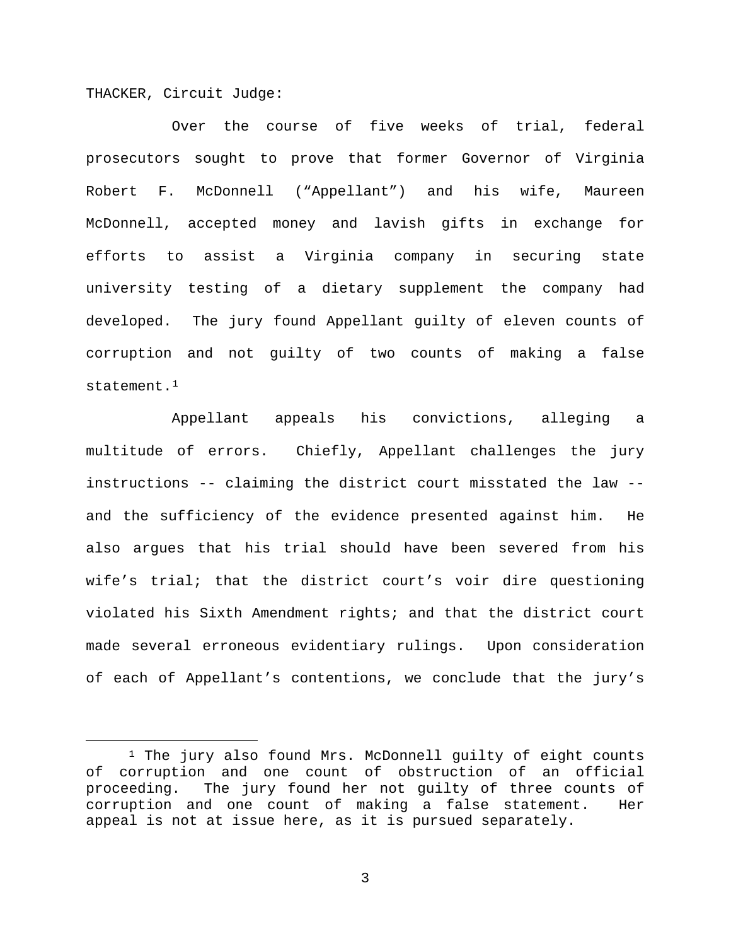THACKER, Circuit Judge:

Over the course of five weeks of trial, federal prosecutors sought to prove that former Governor of Virginia Robert F. McDonnell ("Appellant") and his wife, Maureen McDonnell, accepted money and lavish gifts in exchange for efforts to assist a Virginia company in securing state university testing of a dietary supplement the company had developed. The jury found Appellant guilty of eleven counts of corruption and not guilty of two counts of making a false statement.[1](#page-2-0)

Appellant appeals his convictions, alleging a multitude of errors. Chiefly, Appellant challenges the jury instructions -- claiming the district court misstated the law - and the sufficiency of the evidence presented against him. He also argues that his trial should have been severed from his wife's trial; that the district court's voir dire questioning violated his Sixth Amendment rights; and that the district court made several erroneous evidentiary rulings. Upon consideration of each of Appellant's contentions, we conclude that the jury's

<span id="page-2-0"></span><sup>&</sup>lt;sup>1</sup> The jury also found Mrs. McDonnell guilty of eight counts of corruption and one count of obstruction of an official proceeding. The jury found her not guilty of three counts of corruption and one count of making a false statement. Her appeal is not at issue here, as it is pursued separately.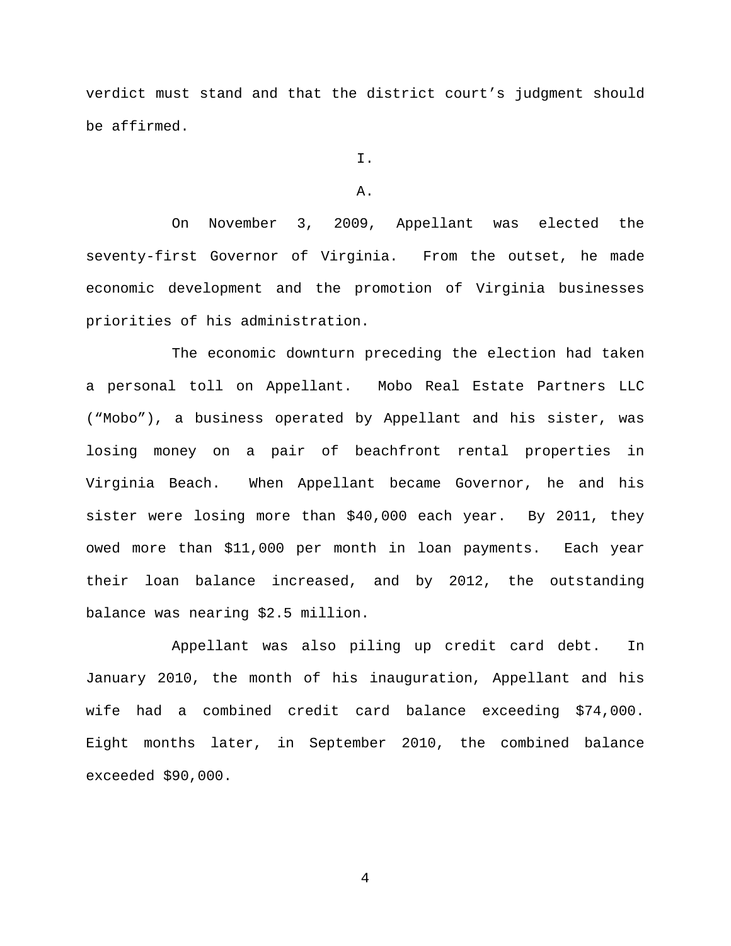verdict must stand and that the district court's judgment should be affirmed.

I.

#### A.

On November 3, 2009, Appellant was elected the seventy-first Governor of Virginia. From the outset, he made economic development and the promotion of Virginia businesses priorities of his administration.

The economic downturn preceding the election had taken a personal toll on Appellant. Mobo Real Estate Partners LLC ("Mobo"), a business operated by Appellant and his sister, was losing money on a pair of beachfront rental properties in Virginia Beach. When Appellant became Governor, he and his sister were losing more than \$40,000 each year. By 2011, they owed more than \$11,000 per month in loan payments. Each year their loan balance increased, and by 2012, the outstanding balance was nearing \$2.5 million.

Appellant was also piling up credit card debt. In January 2010, the month of his inauguration, Appellant and his wife had a combined credit card balance exceeding \$74,000. Eight months later, in September 2010, the combined balance exceeded \$90,000.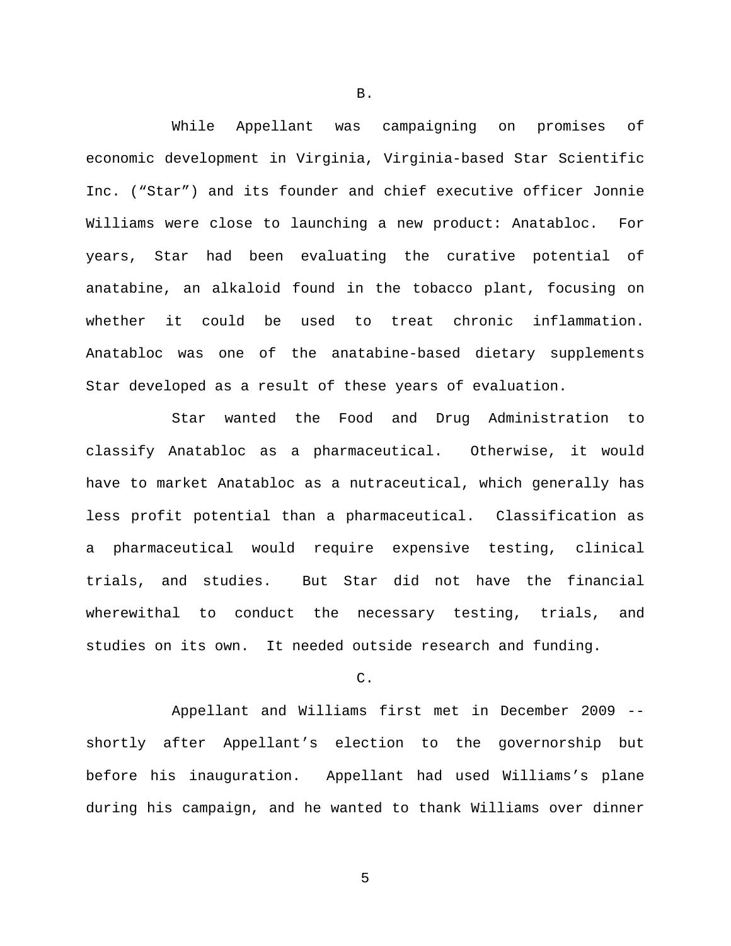While Appellant was campaigning on promises of economic development in Virginia, Virginia-based Star Scientific Inc. ("Star") and its founder and chief executive officer Jonnie Williams were close to launching a new product: Anatabloc. For years, Star had been evaluating the curative potential of anatabine, an alkaloid found in the tobacco plant, focusing on whether it could be used to treat chronic inflammation. Anatabloc was one of the anatabine-based dietary supplements Star developed as a result of these years of evaluation.

Star wanted the Food and Drug Administration to classify Anatabloc as a pharmaceutical. Otherwise, it would have to market Anatabloc as a nutraceutical, which generally has less profit potential than a pharmaceutical. Classification as a pharmaceutical would require expensive testing, clinical trials, and studies. But Star did not have the financial wherewithal to conduct the necessary testing, trials, and studies on its own. It needed outside research and funding.

## C.

Appellant and Williams first met in December 2009 - shortly after Appellant's election to the governorship but before his inauguration. Appellant had used Williams's plane during his campaign, and he wanted to thank Williams over dinner

B.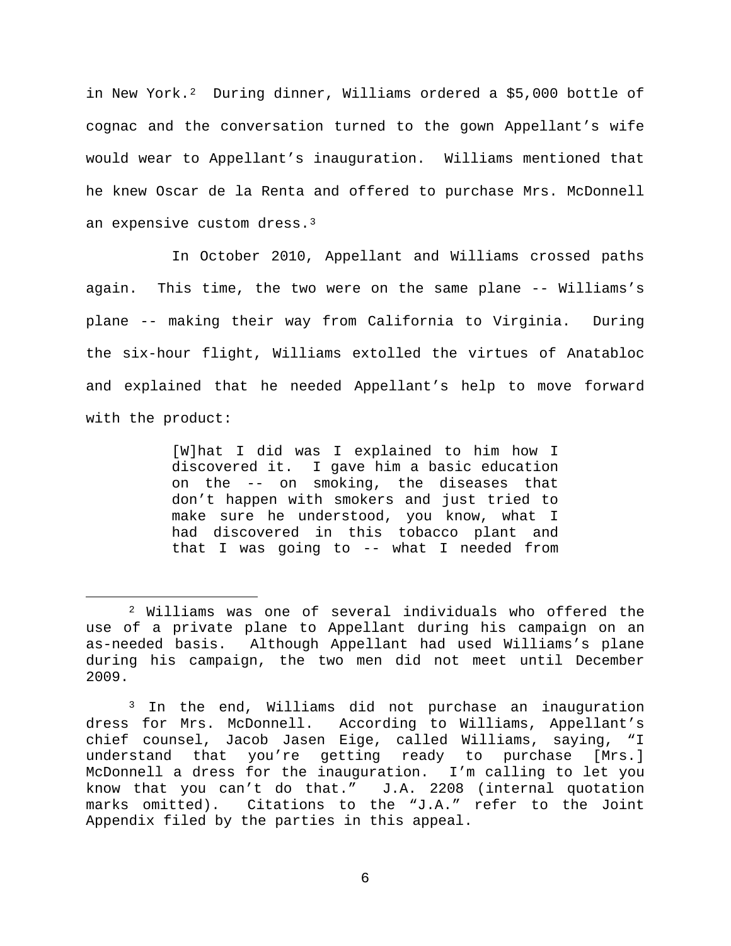in New York.<sup>[2](#page-5-0)</sup> During dinner, Williams ordered a \$5,000 bottle of cognac and the conversation turned to the gown Appellant's wife would wear to Appellant's inauguration. Williams mentioned that he knew Oscar de la Renta and offered to purchase Mrs. McDonnell an expensive custom dress.[3](#page-5-1)

In October 2010, Appellant and Williams crossed paths again. This time, the two were on the same plane -- Williams's plane -- making their way from California to Virginia. During the six-hour flight, Williams extolled the virtues of Anatabloc and explained that he needed Appellant's help to move forward with the product:

> [W]hat I did was I explained to him how I discovered it. I gave him a basic education on the -- on smoking, the diseases that don't happen with smokers and just tried to make sure he understood, you know, what I had discovered in this tobacco plant and that I was going to -- what I needed from

<span id="page-5-0"></span> <sup>2</sup> Williams was one of several individuals who offered the use of a private plane to Appellant during his campaign on an as-needed basis. Although Appellant had used Williams's plane during his campaign, the two men did not meet until December 2009.

<span id="page-5-1"></span><sup>&</sup>lt;sup>3</sup> In the end, Williams did not purchase an inauguration dress for Mrs. McDonnell. According to Williams, Appellant's chief counsel, Jacob Jasen Eige, called Williams, saying, "I understand that you're getting ready to purchase [Mrs.] McDonnell a dress for the inauguration. I'm calling to let you know that you can't do that." J.A. 2208 (internal quotation marks omitted). Citations to the "J.A." refer to the Joint Appendix filed by the parties in this appeal.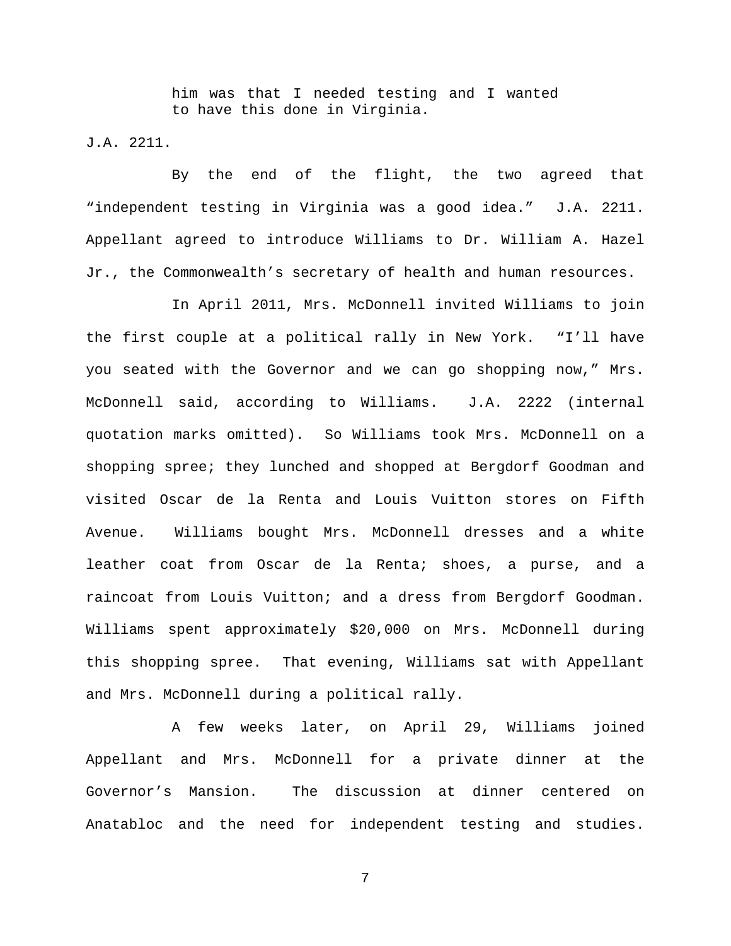him was that I needed testing and I wanted to have this done in Virginia.

J.A. 2211.

By the end of the flight, the two agreed that "independent testing in Virginia was a good idea." J.A. 2211. Appellant agreed to introduce Williams to Dr. William A. Hazel Jr., the Commonwealth's secretary of health and human resources.

In April 2011, Mrs. McDonnell invited Williams to join the first couple at a political rally in New York. "I'll have you seated with the Governor and we can go shopping now," Mrs. McDonnell said, according to Williams. J.A. 2222 (internal quotation marks omitted). So Williams took Mrs. McDonnell on a shopping spree; they lunched and shopped at Bergdorf Goodman and visited Oscar de la Renta and Louis Vuitton stores on Fifth Avenue. Williams bought Mrs. McDonnell dresses and a white leather coat from Oscar de la Renta; shoes, a purse, and a raincoat from Louis Vuitton; and a dress from Bergdorf Goodman. Williams spent approximately \$20,000 on Mrs. McDonnell during this shopping spree. That evening, Williams sat with Appellant and Mrs. McDonnell during a political rally.

A few weeks later, on April 29, Williams joined Appellant and Mrs. McDonnell for a private dinner at the Governor's Mansion. The discussion at dinner centered on Anatabloc and the need for independent testing and studies.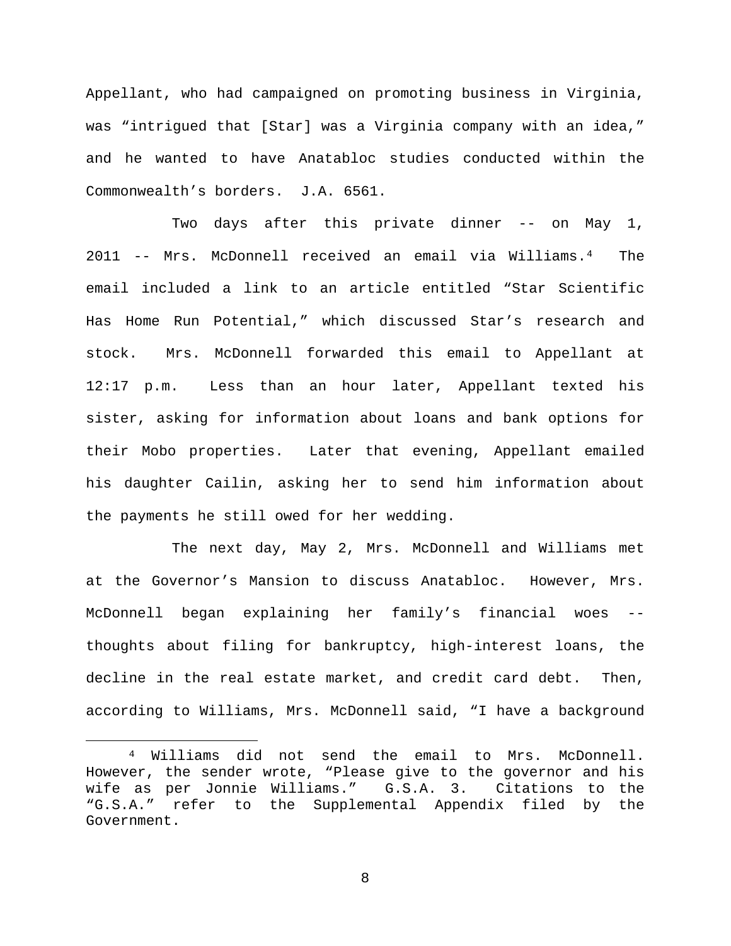Appellant, who had campaigned on promoting business in Virginia, was "intrigued that [Star] was a Virginia company with an idea," and he wanted to have Anatabloc studies conducted within the Commonwealth's borders. J.A. 6561.

Two days after this private dinner -- on May 1, 2011 -- Mrs. McDonnell received an email via Williams.[4](#page-7-0) The email included a link to an article entitled "Star Scientific Has Home Run Potential," which discussed Star's research and stock. Mrs. McDonnell forwarded this email to Appellant at 12:17 p.m. Less than an hour later, Appellant texted his sister, asking for information about loans and bank options for their Mobo properties. Later that evening, Appellant emailed his daughter Cailin, asking her to send him information about the payments he still owed for her wedding.

The next day, May 2, Mrs. McDonnell and Williams met at the Governor's Mansion to discuss Anatabloc. However, Mrs. McDonnell began explaining her family's financial woes - thoughts about filing for bankruptcy, high-interest loans, the decline in the real estate market, and credit card debt. Then, according to Williams, Mrs. McDonnell said, "I have a background

<span id="page-7-0"></span> <sup>4</sup> Williams did not send the email to Mrs. McDonnell. However, the sender wrote, "Please give to the governor and his wife as per Jonnie Williams." G.S.A. 3. Citations to the "G.S.A." refer to the Supplemental Appendix filed by the Government.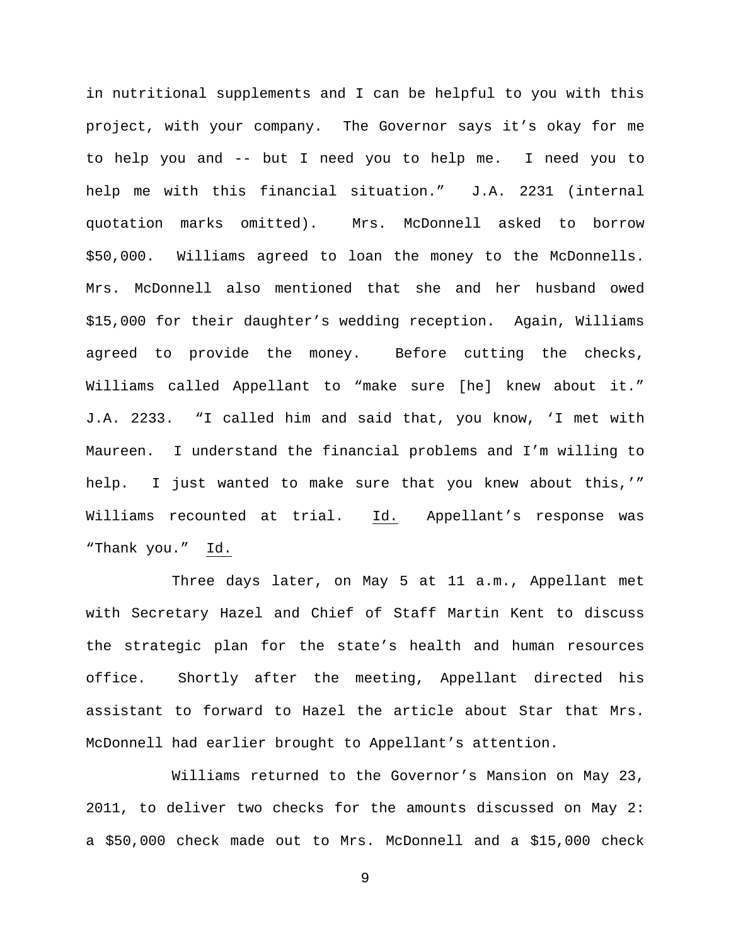in nutritional supplements and I can be helpful to you with this project, with your company. The Governor says it's okay for me to help you and -- but I need you to help me. I need you to help me with this financial situation." J.A. 2231 (internal quotation marks omitted). Mrs. McDonnell asked to borrow \$50,000. Williams agreed to loan the money to the McDonnells. Mrs. McDonnell also mentioned that she and her husband owed \$15,000 for their daughter's wedding reception. Again, Williams agreed to provide the money. Before cutting the checks, Williams called Appellant to "make sure [he] knew about it." J.A. 2233. "I called him and said that, you know, 'I met with Maureen. I understand the financial problems and I'm willing to help. I just wanted to make sure that you knew about this,'" Williams recounted at trial. Id. Appellant's response was "Thank you." Id.

Three days later, on May 5 at 11 a.m., Appellant met with Secretary Hazel and Chief of Staff Martin Kent to discuss the strategic plan for the state's health and human resources office. Shortly after the meeting, Appellant directed his assistant to forward to Hazel the article about Star that Mrs. McDonnell had earlier brought to Appellant's attention.

Williams returned to the Governor's Mansion on May 23, 2011, to deliver two checks for the amounts discussed on May 2: a \$50,000 check made out to Mrs. McDonnell and a \$15,000 check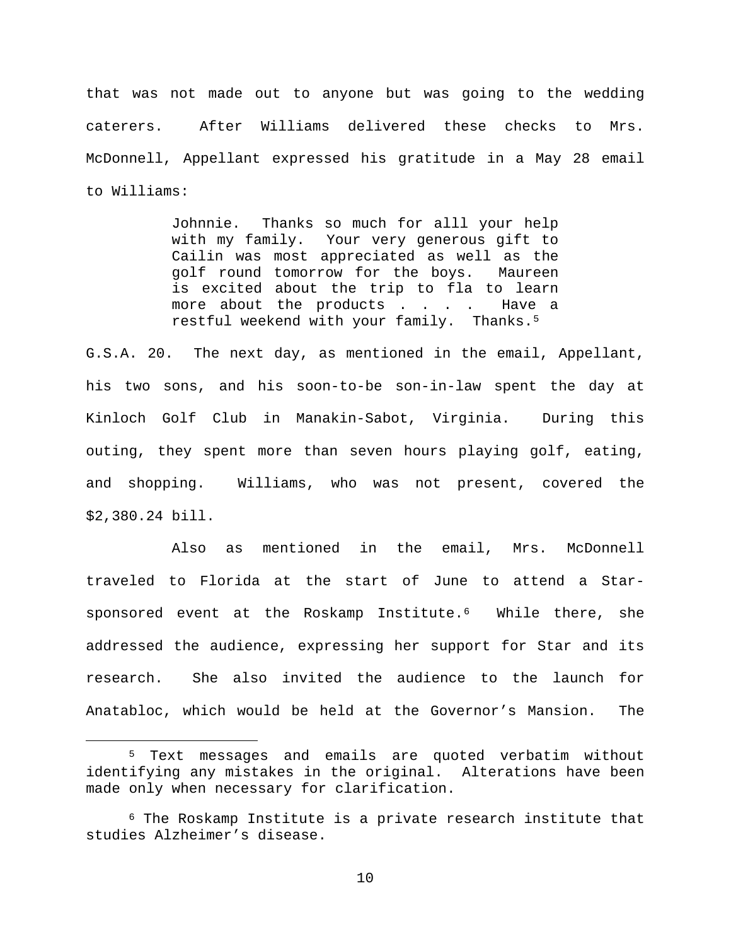that was not made out to anyone but was going to the wedding caterers. After Williams delivered these checks to Mrs. McDonnell, Appellant expressed his gratitude in a May 28 email to Williams:

> Johnnie. Thanks so much for alll your help with my family. Your very generous gift to Cailin was most appreciated as well as the golf round tomorrow for the boys. Maureen is excited about the trip to fla to learn more about the products . . . . Have a restful weekend with your family. Thanks.[5](#page-9-0)

G.S.A. 20. The next day, as mentioned in the email, Appellant, his two sons, and his soon-to-be son-in-law spent the day at Kinloch Golf Club in Manakin-Sabot, Virginia. During this outing, they spent more than seven hours playing golf, eating, and shopping. Williams, who was not present, covered the \$2,380.24 bill.

Also as mentioned in the email, Mrs. McDonnell traveled to Florida at the start of June to attend a Starsponsored event at the Roskamp Institute.<sup>6</sup> While there, she addressed the audience, expressing her support for Star and its research. She also invited the audience to the launch for Anatabloc, which would be held at the Governor's Mansion. The

<span id="page-9-0"></span> <sup>5</sup> Text messages and emails are quoted verbatim without identifying any mistakes in the original. Alterations have been made only when necessary for clarification.

<span id="page-9-1"></span> $6$  The Roskamp Institute is a private research institute that studies Alzheimer's disease.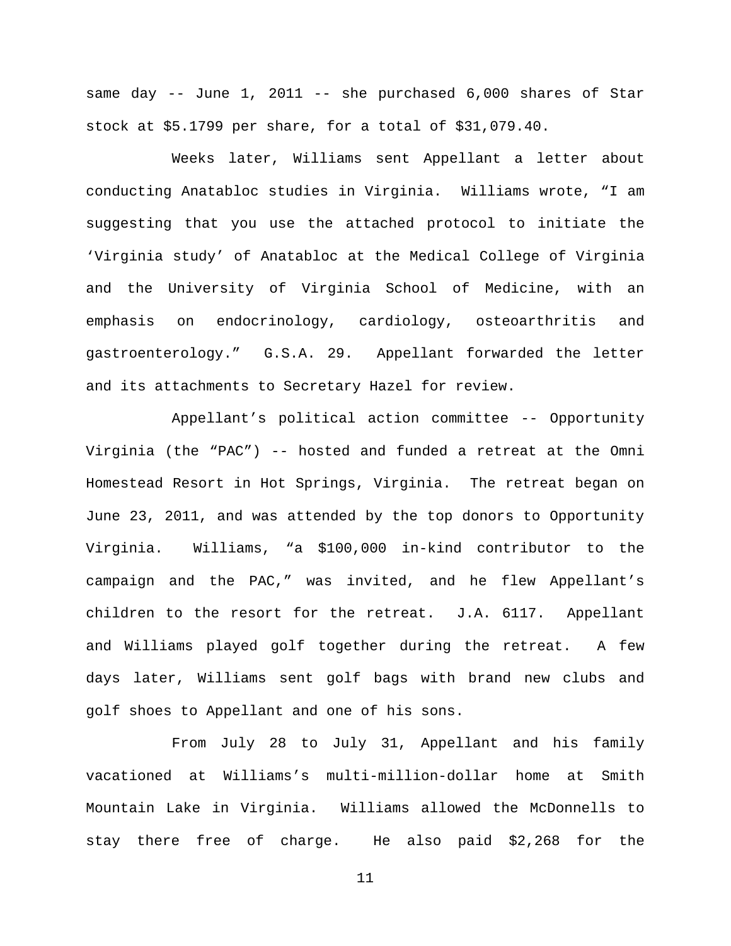same day -- June 1, 2011 -- she purchased 6,000 shares of Star stock at \$5.1799 per share, for a total of \$31,079.40.

Weeks later, Williams sent Appellant a letter about conducting Anatabloc studies in Virginia. Williams wrote, "I am suggesting that you use the attached protocol to initiate the 'Virginia study' of Anatabloc at the Medical College of Virginia and the University of Virginia School of Medicine, with an emphasis on endocrinology, cardiology, osteoarthritis and gastroenterology." G.S.A. 29. Appellant forwarded the letter and its attachments to Secretary Hazel for review.

Appellant's political action committee -- Opportunity Virginia (the "PAC") -- hosted and funded a retreat at the Omni Homestead Resort in Hot Springs, Virginia. The retreat began on June 23, 2011, and was attended by the top donors to Opportunity Virginia. Williams, "a \$100,000 in-kind contributor to the campaign and the PAC," was invited, and he flew Appellant's children to the resort for the retreat. J.A. 6117. Appellant and Williams played golf together during the retreat. A few days later, Williams sent golf bags with brand new clubs and golf shoes to Appellant and one of his sons.

From July 28 to July 31, Appellant and his family vacationed at Williams's multi-million-dollar home at Smith Mountain Lake in Virginia. Williams allowed the McDonnells to stay there free of charge. He also paid \$2,268 for the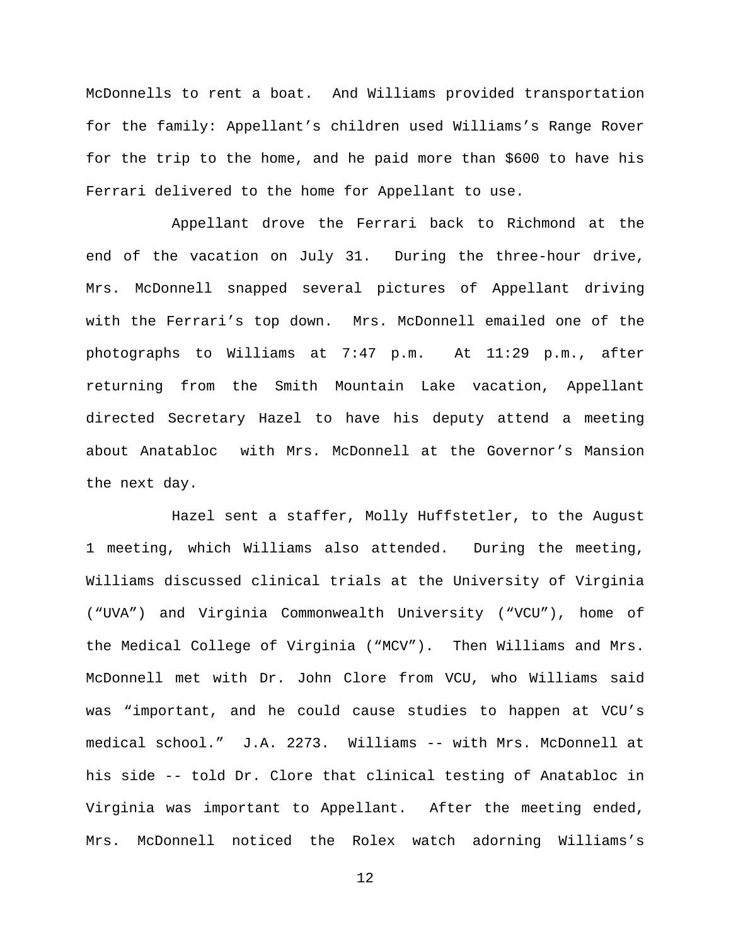McDonnells to rent a boat. And Williams provided transportation for the family: Appellant's children used Williams's Range Rover for the trip to the home, and he paid more than \$600 to have his Ferrari delivered to the home for Appellant to use.

Appellant drove the Ferrari back to Richmond at the end of the vacation on July 31. During the three-hour drive, Mrs. McDonnell snapped several pictures of Appellant driving with the Ferrari's top down. Mrs. McDonnell emailed one of the photographs to Williams at 7:47 p.m. At 11:29 p.m., after returning from the Smith Mountain Lake vacation, Appellant directed Secretary Hazel to have his deputy attend a meeting about Anatabloc with Mrs. McDonnell at the Governor's Mansion the next day.

Hazel sent a staffer, Molly Huffstetler, to the August 1 meeting, which Williams also attended. During the meeting, Williams discussed clinical trials at the University of Virginia ("UVA") and Virginia Commonwealth University ("VCU"), home of the Medical College of Virginia ("MCV"). Then Williams and Mrs. McDonnell met with Dr. John Clore from VCU, who Williams said was "important, and he could cause studies to happen at VCU's medical school." J.A. 2273. Williams -- with Mrs. McDonnell at his side -- told Dr. Clore that clinical testing of Anatabloc in Virginia was important to Appellant. After the meeting ended, Mrs. McDonnell noticed the Rolex watch adorning Williams's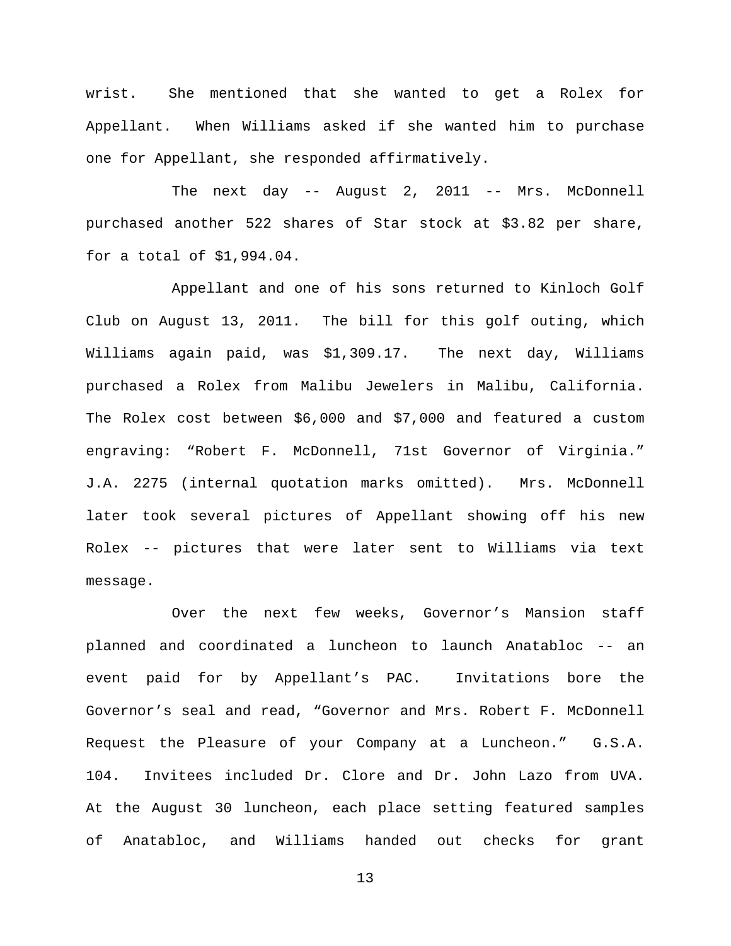wrist. She mentioned that she wanted to get a Rolex for Appellant. When Williams asked if she wanted him to purchase one for Appellant, she responded affirmatively.

The next day -- August 2, 2011 -- Mrs. McDonnell purchased another 522 shares of Star stock at \$3.82 per share, for a total of \$1,994.04.

Appellant and one of his sons returned to Kinloch Golf Club on August 13, 2011. The bill for this golf outing, which Williams again paid, was \$1,309.17. The next day, Williams purchased a Rolex from Malibu Jewelers in Malibu, California. The Rolex cost between \$6,000 and \$7,000 and featured a custom engraving: "Robert F. McDonnell, 71st Governor of Virginia." J.A. 2275 (internal quotation marks omitted). Mrs. McDonnell later took several pictures of Appellant showing off his new Rolex -- pictures that were later sent to Williams via text message.

Over the next few weeks, Governor's Mansion staff planned and coordinated a luncheon to launch Anatabloc -- an event paid for by Appellant's PAC. Invitations bore the Governor's seal and read, "Governor and Mrs. Robert F. McDonnell Request the Pleasure of your Company at a Luncheon." G.S.A. 104. Invitees included Dr. Clore and Dr. John Lazo from UVA. At the August 30 luncheon, each place setting featured samples of Anatabloc, and Williams handed out checks for grant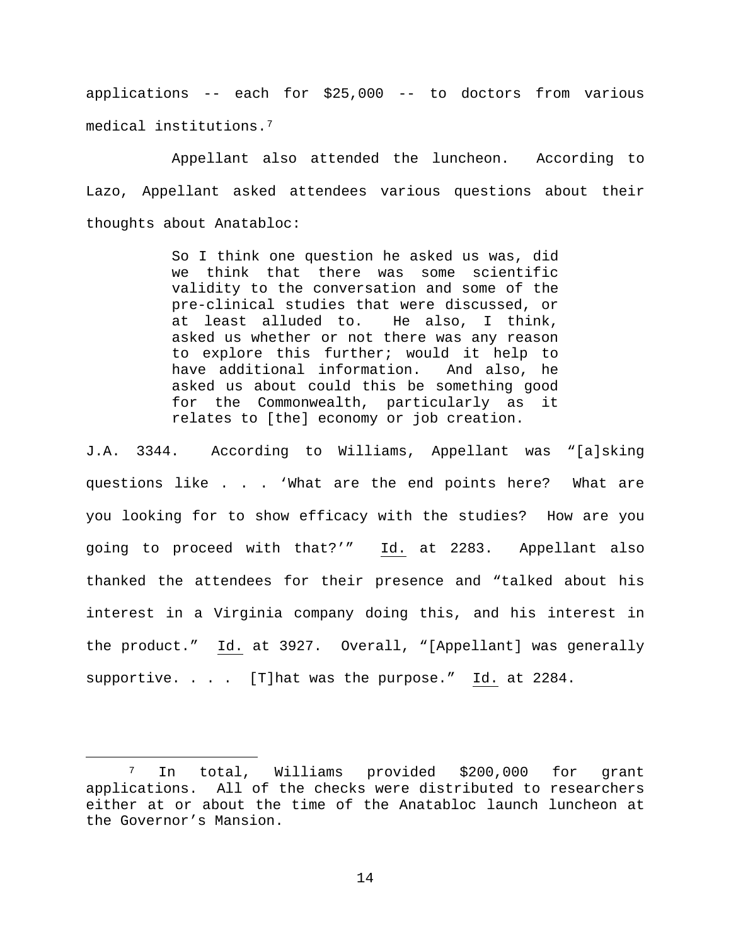applications -- each for \$25,000 -- to doctors from various medical institutions.[7](#page-13-0) 

Appellant also attended the luncheon. According to Lazo, Appellant asked attendees various questions about their thoughts about Anatabloc:

> So I think one question he asked us was, did we think that there was some scientific validity to the conversation and some of the pre-clinical studies that were discussed, or at least alluded to. He also, I think, asked us whether or not there was any reason to explore this further; would it help to<br>have additional information. And also, he have additional information. asked us about could this be something good for the Commonwealth, particularly as it relates to [the] economy or job creation.

J.A. 3344. According to Williams, Appellant was "[a]sking questions like . . . 'What are the end points here? What are you looking for to show efficacy with the studies? How are you going to proceed with that?'" Id. at 2283. Appellant also thanked the attendees for their presence and "talked about his interest in a Virginia company doing this, and his interest in the product." Id. at 3927. Overall, "[Appellant] was generally supportive. . . . [T]hat was the purpose." Id. at 2284.

<span id="page-13-0"></span> <sup>7</sup> In total, Williams provided \$200,000 for grant applications. All of the checks were distributed to researchers either at or about the time of the Anatabloc launch luncheon at the Governor's Mansion.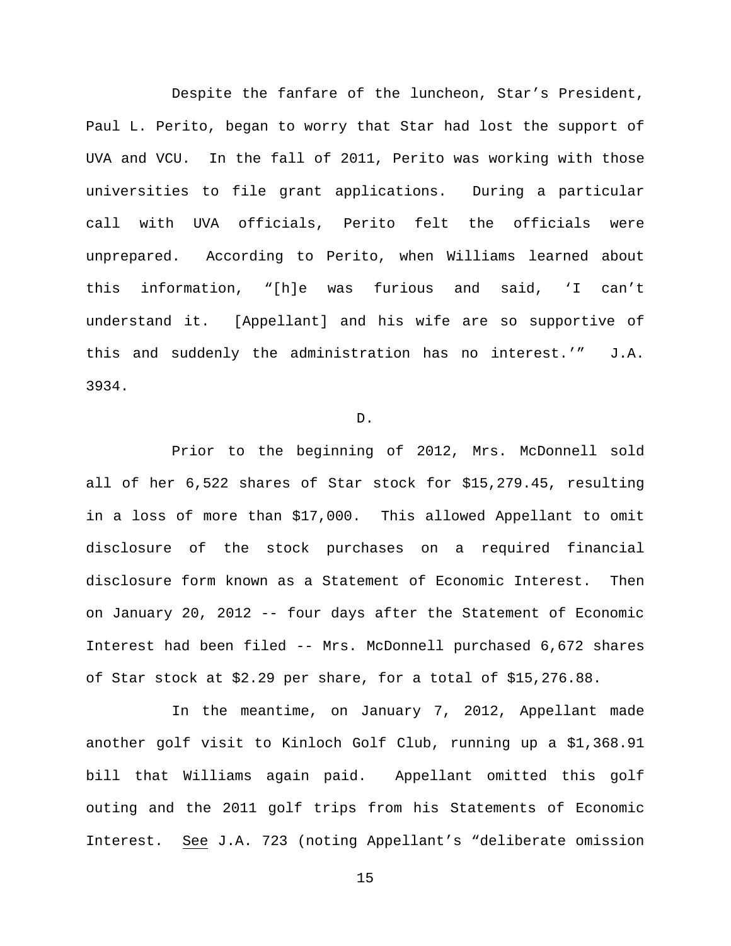Despite the fanfare of the luncheon, Star's President, Paul L. Perito, began to worry that Star had lost the support of UVA and VCU. In the fall of 2011, Perito was working with those universities to file grant applications. During a particular call with UVA officials, Perito felt the officials were unprepared. According to Perito, when Williams learned about this information, "[h]e was furious and said, 'I can't understand it. [Appellant] and his wife are so supportive of this and suddenly the administration has no interest.'" J.A. 3934.

D.

Prior to the beginning of 2012, Mrs. McDonnell sold all of her 6,522 shares of Star stock for \$15,279.45, resulting in a loss of more than \$17,000. This allowed Appellant to omit disclosure of the stock purchases on a required financial disclosure form known as a Statement of Economic Interest. Then on January 20, 2012 -- four days after the Statement of Economic Interest had been filed -- Mrs. McDonnell purchased 6,672 shares of Star stock at \$2.29 per share, for a total of \$15,276.88.

In the meantime, on January 7, 2012, Appellant made another golf visit to Kinloch Golf Club, running up a \$1,368.91 bill that Williams again paid. Appellant omitted this golf outing and the 2011 golf trips from his Statements of Economic Interest. See J.A. 723 (noting Appellant's "deliberate omission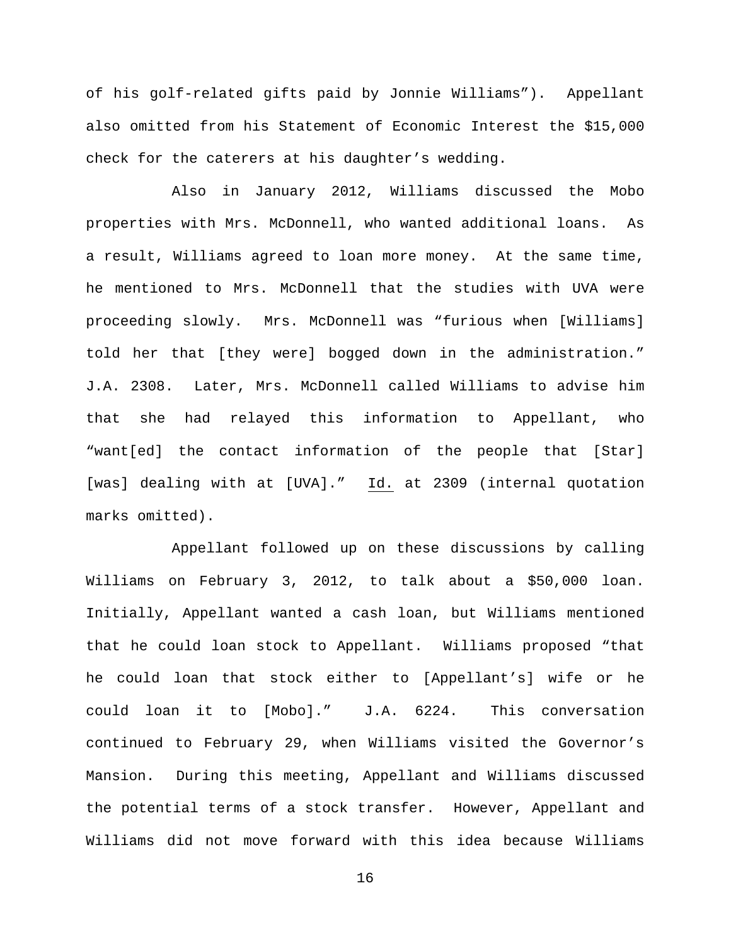of his golf-related gifts paid by Jonnie Williams"). Appellant also omitted from his Statement of Economic Interest the \$15,000 check for the caterers at his daughter's wedding.

Also in January 2012, Williams discussed the Mobo properties with Mrs. McDonnell, who wanted additional loans. As a result, Williams agreed to loan more money. At the same time, he mentioned to Mrs. McDonnell that the studies with UVA were proceeding slowly. Mrs. McDonnell was "furious when [Williams] told her that [they were] bogged down in the administration." J.A. 2308. Later, Mrs. McDonnell called Williams to advise him that she had relayed this information to Appellant, who "want[ed] the contact information of the people that [Star] [was] dealing with at [UVA]." Id. at 2309 (internal quotation marks omitted).

Appellant followed up on these discussions by calling Williams on February 3, 2012, to talk about a \$50,000 loan. Initially, Appellant wanted a cash loan, but Williams mentioned that he could loan stock to Appellant. Williams proposed "that he could loan that stock either to [Appellant's] wife or he could loan it to [Mobo]." J.A. 6224. This conversation continued to February 29, when Williams visited the Governor's Mansion. During this meeting, Appellant and Williams discussed the potential terms of a stock transfer. However, Appellant and Williams did not move forward with this idea because Williams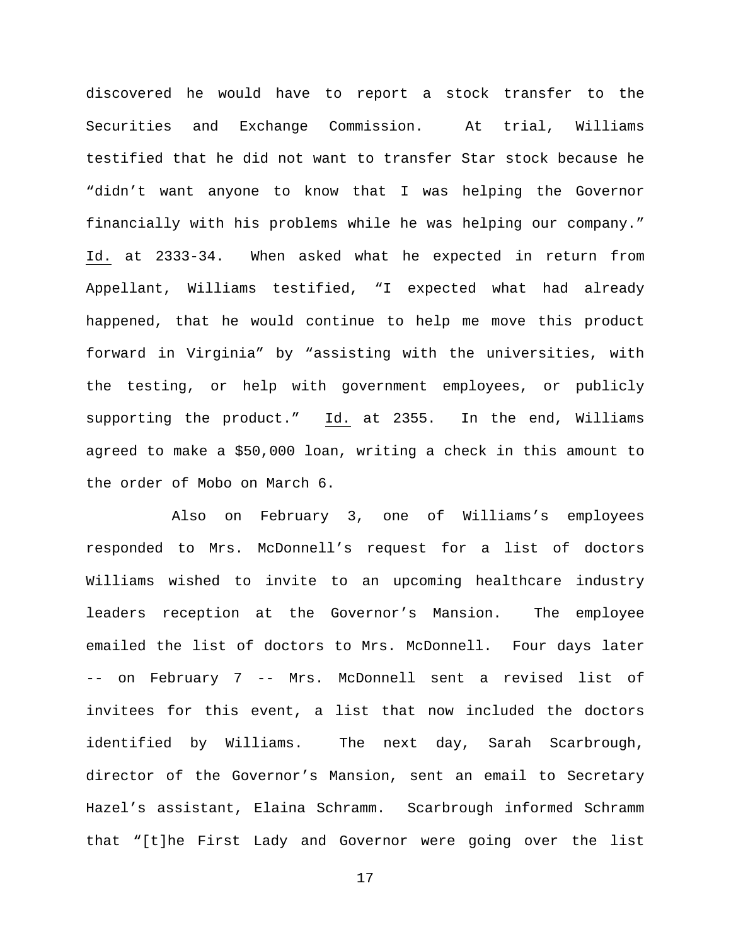discovered he would have to report a stock transfer to the Securities and Exchange Commission. At trial, Williams testified that he did not want to transfer Star stock because he "didn't want anyone to know that I was helping the Governor financially with his problems while he was helping our company." Id. at 2333-34. When asked what he expected in return from Appellant, Williams testified, "I expected what had already happened, that he would continue to help me move this product forward in Virginia" by "assisting with the universities, with the testing, or help with government employees, or publicly supporting the product." Id. at 2355. In the end, Williams agreed to make a \$50,000 loan, writing a check in this amount to the order of Mobo on March 6.

Also on February 3, one of Williams's employees responded to Mrs. McDonnell's request for a list of doctors Williams wished to invite to an upcoming healthcare industry leaders reception at the Governor's Mansion. The employee emailed the list of doctors to Mrs. McDonnell. Four days later -- on February 7 -- Mrs. McDonnell sent a revised list of invitees for this event, a list that now included the doctors identified by Williams. The next day, Sarah Scarbrough, director of the Governor's Mansion, sent an email to Secretary Hazel's assistant, Elaina Schramm. Scarbrough informed Schramm that "[t]he First Lady and Governor were going over the list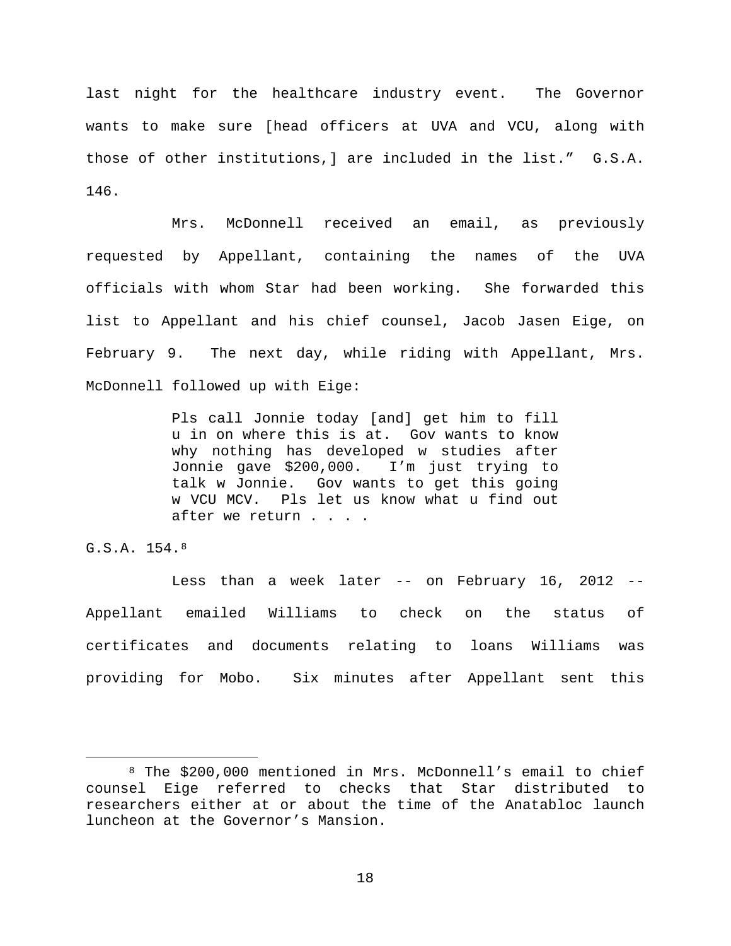last night for the healthcare industry event. The Governor wants to make sure [head officers at UVA and VCU, along with those of other institutions,] are included in the list." G.S.A. 146.

Mrs. McDonnell received an email, as previously requested by Appellant, containing the names of the UVA officials with whom Star had been working. She forwarded this list to Appellant and his chief counsel, Jacob Jasen Eige, on February 9. The next day, while riding with Appellant, Mrs. McDonnell followed up with Eige:

> Pls call Jonnie today [and] get him to fill u in on where this is at. Gov wants to know why nothing has developed w studies after Jonnie gave \$200,000. I'm just trying to talk w Jonnie. Gov wants to get this going w VCU MCV. Pls let us know what u find out after we return . . . .

G.S.A. 154.[8](#page-17-0)

Less than a week later -- on February 16, 2012 -- Appellant emailed Williams to check on the status of certificates and documents relating to loans Williams was providing for Mobo. Six minutes after Appellant sent this

<span id="page-17-0"></span> <sup>8</sup> The \$200,000 mentioned in Mrs. McDonnell's email to chief counsel Eige referred to checks that Star distributed to researchers either at or about the time of the Anatabloc launch luncheon at the Governor's Mansion.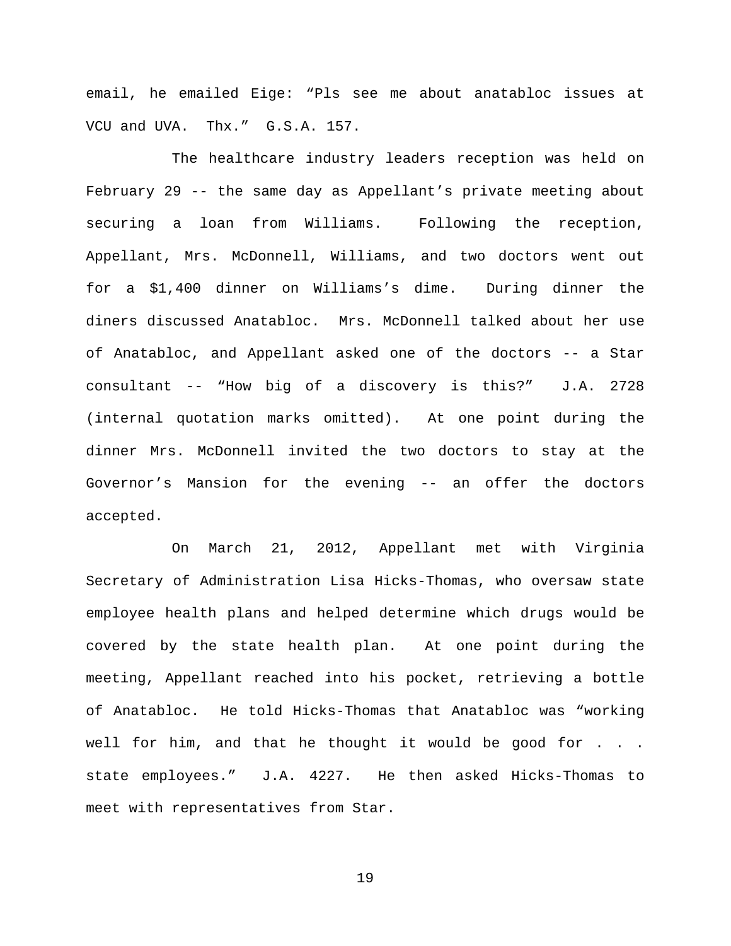email, he emailed Eige: "Pls see me about anatabloc issues at VCU and UVA. Thx." G.S.A. 157.

The healthcare industry leaders reception was held on February 29 -- the same day as Appellant's private meeting about securing a loan from Williams. Following the reception, Appellant, Mrs. McDonnell, Williams, and two doctors went out for a \$1,400 dinner on Williams's dime. During dinner the diners discussed Anatabloc. Mrs. McDonnell talked about her use of Anatabloc, and Appellant asked one of the doctors -- a Star consultant -- "How big of a discovery is this?" J.A. 2728 (internal quotation marks omitted). At one point during the dinner Mrs. McDonnell invited the two doctors to stay at the Governor's Mansion for the evening -- an offer the doctors accepted.

On March 21, 2012, Appellant met with Virginia Secretary of Administration Lisa Hicks-Thomas, who oversaw state employee health plans and helped determine which drugs would be covered by the state health plan. At one point during the meeting, Appellant reached into his pocket, retrieving a bottle of Anatabloc. He told Hicks-Thomas that Anatabloc was "working well for him, and that he thought it would be good for . . . state employees." J.A. 4227. He then asked Hicks-Thomas to meet with representatives from Star.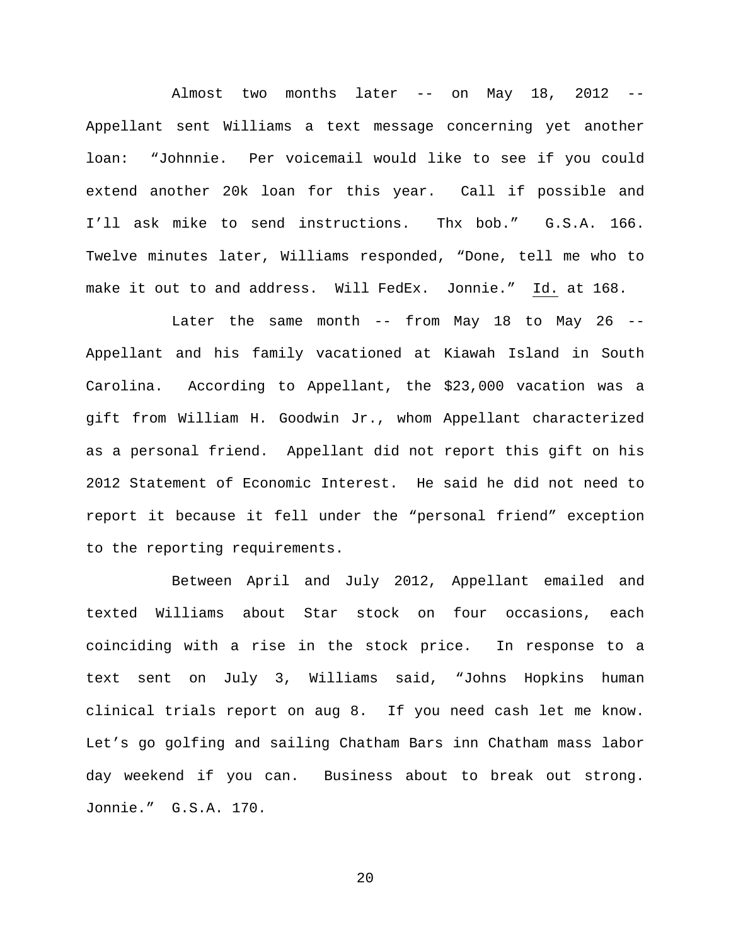Almost two months later -- on May 18, 2012 -- Appellant sent Williams a text message concerning yet another loan: "Johnnie. Per voicemail would like to see if you could extend another 20k loan for this year. Call if possible and I'll ask mike to send instructions. Thx bob." G.S.A. 166. Twelve minutes later, Williams responded, "Done, tell me who to make it out to and address. Will FedEx. Jonnie." Id. at 168.

Later the same month -- from May 18 to May 26 --Appellant and his family vacationed at Kiawah Island in South Carolina. According to Appellant, the \$23,000 vacation was a gift from William H. Goodwin Jr., whom Appellant characterized as a personal friend. Appellant did not report this gift on his 2012 Statement of Economic Interest. He said he did not need to report it because it fell under the "personal friend" exception to the reporting requirements.

Between April and July 2012, Appellant emailed and texted Williams about Star stock on four occasions, each coinciding with a rise in the stock price. In response to a text sent on July 3, Williams said, "Johns Hopkins human clinical trials report on aug 8. If you need cash let me know. Let's go golfing and sailing Chatham Bars inn Chatham mass labor day weekend if you can. Business about to break out strong. Jonnie." G.S.A. 170.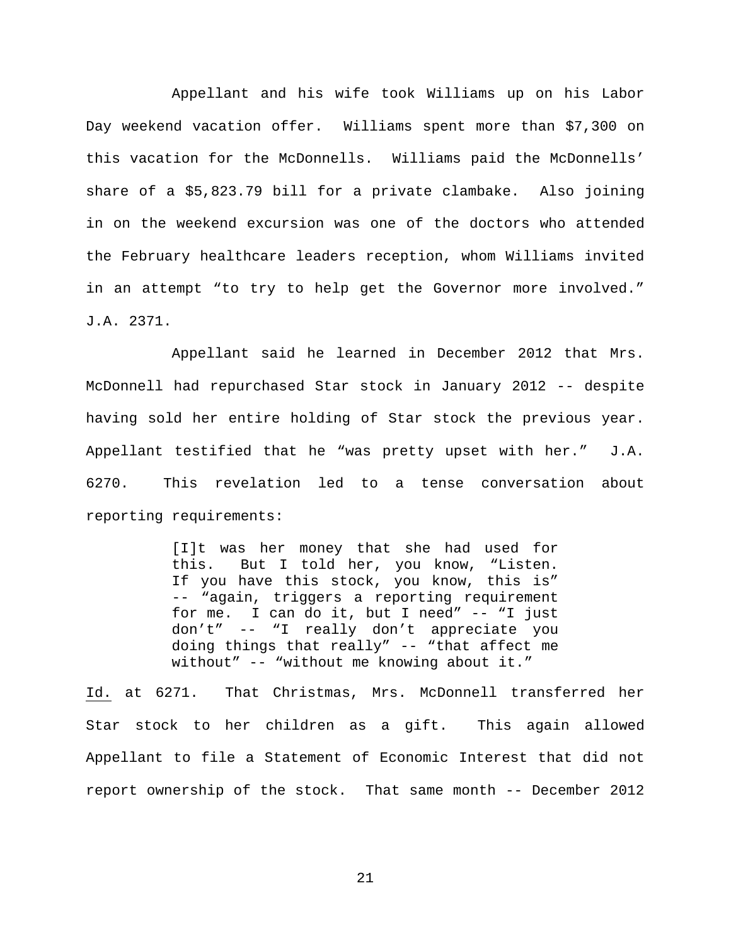Appellant and his wife took Williams up on his Labor Day weekend vacation offer. Williams spent more than \$7,300 on this vacation for the McDonnells. Williams paid the McDonnells' share of a \$5,823.79 bill for a private clambake. Also joining in on the weekend excursion was one of the doctors who attended the February healthcare leaders reception, whom Williams invited in an attempt "to try to help get the Governor more involved." J.A. 2371.

Appellant said he learned in December 2012 that Mrs. McDonnell had repurchased Star stock in January 2012 -- despite having sold her entire holding of Star stock the previous year. Appellant testified that he "was pretty upset with her." J.A. 6270. This revelation led to a tense conversation about reporting requirements:

> [I]t was her money that she had used for this. But I told her, you know, "Listen. If you have this stock, you know, this is" -- "again, triggers a reporting requirement for me. I can do it, but I need" -- "I just don't" -- "I really don't appreciate you doing things that really" -- "that affect me without" -- "without me knowing about it."

Id. at 6271. That Christmas, Mrs. McDonnell transferred her Star stock to her children as a gift. This again allowed Appellant to file a Statement of Economic Interest that did not report ownership of the stock. That same month -- December 2012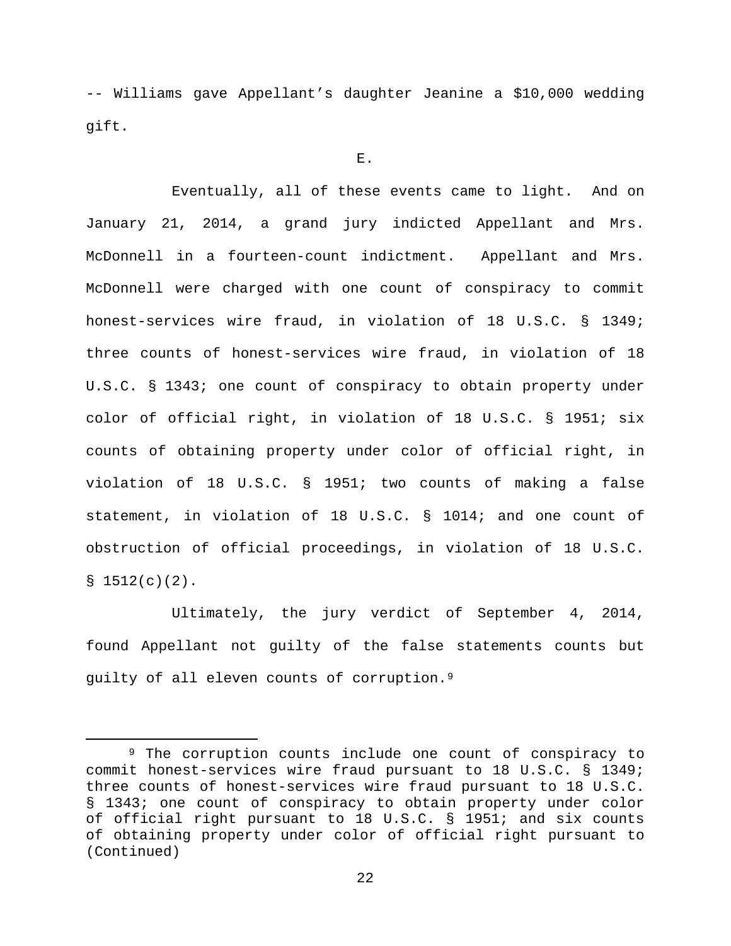-- Williams gave Appellant's daughter Jeanine a \$10,000 wedding gift.

E.

Eventually, all of these events came to light. And on January 21, 2014, a grand jury indicted Appellant and Mrs. McDonnell in a fourteen-count indictment. Appellant and Mrs. McDonnell were charged with one count of conspiracy to commit honest-services wire fraud, in violation of 18 U.S.C. § 1349; three counts of honest-services wire fraud, in violation of 18 U.S.C. § 1343; one count of conspiracy to obtain property under color of official right, in violation of 18 U.S.C. § 1951; six counts of obtaining property under color of official right, in violation of 18 U.S.C. § 1951; two counts of making a false statement, in violation of 18 U.S.C. § 1014; and one count of obstruction of official proceedings, in violation of 18 U.S.C.  $$1512(c)(2)$ .

Ultimately, the jury verdict of September 4, 2014, found Appellant not guilty of the false statements counts but guilty of all eleven counts of corruption.[9](#page-21-0) 

<span id="page-21-0"></span> <sup>9</sup> The corruption counts include one count of conspiracy to commit honest-services wire fraud pursuant to 18 U.S.C. § 1349; three counts of honest-services wire fraud pursuant to 18 U.S.C. § 1343; one count of conspiracy to obtain property under color of official right pursuant to 18 U.S.C. § 1951; and six counts of obtaining property under color of official right pursuant to (Continued)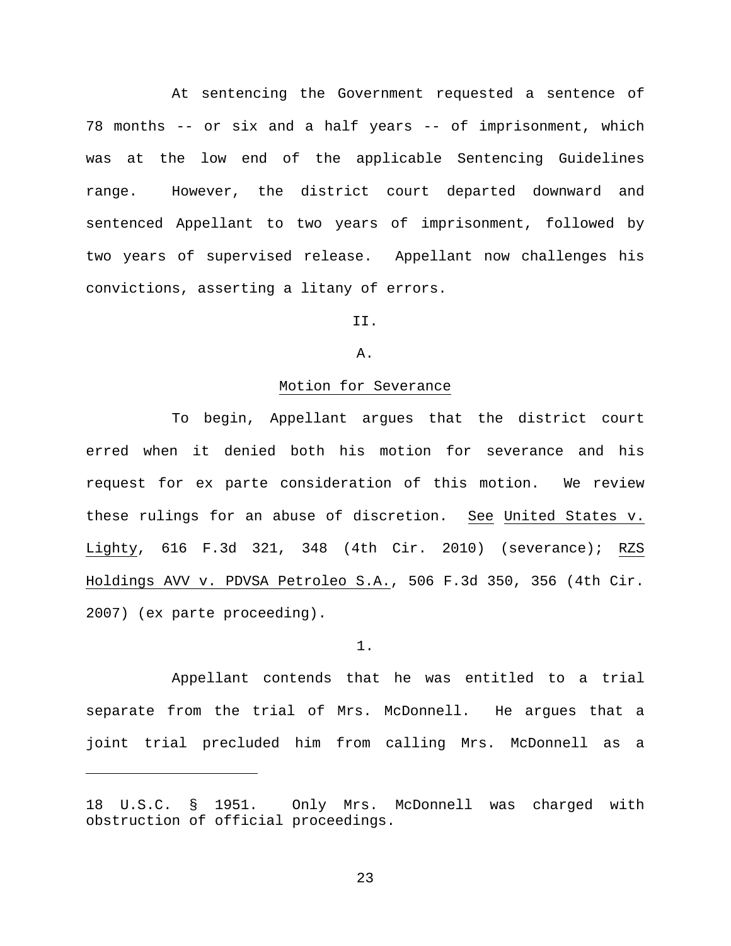At sentencing the Government requested a sentence of 78 months -- or six and a half years -- of imprisonment, which was at the low end of the applicable Sentencing Guidelines range. However, the district court departed downward and sentenced Appellant to two years of imprisonment, followed by two years of supervised release. Appellant now challenges his convictions, asserting a litany of errors.

II.

A.

## Motion for Severance

To begin, Appellant argues that the district court erred when it denied both his motion for severance and his request for ex parte consideration of this motion. We review these rulings for an abuse of discretion. See United States v. Lighty, 616 F.3d 321, 348 (4th Cir. 2010) (severance); RZS Holdings AVV v. PDVSA Petroleo S.A., 506 F.3d 350, 356 (4th Cir. 2007) (ex parte proceeding).

#### 1.

Appellant contends that he was entitled to a trial separate from the trial of Mrs. McDonnell. He argues that a joint trial precluded him from calling Mrs. McDonnell as a

Ĩ.

<sup>18</sup> U.S.C. § 1951. Only Mrs. McDonnell was charged with obstruction of official proceedings.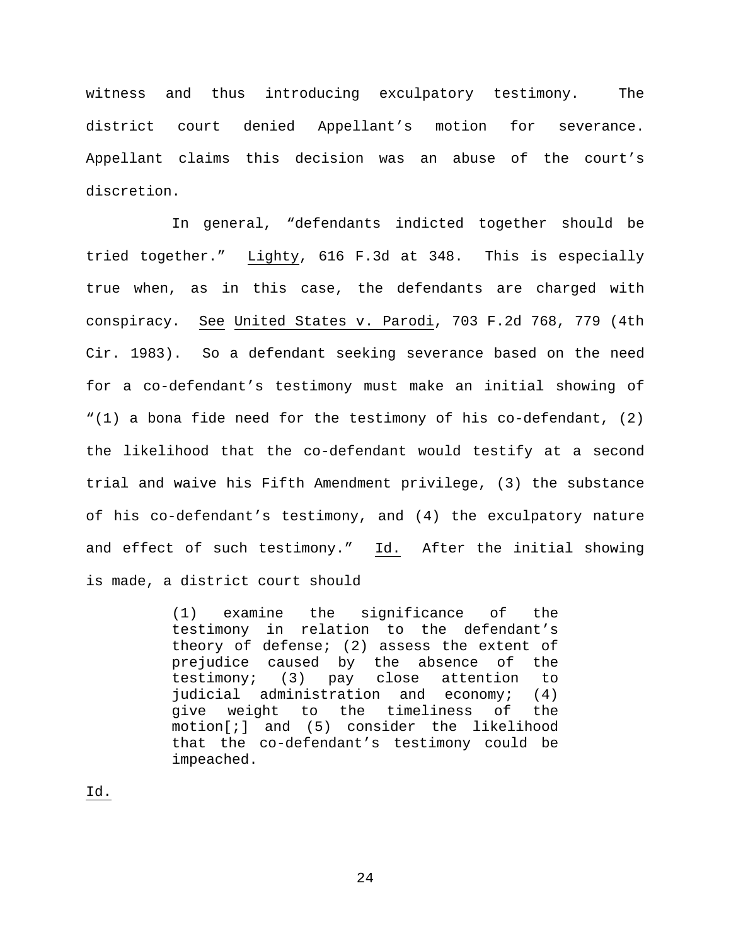witness and thus introducing exculpatory testimony. The district court denied Appellant's motion for severance. Appellant claims this decision was an abuse of the court's discretion.

In general, "defendants indicted together should be tried together." Lighty, 616 F.3d at 348. This is especially true when, as in this case, the defendants are charged with conspiracy. See United States v. Parodi, 703 F.2d 768, 779 (4th Cir. 1983). So a defendant seeking severance based on the need for a co-defendant's testimony must make an initial showing of "(1) a bona fide need for the testimony of his co-defendant, (2) the likelihood that the co-defendant would testify at a second trial and waive his Fifth Amendment privilege, (3) the substance of his co-defendant's testimony, and (4) the exculpatory nature and effect of such testimony." Id. After the initial showing is made, a district court should

> (1) examine the significance of the testimony in relation to the defendant's theory of defense; (2) assess the extent of prejudice caused by the absence of the testimony; (3) pay close attention to judicial administration and economy; (4) give weight to the timeliness of the motion[;] and (5) consider the likelihood that the co-defendant's testimony could be impeached.

Id.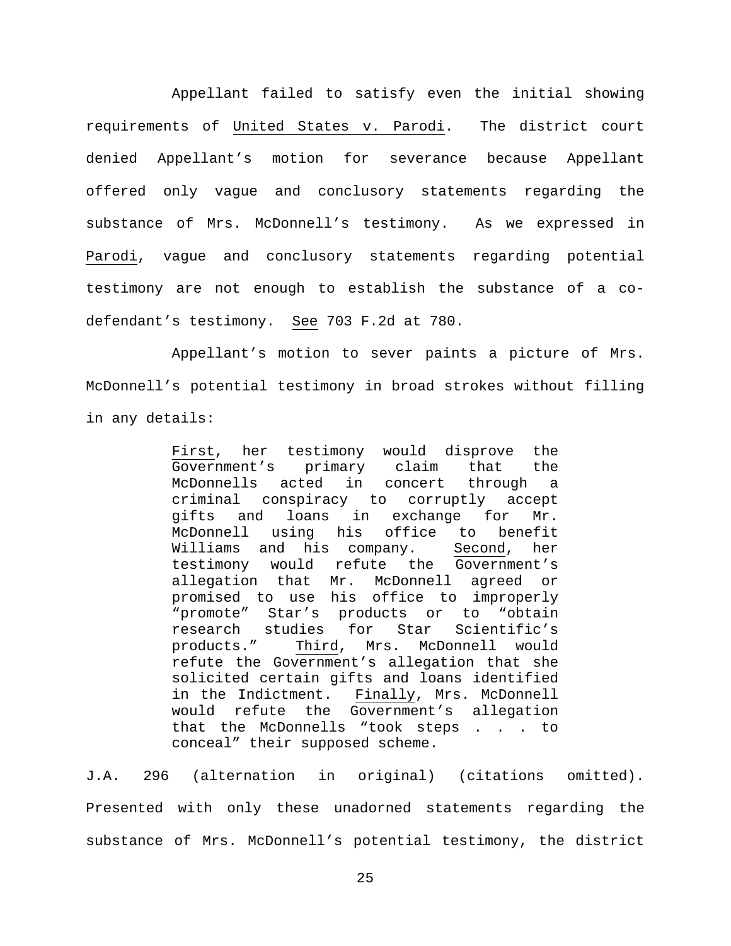Appellant failed to satisfy even the initial showing requirements of United States v. Parodi. The district court denied Appellant's motion for severance because Appellant offered only vague and conclusory statements regarding the substance of Mrs. McDonnell's testimony. As we expressed in Parodi, vague and conclusory statements regarding potential testimony are not enough to establish the substance of a codefendant's testimony. See 703 F.2d at 780.

Appellant's motion to sever paints a picture of Mrs. McDonnell's potential testimony in broad strokes without filling in any details:

> First, her testimony would disprove the<br>Government's primary claim that the Government's primary claim that McDonnells acted in concert through a criminal conspiracy to corruptly accept gifts and loans in exchange for Mr. McDonnell using his office to benefit<br>Williams and his company. Second, her Williams and his company. Second, her testimony would refute the Government's allegation that Mr. McDonnell agreed or promised to use his office to improperly "promote" Star's products or to "obtain research studies for Star<br>products." Third, Mrs. McI Third, Mrs. McDonnell would refute the Government's allegation that she solicited certain gifts and loans identified in the Indictment. Finally, Mrs. McDonnell would refute the Government's allegation that the McDonnells "took steps . . . to conceal" their supposed scheme.

J.A. 296 (alternation in original) (citations omitted). Presented with only these unadorned statements regarding the substance of Mrs. McDonnell's potential testimony, the district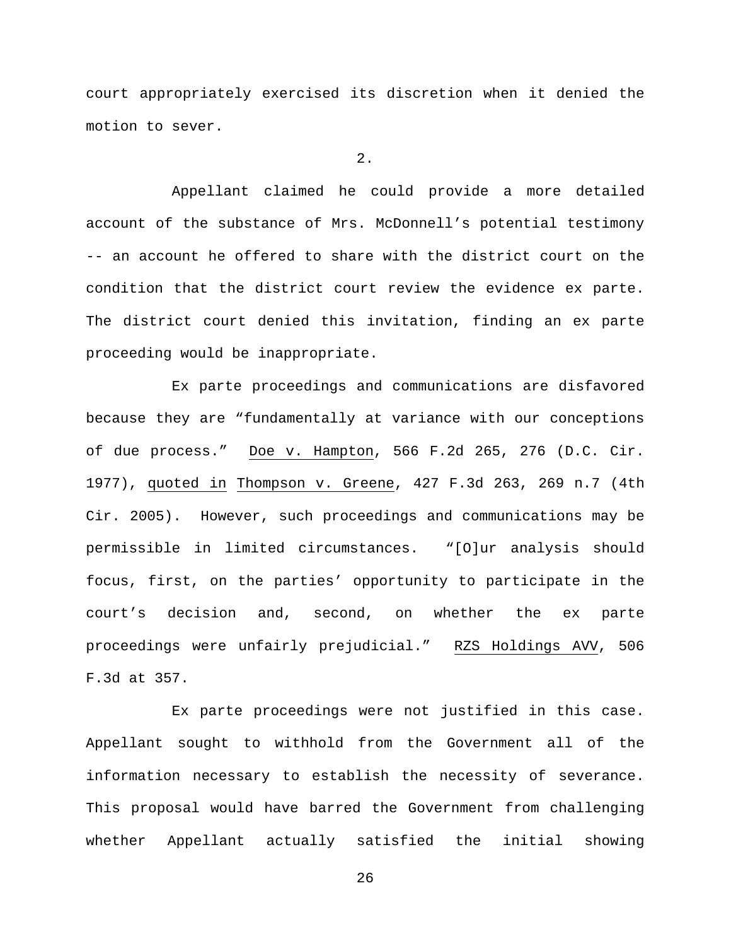court appropriately exercised its discretion when it denied the motion to sever.

2.

Appellant claimed he could provide a more detailed account of the substance of Mrs. McDonnell's potential testimony -- an account he offered to share with the district court on the condition that the district court review the evidence ex parte. The district court denied this invitation, finding an ex parte proceeding would be inappropriate.

Ex parte proceedings and communications are disfavored because they are "fundamentally at variance with our conceptions of due process." Doe v. Hampton, 566 F.2d 265, 276 (D.C. Cir. 1977), quoted in Thompson v. Greene, 427 F.3d 263, 269 n.7 (4th Cir. 2005). However, such proceedings and communications may be permissible in limited circumstances. "[O]ur analysis should focus, first, on the parties' opportunity to participate in the court's decision and, second, on whether the ex parte proceedings were unfairly prejudicial." RZS Holdings AVV, 506 F.3d at 357.

Ex parte proceedings were not justified in this case. Appellant sought to withhold from the Government all of the information necessary to establish the necessity of severance. This proposal would have barred the Government from challenging whether Appellant actually satisfied the initial showing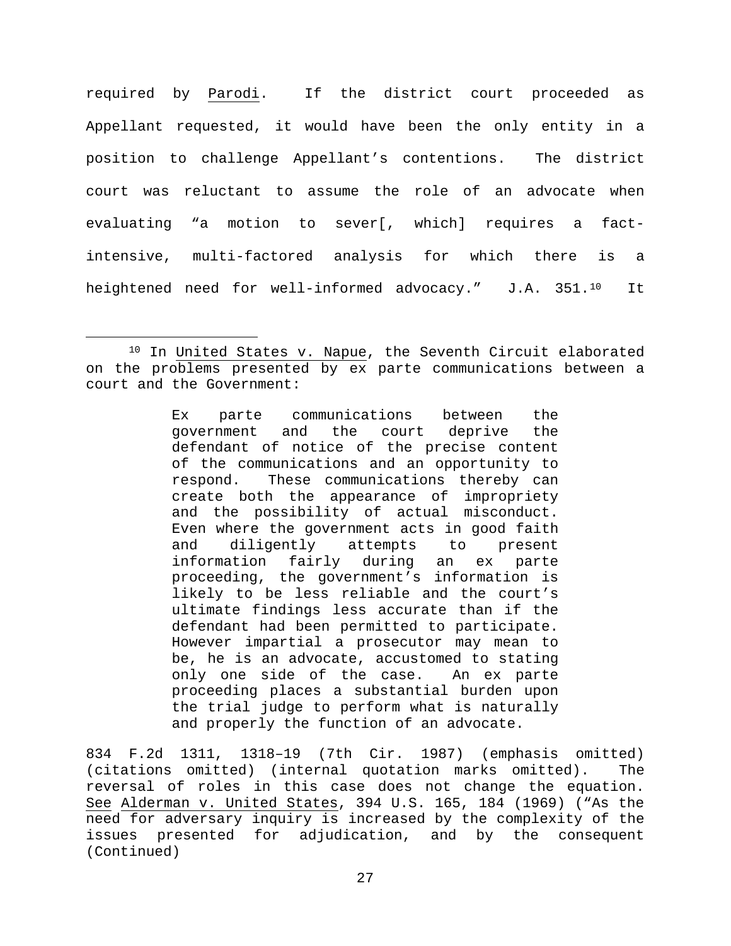required by Parodi. If the district court proceeded as Appellant requested, it would have been the only entity in a position to challenge Appellant's contentions. The district court was reluctant to assume the role of an advocate when evaluating "a motion to sever[, which] requires a factintensive, multi-factored analysis for which there is a heightened need for well-informed advocacy." J.A. 351.<sup>10</sup> It

Ex parte communications between the government and the court deprive the defendant of notice of the precise content of the communications and an opportunity to<br>respond. These communications thereby can These communications thereby can create both the appearance of impropriety and the possibility of actual misconduct. Even where the government acts in good faith<br>and diligently attempts to present and diligently attempts to present information fairly during an ex parte proceeding, the government's information is likely to be less reliable and the court's ultimate findings less accurate than if the defendant had been permitted to participate. However impartial a prosecutor may mean to be, he is an advocate, accustomed to stating only one side of the case. An ex parte proceeding places a substantial burden upon the trial judge to perform what is naturally and properly the function of an advocate.

834 F.2d 1311, 1318–19 (7th Cir. 1987) (emphasis omitted) (citations omitted) (internal quotation marks omitted). The reversal of roles in this case does not change the equation. See Alderman v. United States, 394 U.S. 165, 184 (1969) ("As the need for adversary inquiry is increased by the complexity of the issues presented for adjudication, and by the consequent (Continued)

<span id="page-26-0"></span><sup>&</sup>lt;sup>10</sup> In United States v. Napue, the Seventh Circuit elaborated on the problems presented by ex parte communications between a court and the Government: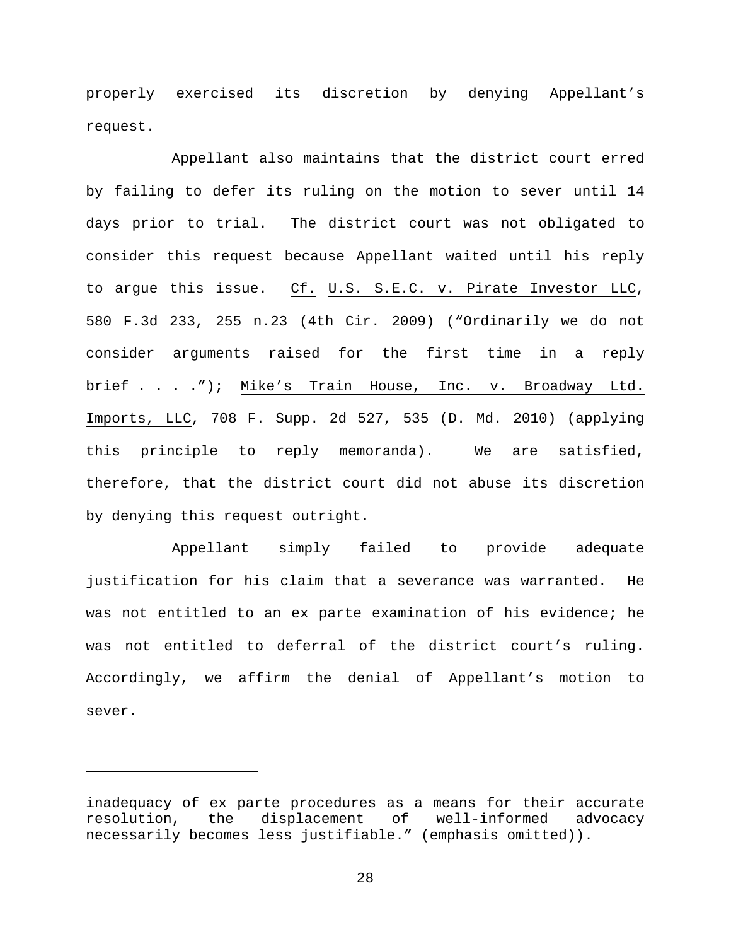properly exercised its discretion by denying Appellant's request.

Appellant also maintains that the district court erred by failing to defer its ruling on the motion to sever until 14 days prior to trial. The district court was not obligated to consider this request because Appellant waited until his reply to argue this issue. Cf. U.S. S.E.C. v. Pirate Investor LLC, 580 F.3d 233, 255 n.23 (4th Cir. 2009) ("Ordinarily we do not consider arguments raised for the first time in a reply brief . . . ."); Mike's Train House, Inc. v. Broadway Ltd. Imports, LLC, 708 F. Supp. 2d 527, 535 (D. Md. 2010) (applying this principle to reply memoranda). We are satisfied, therefore, that the district court did not abuse its discretion by denying this request outright.

Appellant simply failed to provide adequate justification for his claim that a severance was warranted. He was not entitled to an ex parte examination of his evidence; he was not entitled to deferral of the district court's ruling. Accordingly, we affirm the denial of Appellant's motion to sever.

Ĩ.

inadequacy of ex parte procedures as a means for their accurate resolution, the displacement of well-informed advocacy necessarily becomes less justifiable." (emphasis omitted)).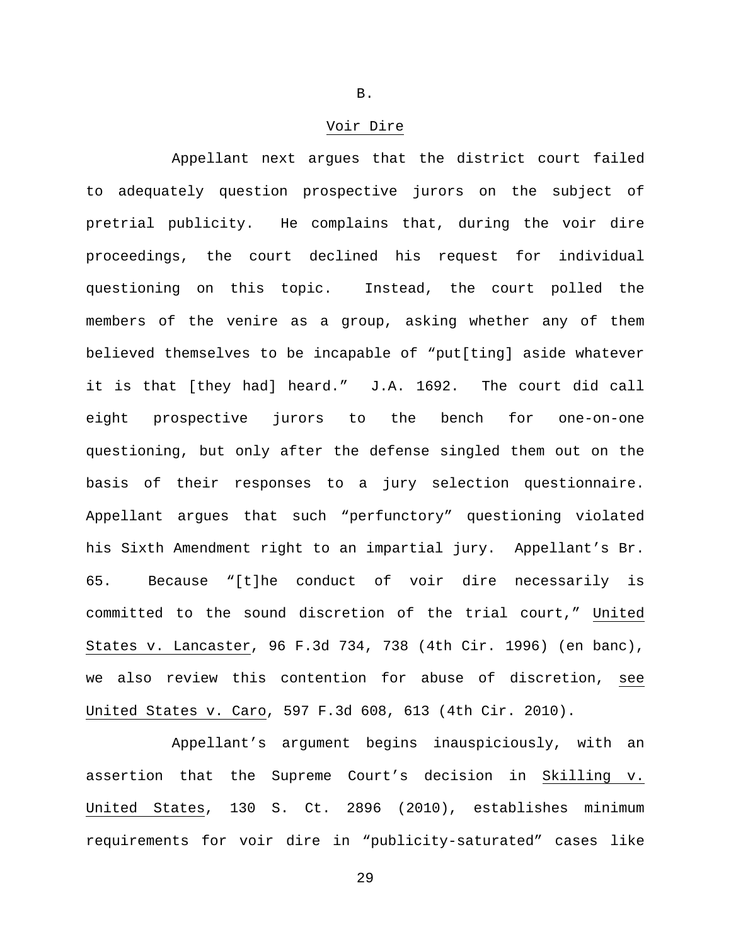### Voir Dire

Appellant next argues that the district court failed to adequately question prospective jurors on the subject of pretrial publicity. He complains that, during the voir dire proceedings, the court declined his request for individual questioning on this topic. Instead, the court polled the members of the venire as a group, asking whether any of them believed themselves to be incapable of "put[ting] aside whatever it is that [they had] heard." J.A. 1692. The court did call eight prospective jurors to the bench for one-on-one questioning, but only after the defense singled them out on the basis of their responses to a jury selection questionnaire. Appellant argues that such "perfunctory" questioning violated his Sixth Amendment right to an impartial jury. Appellant's Br. 65. Because "[t]he conduct of voir dire necessarily is committed to the sound discretion of the trial court," United States v. Lancaster, 96 F.3d 734, 738 (4th Cir. 1996) (en banc), we also review this contention for abuse of discretion, see United States v. Caro, 597 F.3d 608, 613 (4th Cir. 2010).

Appellant's argument begins inauspiciously, with an assertion that the Supreme Court's decision in Skilling v. United States, 130 S. Ct. 2896 (2010), establishes minimum requirements for voir dire in "publicity-saturated" cases like

B.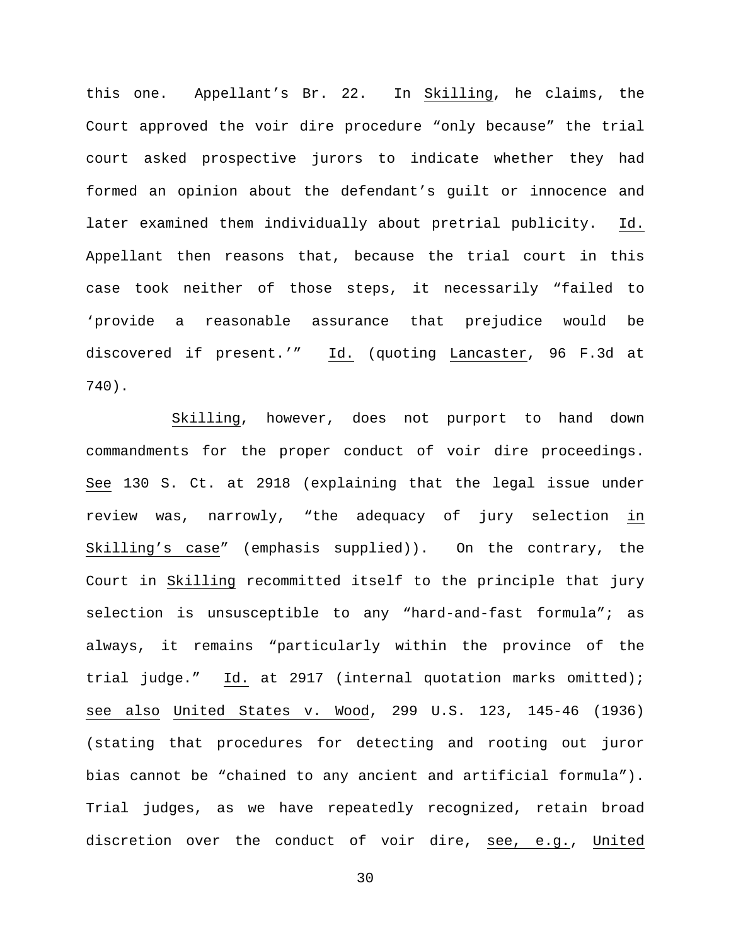this one. Appellant's Br. 22. In Skilling, he claims, the Court approved the voir dire procedure "only because" the trial court asked prospective jurors to indicate whether they had formed an opinion about the defendant's guilt or innocence and later examined them individually about pretrial publicity. Id. Appellant then reasons that, because the trial court in this case took neither of those steps, it necessarily "failed to 'provide a reasonable assurance that prejudice would be discovered if present.'" Id. (quoting Lancaster, 96 F.3d at 740).

Skilling, however, does not purport to hand down commandments for the proper conduct of voir dire proceedings. See 130 S. Ct. at 2918 (explaining that the legal issue under review was, narrowly, "the adequacy of jury selection in Skilling's case" (emphasis supplied)). On the contrary, the Court in Skilling recommitted itself to the principle that jury selection is unsusceptible to any "hard-and-fast formula"; as always, it remains "particularly within the province of the trial judge." Id. at 2917 (internal quotation marks omitted); see also United States v. Wood, 299 U.S. 123, 145-46 (1936) (stating that procedures for detecting and rooting out juror bias cannot be "chained to any ancient and artificial formula"). Trial judges, as we have repeatedly recognized, retain broad discretion over the conduct of voir dire, see, e.g., United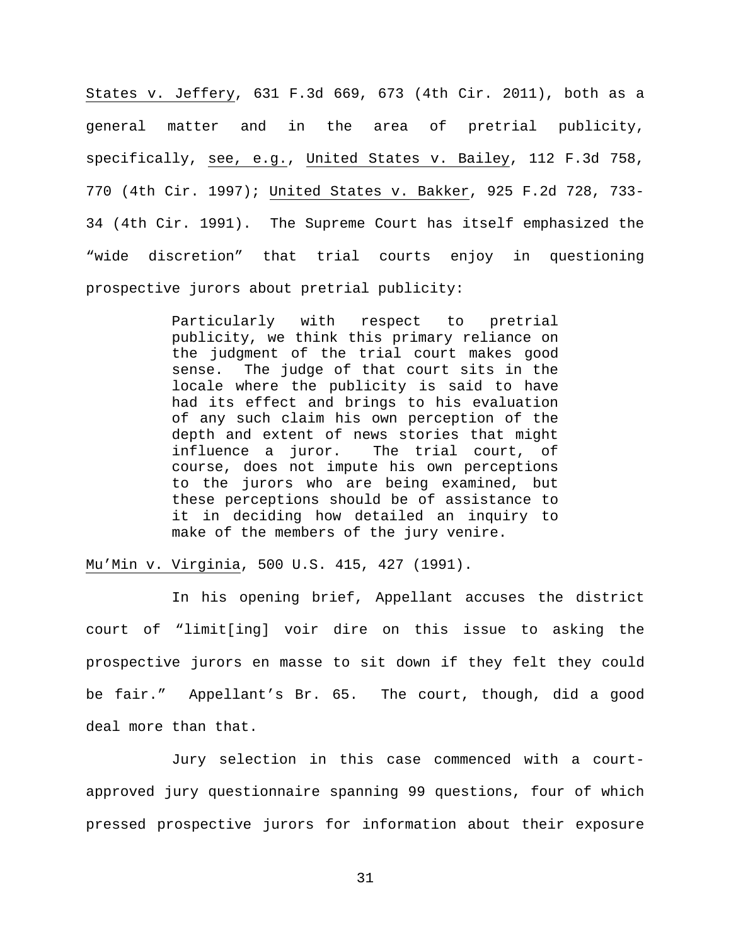States v. Jeffery, 631 F.3d 669, 673 (4th Cir. 2011), both as a general matter and in the area of pretrial publicity, specifically, see, e.g., United States v. Bailey, 112 F.3d 758, 770 (4th Cir. 1997); United States v. Bakker, 925 F.2d 728, 733- 34 (4th Cir. 1991). The Supreme Court has itself emphasized the "wide discretion" that trial courts enjoy in questioning prospective jurors about pretrial publicity:

> Particularly with respect to pretrial publicity, we think this primary reliance on the judgment of the trial court makes good sense. The judge of that court sits in the locale where the publicity is said to have had its effect and brings to his evaluation of any such claim his own perception of the depth and extent of news stories that might influence a juror. The trial court, of course, does not impute his own perceptions to the jurors who are being examined, but these perceptions should be of assistance to it in deciding how detailed an inquiry to make of the members of the jury venire.

Mu'Min v. Virginia, 500 U.S. 415, 427 (1991).

In his opening brief, Appellant accuses the district court of "limit[ing] voir dire on this issue to asking the prospective jurors en masse to sit down if they felt they could be fair." Appellant's Br. 65. The court, though, did a good deal more than that.

Jury selection in this case commenced with a courtapproved jury questionnaire spanning 99 questions, four of which pressed prospective jurors for information about their exposure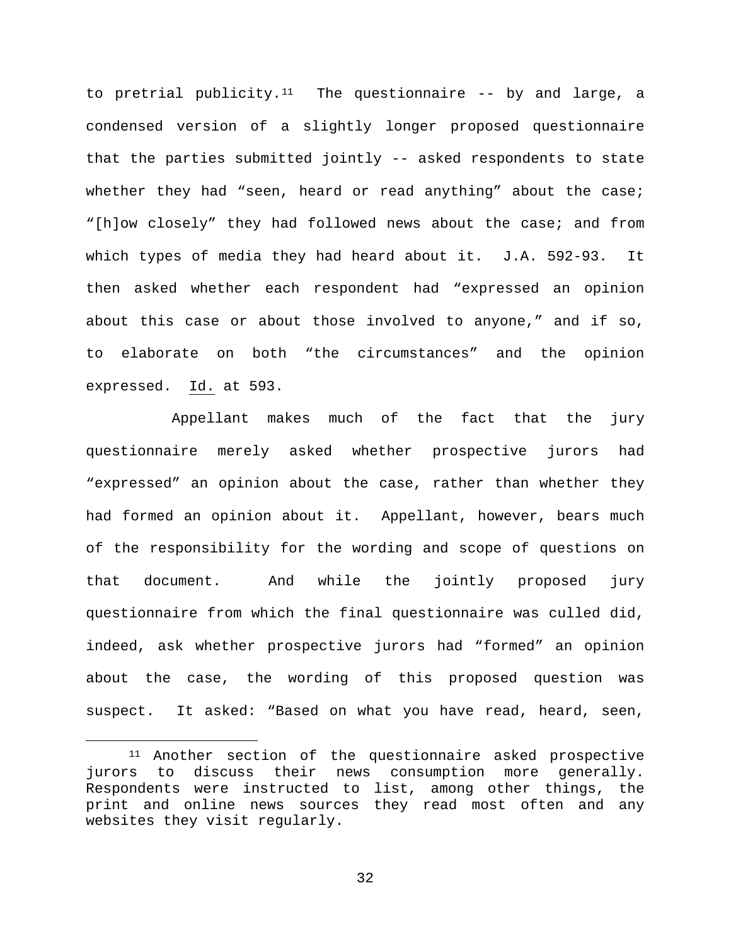to pretrial publicity.<sup>11</sup> The questionnaire  $-$ - by and large, a condensed version of a slightly longer proposed questionnaire that the parties submitted jointly -- asked respondents to state whether they had "seen, heard or read anything" about the case; "[h]ow closely" they had followed news about the case; and from which types of media they had heard about it. J.A. 592-93. It then asked whether each respondent had "expressed an opinion about this case or about those involved to anyone," and if so, to elaborate on both "the circumstances" and the opinion expressed. Id. at 593.

Appellant makes much of the fact that the jury questionnaire merely asked whether prospective jurors had "expressed" an opinion about the case, rather than whether they had formed an opinion about it. Appellant, however, bears much of the responsibility for the wording and scope of questions on that document. And while the jointly proposed jury questionnaire from which the final questionnaire was culled did, indeed, ask whether prospective jurors had "formed" an opinion about the case, the wording of this proposed question was suspect. It asked: "Based on what you have read, heard, seen,

<span id="page-31-0"></span><sup>&</sup>lt;sup>11</sup> Another section of the questionnaire asked prospective jurors to discuss their news consumption more generally. Respondents were instructed to list, among other things, the print and online news sources they read most often and any websites they visit regularly.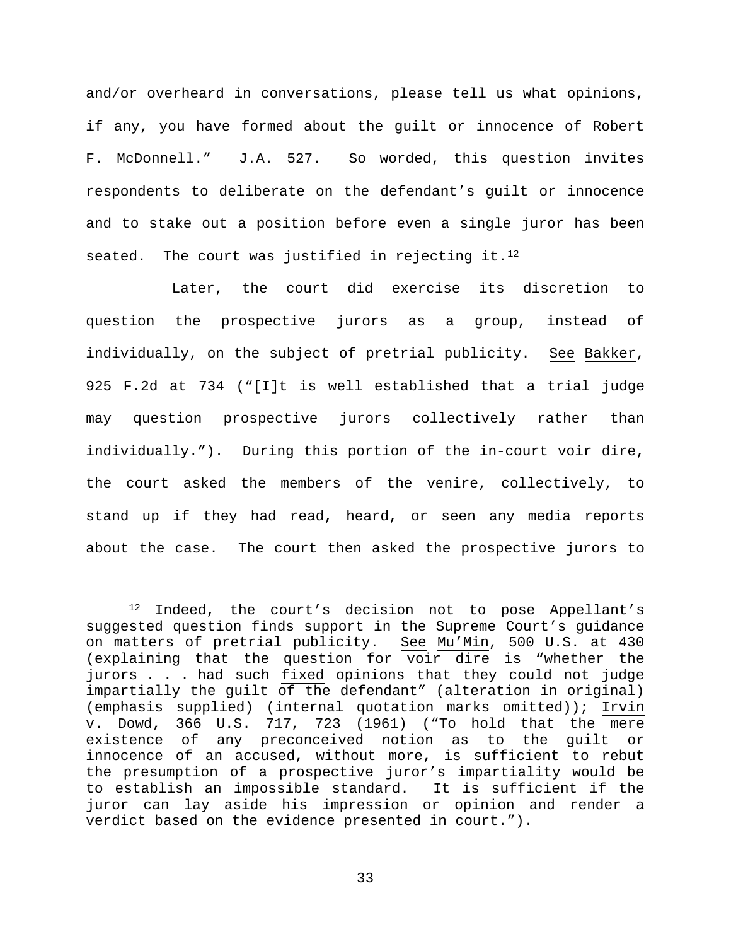and/or overheard in conversations, please tell us what opinions, if any, you have formed about the guilt or innocence of Robert F. McDonnell." J.A. 527. So worded, this question invites respondents to deliberate on the defendant's guilt or innocence and to stake out a position before even a single juror has been seated. The court was justified in rejecting it. $^{12}$  $^{12}$  $^{12}$ 

Later, the court did exercise its discretion to question the prospective jurors as a group, instead of individually, on the subject of pretrial publicity. See Bakker, 925 F.2d at 734 ("[I]t is well established that a trial judge may question prospective jurors collectively rather than individually."). During this portion of the in-court voir dire, the court asked the members of the venire, collectively, to stand up if they had read, heard, or seen any media reports about the case. The court then asked the prospective jurors to

<span id="page-32-0"></span> <sup>12</sup> Indeed, the court's decision not to pose Appellant's suggested question finds support in the Supreme Court's guidance on matters of pretrial publicity. See Mu'Min, 500 U.S. at 430 (explaining that the question for voir dire is "whether the jurors . . . had such fixed opinions that they could not judge impartially the guilt of the defendant" (alteration in original) (emphasis supplied) (internal quotation marks omitted)); Irvin v. Dowd, 366 U.S. 717, 723 (1961) ("To hold that the mere existence of any preconceived notion as to the guilt or innocence of an accused, without more, is sufficient to rebut the presumption of a prospective juror's impartiality would be to establish an impossible standard. It is sufficient if the juror can lay aside his impression or opinion and render a verdict based on the evidence presented in court.").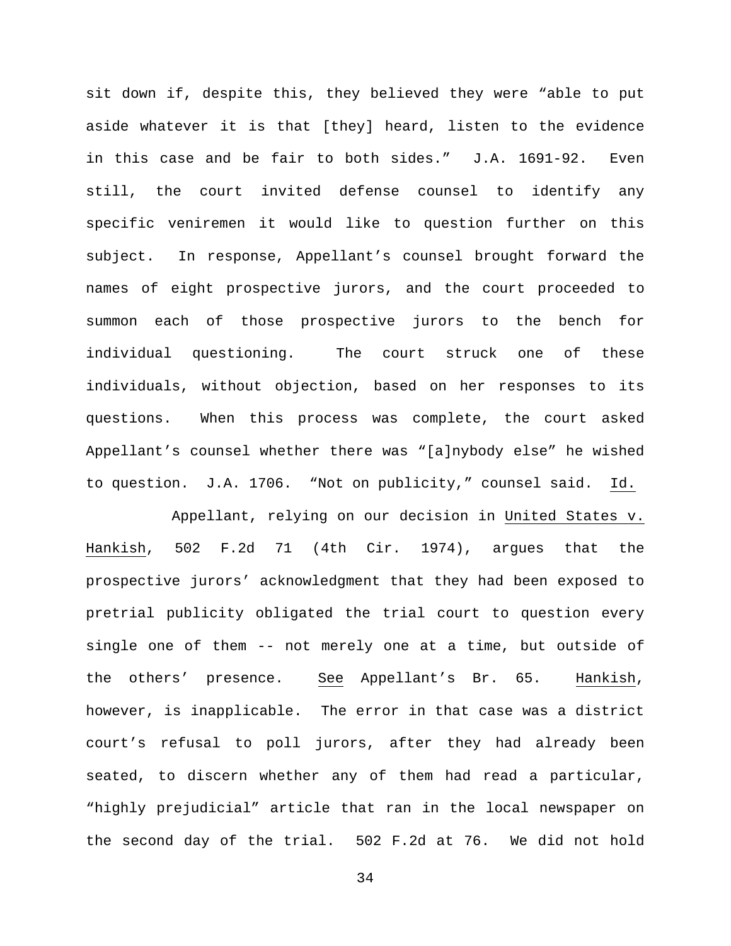sit down if, despite this, they believed they were "able to put aside whatever it is that [they] heard, listen to the evidence in this case and be fair to both sides." J.A. 1691-92. Even still, the court invited defense counsel to identify any specific veniremen it would like to question further on this subject. In response, Appellant's counsel brought forward the names of eight prospective jurors, and the court proceeded to summon each of those prospective jurors to the bench for individual questioning. The court struck one of these individuals, without objection, based on her responses to its questions. When this process was complete, the court asked Appellant's counsel whether there was "[a]nybody else" he wished to question. J.A. 1706. "Not on publicity," counsel said. Id.

Appellant, relying on our decision in United States v. Hankish, 502 F.2d 71 (4th Cir. 1974), argues that the prospective jurors' acknowledgment that they had been exposed to pretrial publicity obligated the trial court to question every single one of them -- not merely one at a time, but outside of the others' presence. See Appellant's Br. 65. Hankish, however, is inapplicable. The error in that case was a district court's refusal to poll jurors, after they had already been seated, to discern whether any of them had read a particular, "highly prejudicial" article that ran in the local newspaper on the second day of the trial. 502 F.2d at 76. We did not hold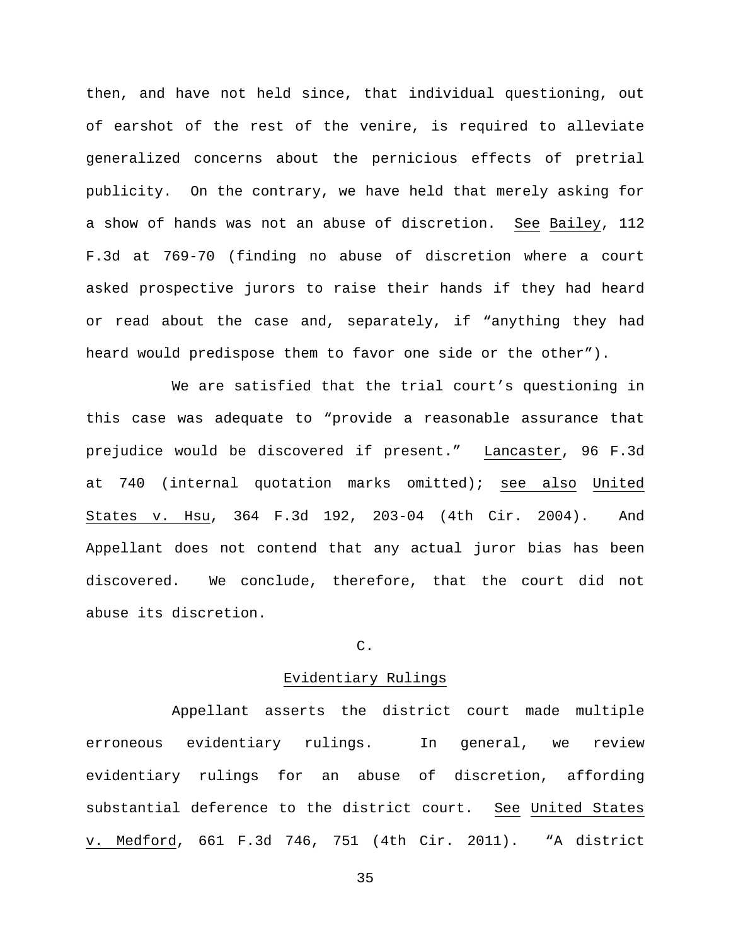then, and have not held since, that individual questioning, out of earshot of the rest of the venire, is required to alleviate generalized concerns about the pernicious effects of pretrial publicity. On the contrary, we have held that merely asking for a show of hands was not an abuse of discretion. See Bailey, 112 F.3d at 769-70 (finding no abuse of discretion where a court asked prospective jurors to raise their hands if they had heard or read about the case and, separately, if "anything they had heard would predispose them to favor one side or the other").

We are satisfied that the trial court's questioning in this case was adequate to "provide a reasonable assurance that prejudice would be discovered if present." Lancaster, 96 F.3d at 740 (internal quotation marks omitted); see also United States v. Hsu, 364 F.3d 192, 203-04 (4th Cir. 2004). And Appellant does not contend that any actual juror bias has been discovered. We conclude, therefore, that the court did not abuse its discretion.

# C.

# Evidentiary Rulings

Appellant asserts the district court made multiple erroneous evidentiary rulings. In general, we review evidentiary rulings for an abuse of discretion, affording substantial deference to the district court. See United States v. Medford, 661 F.3d 746, 751 (4th Cir. 2011). "A district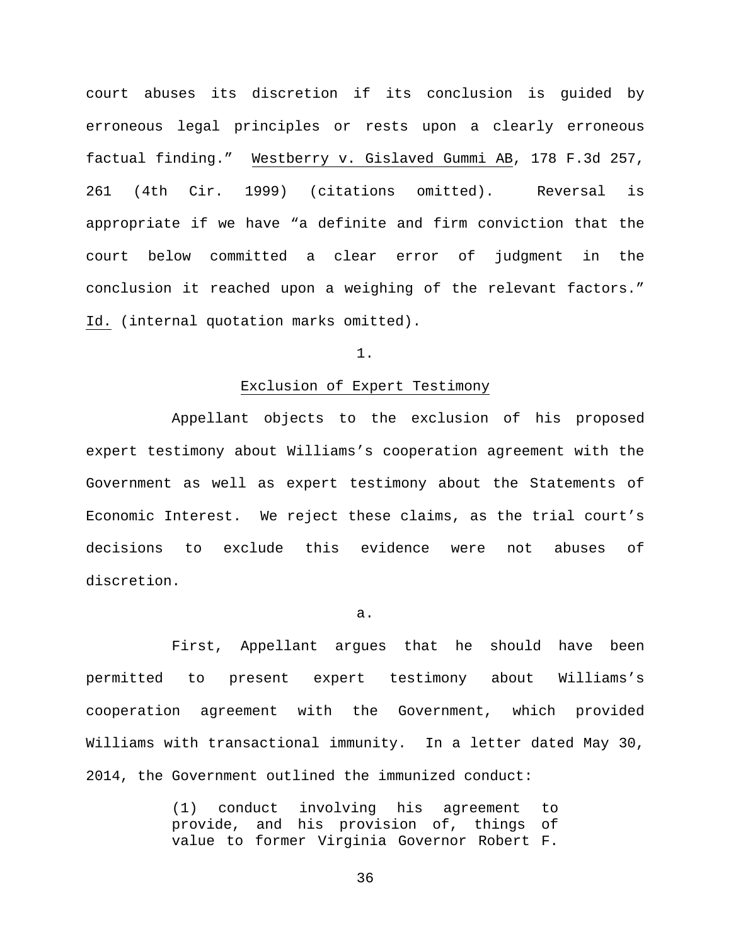court abuses its discretion if its conclusion is guided by erroneous legal principles or rests upon a clearly erroneous factual finding." Westberry v. Gislaved Gummi AB, 178 F.3d 257, 261 (4th Cir. 1999) (citations omitted). Reversal is appropriate if we have "a definite and firm conviction that the court below committed a clear error of judgment in the conclusion it reached upon a weighing of the relevant factors." Id. (internal quotation marks omitted).

# 1.

# Exclusion of Expert Testimony

Appellant objects to the exclusion of his proposed expert testimony about Williams's cooperation agreement with the Government as well as expert testimony about the Statements of Economic Interest. We reject these claims, as the trial court's decisions to exclude this evidence were not abuses of discretion.

#### a.

First, Appellant argues that he should have been permitted to present expert testimony about Williams's cooperation agreement with the Government, which provided Williams with transactional immunity. In a letter dated May 30, 2014, the Government outlined the immunized conduct:

> (1) conduct involving his agreement to provide, and his provision of, things of value to former Virginia Governor Robert F.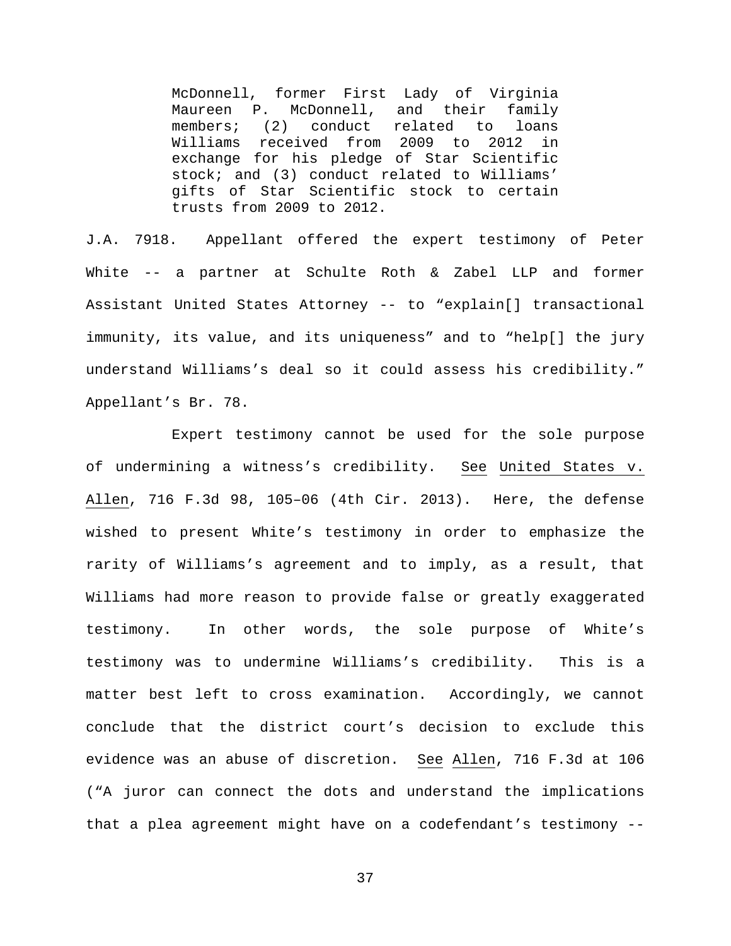McDonnell, former First Lady of Virginia Maureen P. McDonnell, and their family<br>members; (2) conduct related to loans conduct related to loans Williams received from 2009 to 2012 in exchange for his pledge of Star Scientific stock; and (3) conduct related to Williams' gifts of Star Scientific stock to certain trusts from 2009 to 2012.

J.A. 7918. Appellant offered the expert testimony of Peter White -- a partner at Schulte Roth & Zabel LLP and former Assistant United States Attorney -- to "explain[] transactional immunity, its value, and its uniqueness" and to "help[] the jury understand Williams's deal so it could assess his credibility." Appellant's Br. 78.

Expert testimony cannot be used for the sole purpose of undermining a witness's credibility. See United States v. Allen, 716 F.3d 98, 105–06 (4th Cir. 2013). Here, the defense wished to present White's testimony in order to emphasize the rarity of Williams's agreement and to imply, as a result, that Williams had more reason to provide false or greatly exaggerated testimony. In other words, the sole purpose of White's testimony was to undermine Williams's credibility. This is a matter best left to cross examination. Accordingly, we cannot conclude that the district court's decision to exclude this evidence was an abuse of discretion. See Allen, 716 F.3d at 106 ("A juror can connect the dots and understand the implications that a plea agreement might have on a codefendant's testimony --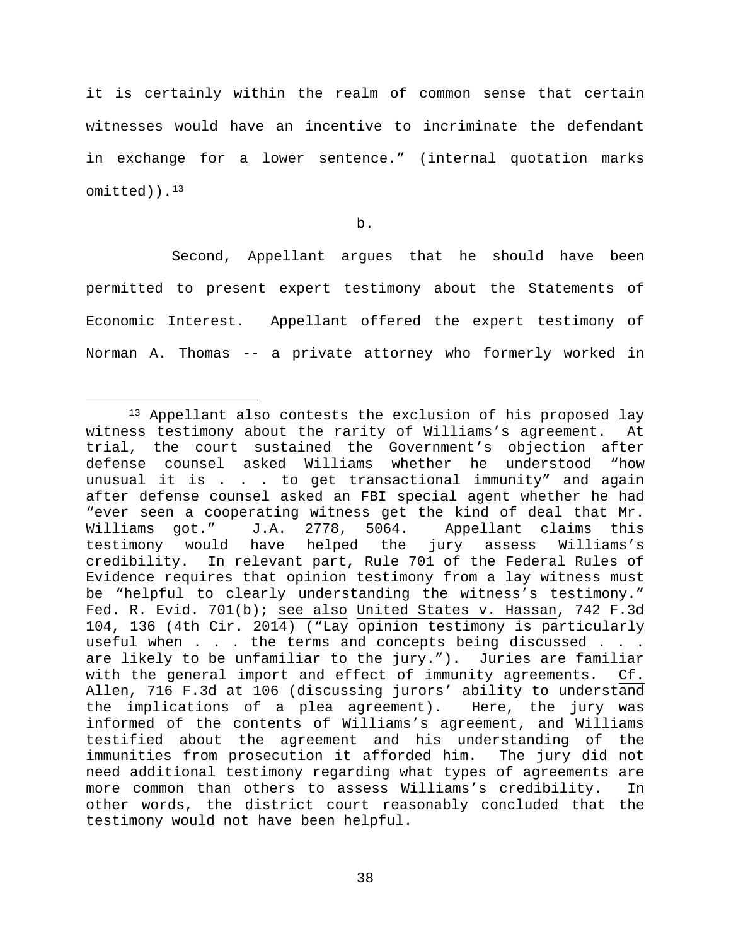it is certainly within the realm of common sense that certain witnesses would have an incentive to incriminate the defendant in exchange for a lower sentence." (internal quotation marks omitted)).[13](#page-37-0)

b.

Second, Appellant argues that he should have been permitted to present expert testimony about the Statements of Economic Interest. Appellant offered the expert testimony of Norman A. Thomas -- a private attorney who formerly worked in

<span id="page-37-0"></span><sup>&</sup>lt;sup>13</sup> Appellant also contests the exclusion of his proposed lay witness testimony about the rarity of Williams's agreement. At trial, the court sustained the Government's objection after defense counsel asked Williams whether he understood "how unusual it is . . . to get transactional immunity" and again after defense counsel asked an FBI special agent whether he had "ever seen a cooperating witness get the kind of deal that Mr.<br>Williams got." J.A. 2778, 5064. Appellant claims this Appellant claims this<br>" jury assess Williams's testimony would have helped the credibility. In relevant part, Rule 701 of the Federal Rules of Evidence requires that opinion testimony from a lay witness must be "helpful to clearly understanding the witness's testimony." Fed. R. Evid. 701(b); see also United States v. Hassan, 742 F.3d 104, 136 (4th Cir. 2014) ("Lay opinion testimony is particularly useful when . . . the terms and concepts being discussed . . . are likely to be unfamiliar to the jury."). Juries are familiar with the general import and effect of immunity agreements. Cf. Allen, 716 F.3d at 106 (discussing jurors' ability to understand the implications of a plea agreement). Here, the jury was informed of the contents of Williams's agreement, and Williams testified about the agreement and his understanding of the immunities from prosecution it afforded him. The jury did not need additional testimony regarding what types of agreements are more common than others to assess Williams's credibility. In other words, the district court reasonably concluded that the testimony would not have been helpful.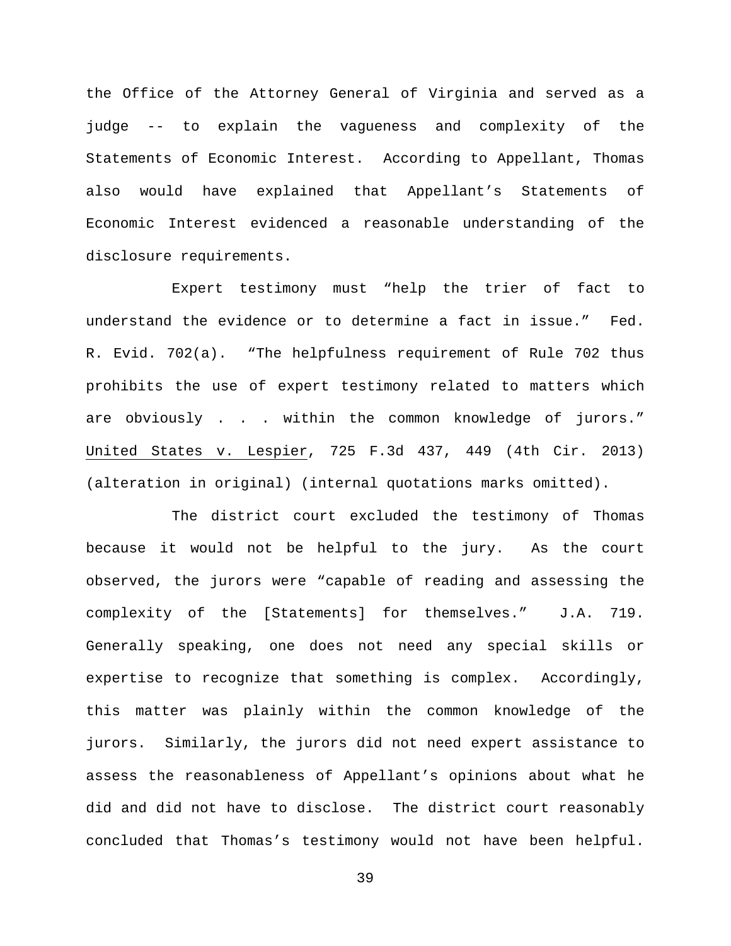the Office of the Attorney General of Virginia and served as a judge -- to explain the vagueness and complexity of the Statements of Economic Interest. According to Appellant, Thomas also would have explained that Appellant's Statements of Economic Interest evidenced a reasonable understanding of the disclosure requirements.

Expert testimony must "help the trier of fact to understand the evidence or to determine a fact in issue." Fed. R. Evid. 702(a). "The helpfulness requirement of Rule 702 thus prohibits the use of expert testimony related to matters which are obviously . . . within the common knowledge of jurors." United States v. Lespier, 725 F.3d 437, 449 (4th Cir. 2013) (alteration in original) (internal quotations marks omitted).

The district court excluded the testimony of Thomas because it would not be helpful to the jury. As the court observed, the jurors were "capable of reading and assessing the complexity of the [Statements] for themselves." J.A. 719. Generally speaking, one does not need any special skills or expertise to recognize that something is complex. Accordingly, this matter was plainly within the common knowledge of the jurors. Similarly, the jurors did not need expert assistance to assess the reasonableness of Appellant's opinions about what he did and did not have to disclose. The district court reasonably concluded that Thomas's testimony would not have been helpful.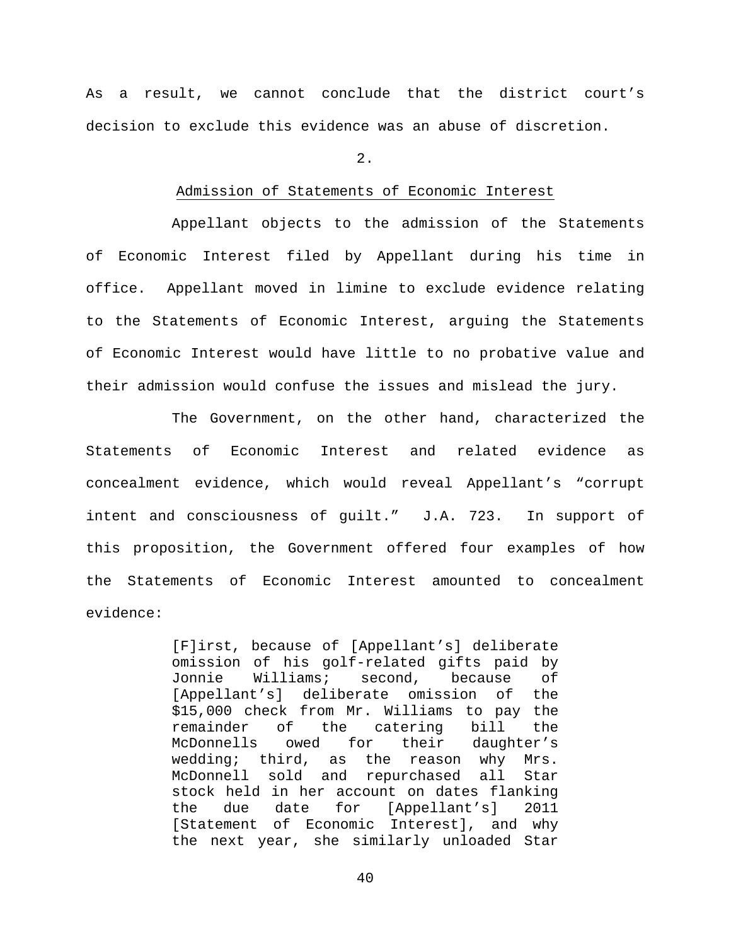As a result, we cannot conclude that the district court's decision to exclude this evidence was an abuse of discretion.

2.

### Admission of Statements of Economic Interest

Appellant objects to the admission of the Statements of Economic Interest filed by Appellant during his time in office. Appellant moved in limine to exclude evidence relating to the Statements of Economic Interest, arguing the Statements of Economic Interest would have little to no probative value and their admission would confuse the issues and mislead the jury.

The Government, on the other hand, characterized the Statements of Economic Interest and related evidence as concealment evidence, which would reveal Appellant's "corrupt intent and consciousness of guilt." J.A. 723. In support of this proposition, the Government offered four examples of how the Statements of Economic Interest amounted to concealment evidence:

> [F]irst, because of [Appellant's] deliberate omission of his golf-related gifts paid by Jonnie Williams; second, because of<br>[Appellant's] deliberate omission of the [Appellant's] deliberate omission of the \$15,000 check from Mr. Williams to pay the remainder of the catering bill the<br>McDonnells owed for their daughter's daughter's wedding; third, as the reason why Mrs. McDonnell sold and repurchased all Star stock held in her account on dates flanking<br>the due date for [Appellant's] 2011 [Appellant's] 2011 [Statement of Economic Interest], and why the next year, she similarly unloaded Star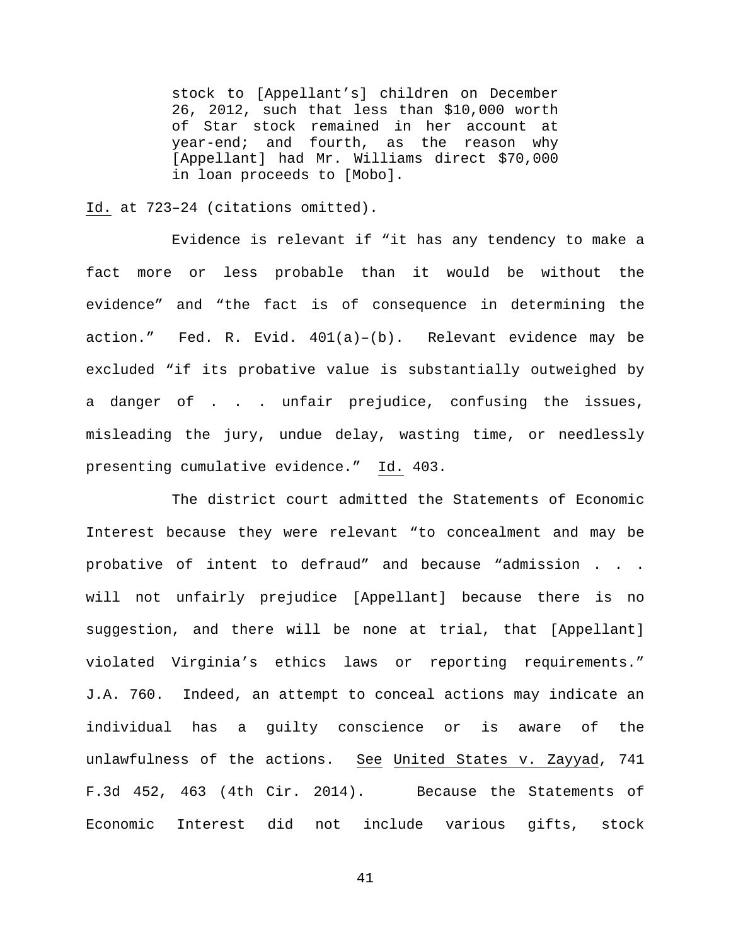stock to [Appellant's] children on December 26, 2012, such that less than \$10,000 worth of Star stock remained in her account at year-end; and fourth, as the reason why [Appellant] had Mr. Williams direct \$70,000 in loan proceeds to [Mobo].

Id. at 723–24 (citations omitted).

Evidence is relevant if "it has any tendency to make a fact more or less probable than it would be without the evidence" and "the fact is of consequence in determining the action." Fed. R. Evid. 401(a)–(b). Relevant evidence may be excluded "if its probative value is substantially outweighed by a danger of . . . unfair prejudice, confusing the issues, misleading the jury, undue delay, wasting time, or needlessly presenting cumulative evidence." Id. 403.

The district court admitted the Statements of Economic Interest because they were relevant "to concealment and may be probative of intent to defraud" and because "admission . . . will not unfairly prejudice [Appellant] because there is no suggestion, and there will be none at trial, that [Appellant] violated Virginia's ethics laws or reporting requirements." J.A. 760. Indeed, an attempt to conceal actions may indicate an individual has a guilty conscience or is aware of the unlawfulness of the actions. See United States v. Zayyad, 741 F.3d 452, 463 (4th Cir. 2014). Because the Statements of Economic Interest did not include various gifts, stock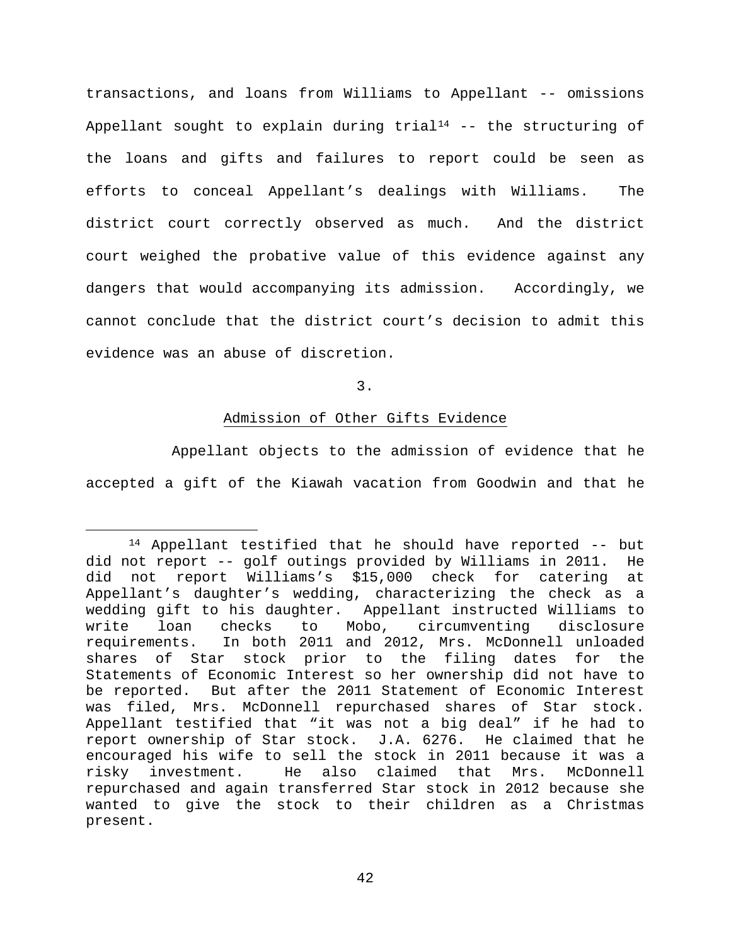transactions, and loans from Williams to Appellant -- omissions Appellant sought to explain during  $trial<sup>14</sup>$  $trial<sup>14</sup>$  $trial<sup>14</sup>$  -- the structuring of the loans and gifts and failures to report could be seen as efforts to conceal Appellant's dealings with Williams. The district court correctly observed as much. And the district court weighed the probative value of this evidence against any dangers that would accompanying its admission. Accordingly, we cannot conclude that the district court's decision to admit this evidence was an abuse of discretion.

3.

## Admission of Other Gifts Evidence

Appellant objects to the admission of evidence that he accepted a gift of the Kiawah vacation from Goodwin and that he

<span id="page-41-0"></span> <sup>14</sup> Appellant testified that he should have reported -- but did not report -- golf outings provided by Williams in 2011. He did not report Williams's \$15,000 check for catering at Appellant's daughter's wedding, characterizing the check as a wedding gift to his daughter. Appellant instructed Williams to<br>write loan checks to Mobo, circumventing disclosure write loan checks to Mobo, circumventing<br>requirements. In both 2011 and 2012, Mrs. McDonn In both 2011 and 2012, Mrs. McDonnell unloaded shares of Star stock prior to the filing dates for the Statements of Economic Interest so her ownership did not have to be reported. But after the 2011 Statement of Economic Interest was filed, Mrs. McDonnell repurchased shares of Star stock. Appellant testified that "it was not a big deal" if he had to report ownership of Star stock. J.A. 6276. He claimed that he encouraged his wife to sell the stock in 2011 because it was a risky investment. He also claimed that Mrs. McDonnell repurchased and again transferred Star stock in 2012 because she wanted to give the stock to their children as a Christmas present.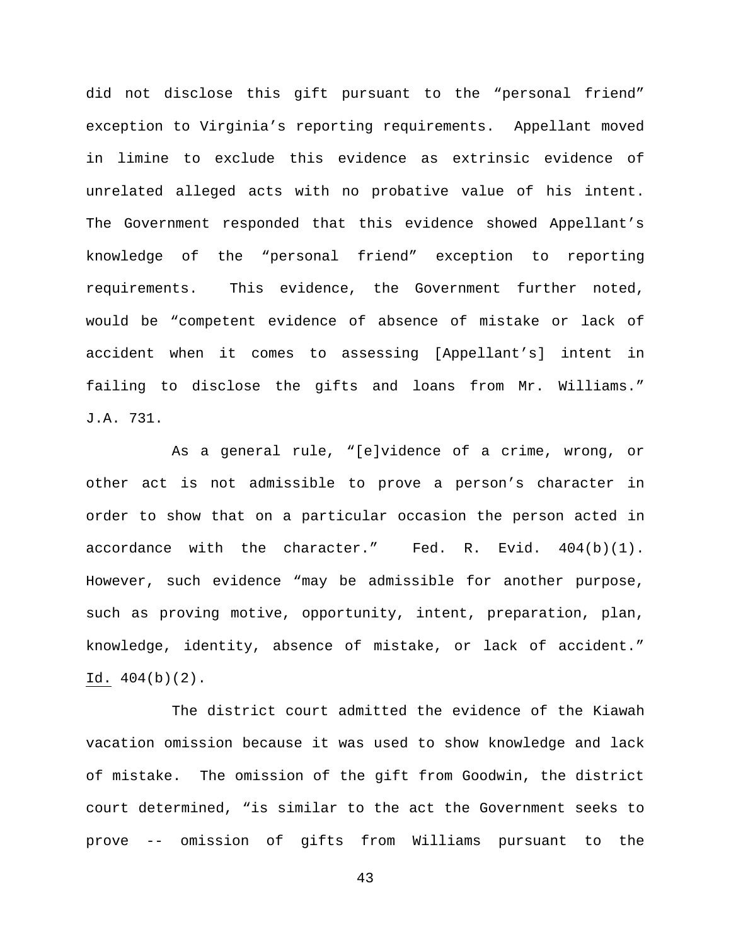did not disclose this gift pursuant to the "personal friend" exception to Virginia's reporting requirements. Appellant moved in limine to exclude this evidence as extrinsic evidence of unrelated alleged acts with no probative value of his intent. The Government responded that this evidence showed Appellant's knowledge of the "personal friend" exception to reporting requirements. This evidence, the Government further noted, would be "competent evidence of absence of mistake or lack of accident when it comes to assessing [Appellant's] intent in failing to disclose the gifts and loans from Mr. Williams." J.A. 731.

As a general rule, "[e]vidence of a crime, wrong, or other act is not admissible to prove a person's character in order to show that on a particular occasion the person acted in accordance with the character." Fed. R. Evid. 404(b)(1). However, such evidence "may be admissible for another purpose, such as proving motive, opportunity, intent, preparation, plan, knowledge, identity, absence of mistake, or lack of accident." Id. 404(b)(2).

The district court admitted the evidence of the Kiawah vacation omission because it was used to show knowledge and lack of mistake. The omission of the gift from Goodwin, the district court determined, "is similar to the act the Government seeks to prove -- omission of gifts from Williams pursuant to the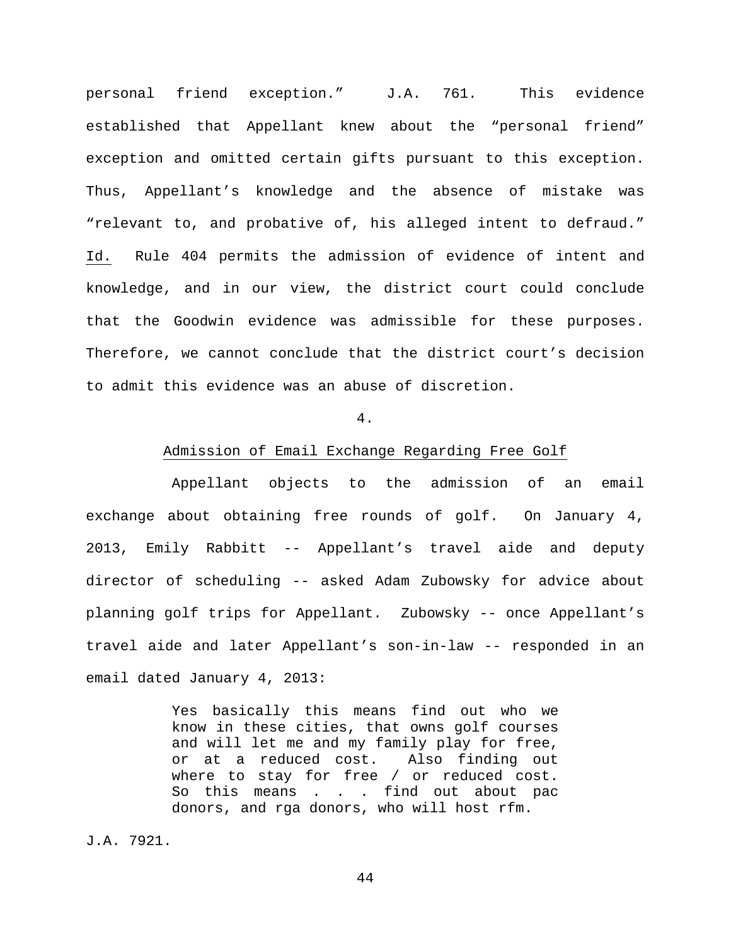personal friend exception." J.A. 761. This evidence established that Appellant knew about the "personal friend" exception and omitted certain gifts pursuant to this exception. Thus, Appellant's knowledge and the absence of mistake was "relevant to, and probative of, his alleged intent to defraud." Id. Rule 404 permits the admission of evidence of intent and knowledge, and in our view, the district court could conclude that the Goodwin evidence was admissible for these purposes. Therefore, we cannot conclude that the district court's decision to admit this evidence was an abuse of discretion.

### 4.

# Admission of Email Exchange Regarding Free Golf

Appellant objects to the admission of an email exchange about obtaining free rounds of golf. On January 4, 2013, Emily Rabbitt -- Appellant's travel aide and deputy director of scheduling -- asked Adam Zubowsky for advice about planning golf trips for Appellant. Zubowsky -- once Appellant's travel aide and later Appellant's son-in-law -- responded in an email dated January 4, 2013:

> Yes basically this means find out who we know in these cities, that owns golf courses and will let me and my family play for free, or at a reduced cost. Also finding out where to stay for free / or reduced cost. So this means . . . find out about pac donors, and rga donors, who will host rfm.

J.A. 7921.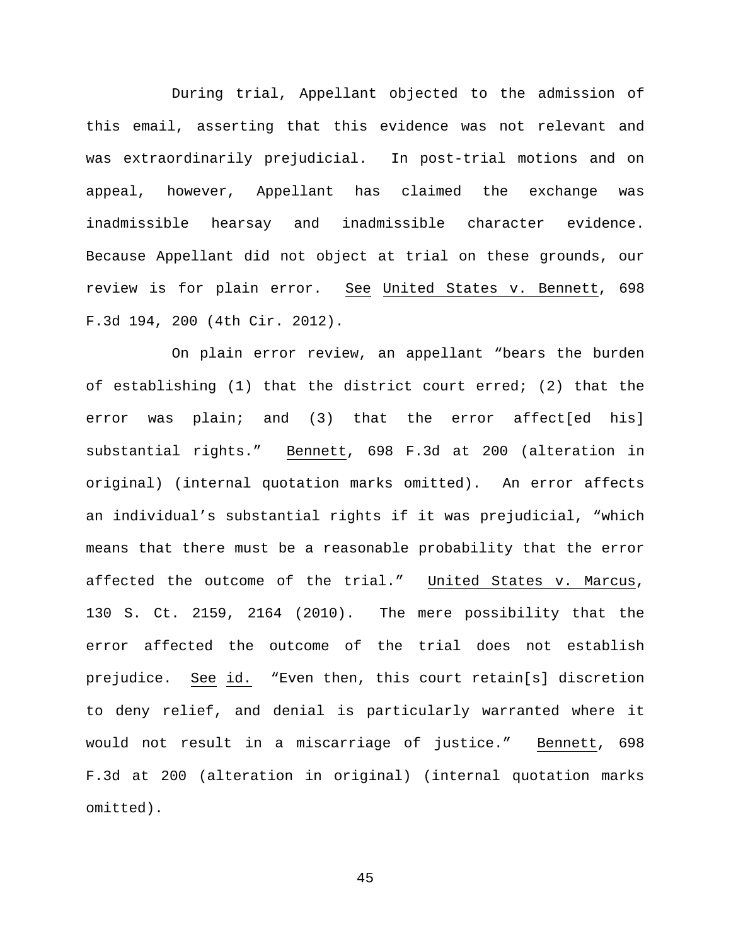During trial, Appellant objected to the admission of this email, asserting that this evidence was not relevant and was extraordinarily prejudicial. In post-trial motions and on appeal, however, Appellant has claimed the exchange was inadmissible hearsay and inadmissible character evidence. Because Appellant did not object at trial on these grounds, our review is for plain error. See United States v. Bennett, 698 F.3d 194, 200 (4th Cir. 2012).

On plain error review, an appellant "bears the burden of establishing (1) that the district court erred; (2) that the error was plain; and (3) that the error affect[ed his] substantial rights." Bennett, 698 F.3d at 200 (alteration in original) (internal quotation marks omitted). An error affects an individual's substantial rights if it was prejudicial, "which means that there must be a reasonable probability that the error affected the outcome of the trial." United States v. Marcus, 130 S. Ct. 2159, 2164 (2010). The mere possibility that the error affected the outcome of the trial does not establish prejudice. See id. "Even then, this court retain[s] discretion to deny relief, and denial is particularly warranted where it would not result in a miscarriage of justice." Bennett, 698 F.3d at 200 (alteration in original) (internal quotation marks omitted).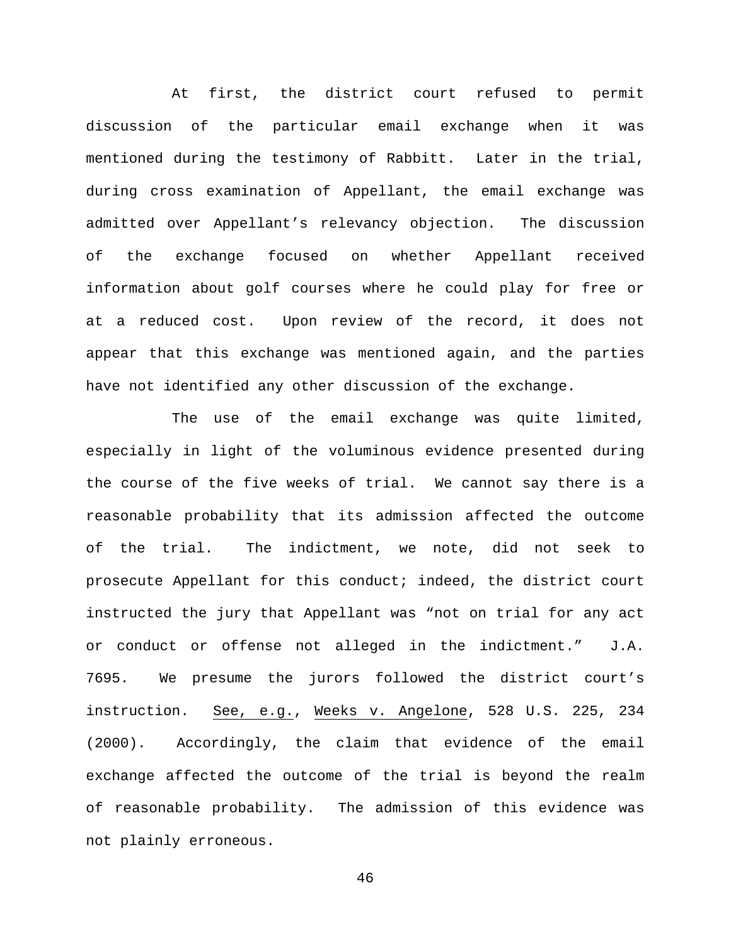At first, the district court refused to permit discussion of the particular email exchange when it was mentioned during the testimony of Rabbitt. Later in the trial, during cross examination of Appellant, the email exchange was admitted over Appellant's relevancy objection. The discussion of the exchange focused on whether Appellant received information about golf courses where he could play for free or at a reduced cost. Upon review of the record, it does not appear that this exchange was mentioned again, and the parties have not identified any other discussion of the exchange.

The use of the email exchange was quite limited, especially in light of the voluminous evidence presented during the course of the five weeks of trial. We cannot say there is a reasonable probability that its admission affected the outcome of the trial. The indictment, we note, did not seek to prosecute Appellant for this conduct; indeed, the district court instructed the jury that Appellant was "not on trial for any act or conduct or offense not alleged in the indictment." J.A. 7695. We presume the jurors followed the district court's instruction. See, e.g., Weeks v. Angelone, 528 U.S. 225, 234 (2000). Accordingly, the claim that evidence of the email exchange affected the outcome of the trial is beyond the realm of reasonable probability. The admission of this evidence was not plainly erroneous.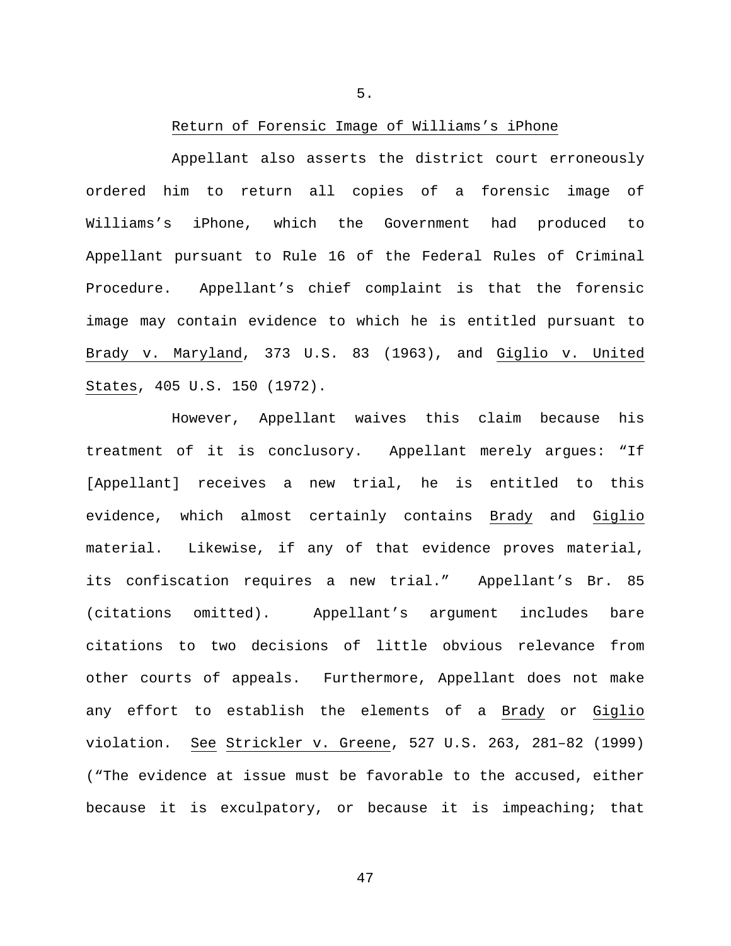5.

### Return of Forensic Image of Williams's iPhone

Appellant also asserts the district court erroneously ordered him to return all copies of a forensic image of Williams's iPhone, which the Government had produced to Appellant pursuant to Rule 16 of the Federal Rules of Criminal Procedure. Appellant's chief complaint is that the forensic image may contain evidence to which he is entitled pursuant to Brady v. Maryland, 373 U.S. 83 (1963), and Giglio v. United States, 405 U.S. 150 (1972).

However, Appellant waives this claim because his treatment of it is conclusory. Appellant merely argues: "If [Appellant] receives a new trial, he is entitled to this evidence, which almost certainly contains Brady and Giglio material. Likewise, if any of that evidence proves material, its confiscation requires a new trial." Appellant's Br. 85 (citations omitted). Appellant's argument includes bare citations to two decisions of little obvious relevance from other courts of appeals. Furthermore, Appellant does not make any effort to establish the elements of a Brady or Giglio violation. See Strickler v. Greene, 527 U.S. 263, 281–82 (1999) ("The evidence at issue must be favorable to the accused, either because it is exculpatory, or because it is impeaching; that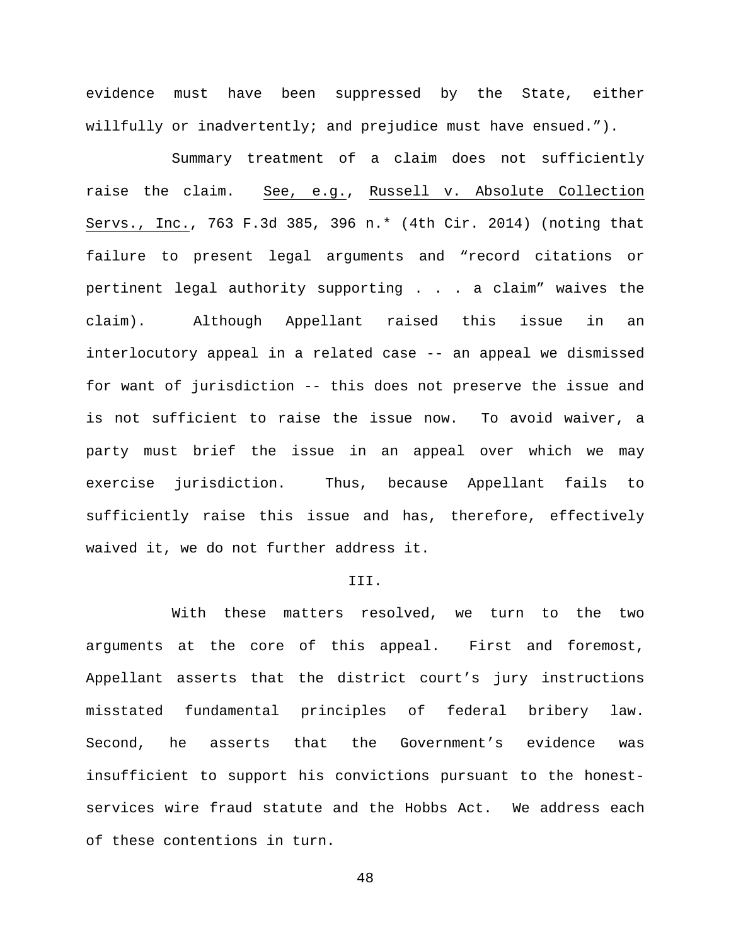evidence must have been suppressed by the State, either willfully or inadvertently; and prejudice must have ensued.").

Summary treatment of a claim does not sufficiently raise the claim. See, e.g., Russell v. Absolute Collection Servs., Inc., 763 F.3d 385, 396 n.\* (4th Cir. 2014) (noting that failure to present legal arguments and "record citations or pertinent legal authority supporting . . . a claim" waives the claim). Although Appellant raised this issue in an interlocutory appeal in a related case -- an appeal we dismissed for want of jurisdiction -- this does not preserve the issue and is not sufficient to raise the issue now. To avoid waiver, a party must brief the issue in an appeal over which we may exercise jurisdiction. Thus, because Appellant fails to sufficiently raise this issue and has, therefore, effectively waived it, we do not further address it.

## III.

With these matters resolved, we turn to the two arguments at the core of this appeal. First and foremost, Appellant asserts that the district court's jury instructions misstated fundamental principles of federal bribery law. Second, he asserts that the Government's evidence was insufficient to support his convictions pursuant to the honestservices wire fraud statute and the Hobbs Act. We address each of these contentions in turn.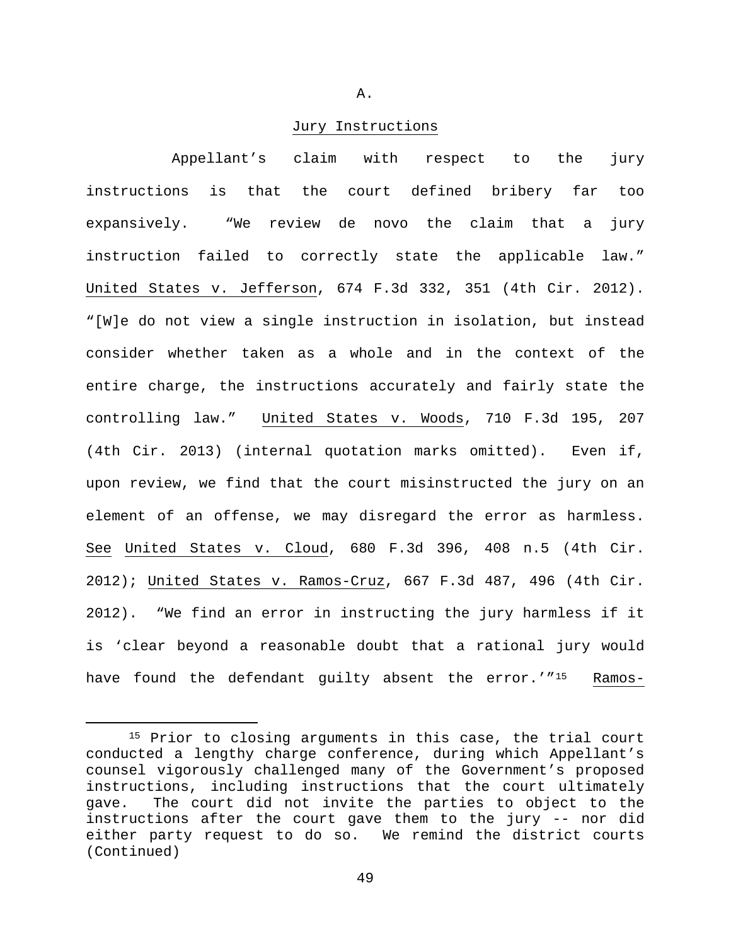A.

### Jury Instructions

Appellant's claim with respect to the jury instructions is that the court defined bribery far too expansively. "We review de novo the claim that a jury instruction failed to correctly state the applicable law." United States v. Jefferson, 674 F.3d 332, 351 (4th Cir. 2012). "[W]e do not view a single instruction in isolation, but instead consider whether taken as a whole and in the context of the entire charge, the instructions accurately and fairly state the controlling law." United States v. Woods, 710 F.3d 195, 207 (4th Cir. 2013) (internal quotation marks omitted). Even if, upon review, we find that the court misinstructed the jury on an element of an offense, we may disregard the error as harmless. See United States v. Cloud, 680 F.3d 396, 408 n.5 (4th Cir. 2012); United States v. Ramos-Cruz, 667 F.3d 487, 496 (4th Cir. 2012). "We find an error in instructing the jury harmless if it is 'clear beyond a reasonable doubt that a rational jury would have found the defendant guilty absent the error.'"<sup>15</sup> Ramos-

<span id="page-48-0"></span><sup>&</sup>lt;sup>15</sup> Prior to closing arguments in this case, the trial court conducted a lengthy charge conference, during which Appellant's counsel vigorously challenged many of the Government's proposed instructions, including instructions that the court ultimately gave. The court did not invite the parties to object to the instructions after the court gave them to the jury -- nor did either party request to do so. We remind the district courts (Continued)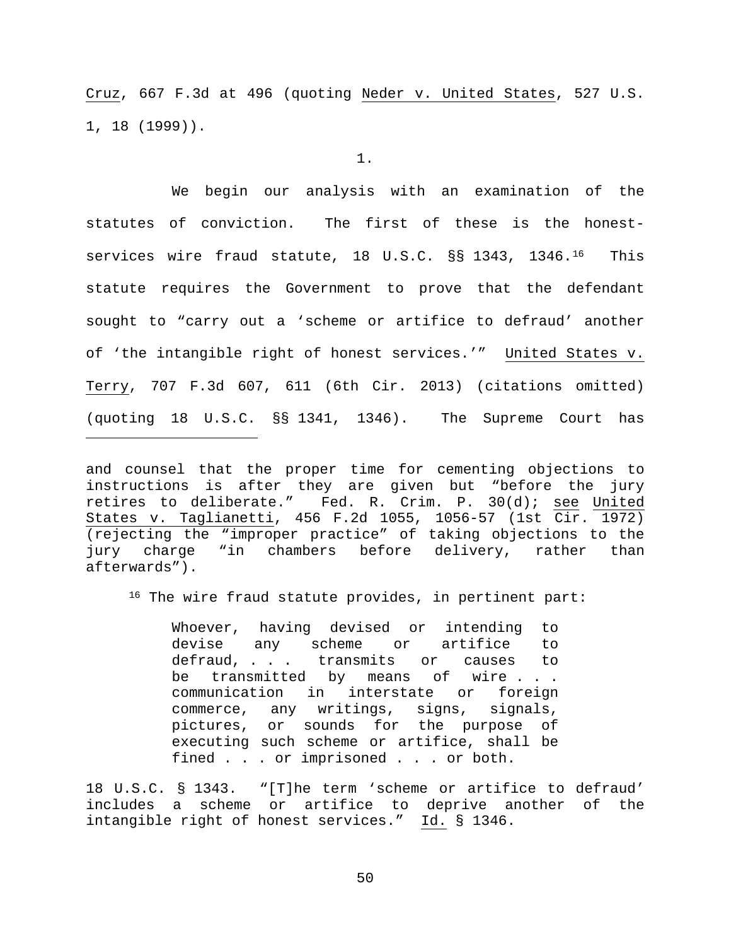Cruz, 667 F.3d at 496 (quoting Neder v. United States, 527 U.S. 1, 18 (1999)).

1.

We begin our analysis with an examination of the statutes of conviction. The first of these is the honest-services wire fraud statute, 18 U.S.C. §§ 1343, 1346.<sup>[16](#page-49-0)</sup> This statute requires the Government to prove that the defendant sought to "carry out a 'scheme or artifice to defraud' another of 'the intangible right of honest services.'" United States v. Terry, 707 F.3d 607, 611 (6th Cir. 2013) (citations omitted) (quoting 18 U.S.C. §§ 1341, 1346). The Supreme Court has

and counsel that the proper time for cementing objections to instructions is after they are given but "before the jury retires to deliberate." Fed. R. Crim. P. 30(d); see United States v. Taglianetti, 456 F.2d 1055, 1056-57 (1st Cir. 1972) (rejecting the "improper practice" of taking objections to the jury charge "in chambers before delivery, rather than afterwards").

Ĩ.

<span id="page-49-0"></span>16 The wire fraud statute provides, in pertinent part:

Whoever, having devised or intending to<br>devise any scheme or artifice to any scheme or artifice to defraud, . . . transmits or causes to<br>be transmitted by means of wire . . . transmitted by means of wire . . . communication in interstate or foreign commerce, any writings, signs, signals, pictures, or sounds for the purpose of executing such scheme or artifice, shall be fined . . . or imprisoned . . . or both.

18 U.S.C. § 1343. "[T]he term 'scheme or artifice to defraud' includes a scheme or artifice to deprive another of the intangible right of honest services." Id. § 1346.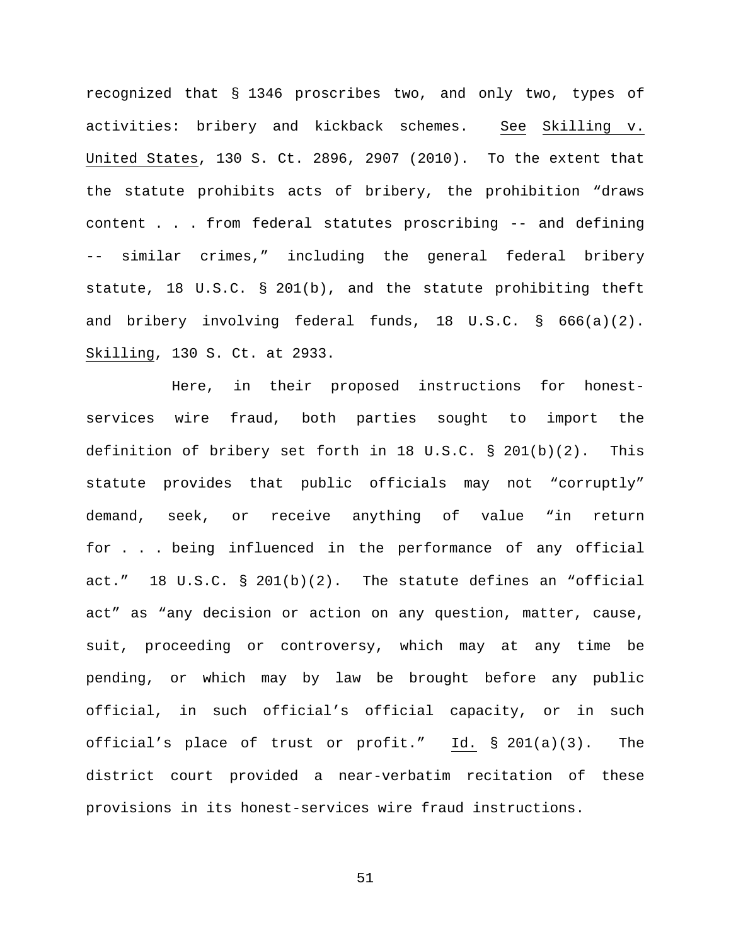recognized that § 1346 proscribes two, and only two, types of activities: bribery and kickback schemes. See Skilling v. United States, 130 S. Ct. 2896, 2907 (2010). To the extent that the statute prohibits acts of bribery, the prohibition "draws content . . . from federal statutes proscribing -- and defining -- similar crimes," including the general federal bribery statute, 18 U.S.C. § 201(b), and the statute prohibiting theft and bribery involving federal funds, 18 U.S.C. § 666(a)(2). Skilling, 130 S. Ct. at 2933.

Here, in their proposed instructions for honestservices wire fraud, both parties sought to import the definition of bribery set forth in 18 U.S.C.  $\S$  201(b)(2). This statute provides that public officials may not "corruptly" demand, seek, or receive anything of value "in return for . . . being influenced in the performance of any official act." 18 U.S.C. § 201(b)(2). The statute defines an "official act" as "any decision or action on any question, matter, cause, suit, proceeding or controversy, which may at any time be pending, or which may by law be brought before any public official, in such official's official capacity, or in such official's place of trust or profit." Id. § 201(a)(3). The district court provided a near-verbatim recitation of these provisions in its honest-services wire fraud instructions.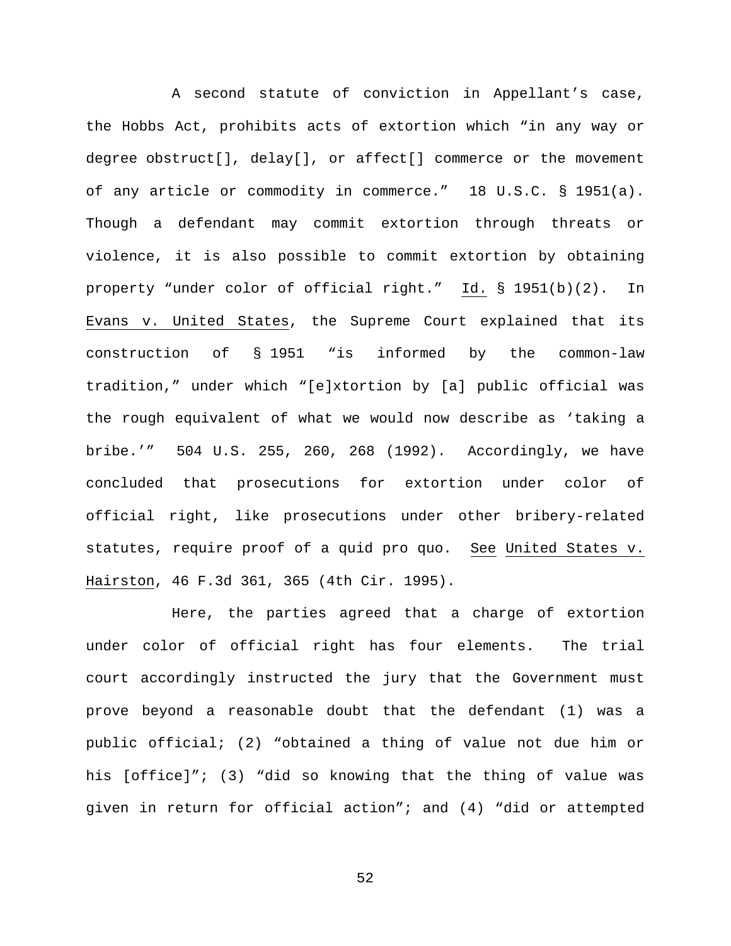A second statute of conviction in Appellant's case, the Hobbs Act, prohibits acts of extortion which "in any way or degree obstruct[], delay[], or affect[] commerce or the movement of any article or commodity in commerce." 18 U.S.C. § 1951(a). Though a defendant may commit extortion through threats or violence, it is also possible to commit extortion by obtaining property "under color of official right." Id. § 1951(b)(2). In Evans v. United States, the Supreme Court explained that its construction of § 1951 "is informed by the common-law tradition," under which "[e]xtortion by [a] public official was the rough equivalent of what we would now describe as 'taking a bribe.'" 504 U.S. 255, 260, 268 (1992). Accordingly, we have concluded that prosecutions for extortion under color of official right, like prosecutions under other bribery-related statutes, require proof of a quid pro quo. See United States v. Hairston, 46 F.3d 361, 365 (4th Cir. 1995).

Here, the parties agreed that a charge of extortion under color of official right has four elements. The trial court accordingly instructed the jury that the Government must prove beyond a reasonable doubt that the defendant (1) was a public official; (2) "obtained a thing of value not due him or his [office]"; (3) "did so knowing that the thing of value was given in return for official action"; and (4) "did or attempted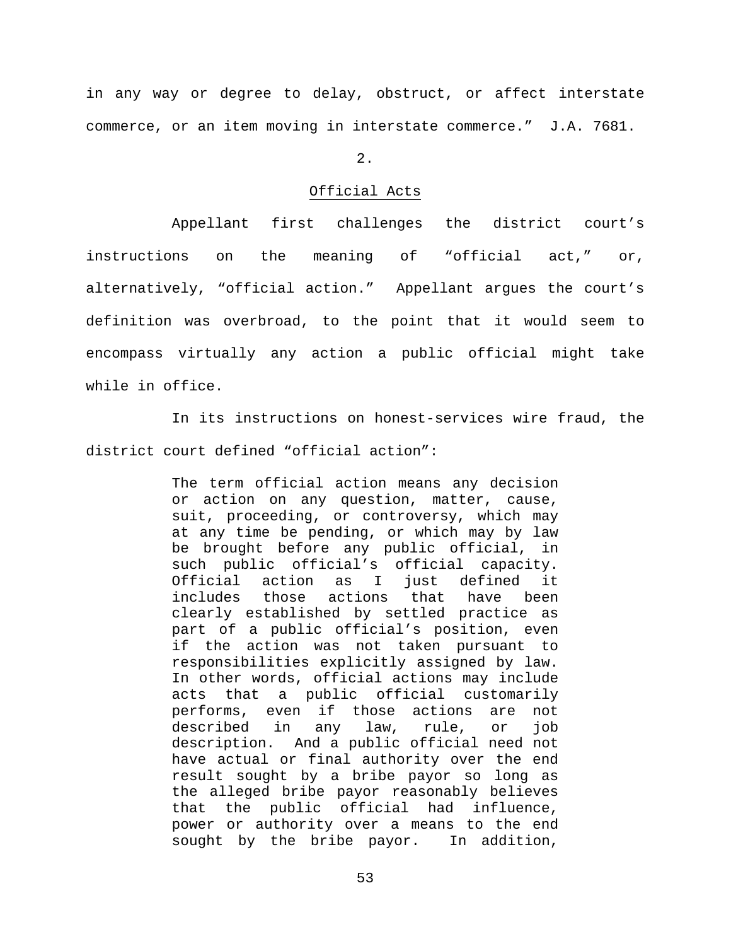in any way or degree to delay, obstruct, or affect interstate commerce, or an item moving in interstate commerce." J.A. 7681.

 $2.$ 

# Official Acts

Appellant first challenges the district court's instructions on the meaning of "official act," or, alternatively, "official action." Appellant argues the court's definition was overbroad, to the point that it would seem to encompass virtually any action a public official might take while in office.

In its instructions on honest-services wire fraud, the district court defined "official action":

> The term official action means any decision or action on any question, matter, cause, suit, proceeding, or controversy, which may at any time be pending, or which may by law be brought before any public official, in such public official's official capacity.<br>Official action as I just defined it I just defined it includes those actions that have been clearly established by settled practice as part of a public official's position, even if the action was not taken pursuant to responsibilities explicitly assigned by law. In other words, official actions may include acts that a public official customarily performs, even if those actions are not described in any law, rule, or job description. And a public official need not have actual or final authority over the end result sought by a bribe payor so long as the alleged bribe payor reasonably believes that the public official had influence, power or authority over a means to the end<br>sought by the bribe payor. In addition, sought by the bribe payor.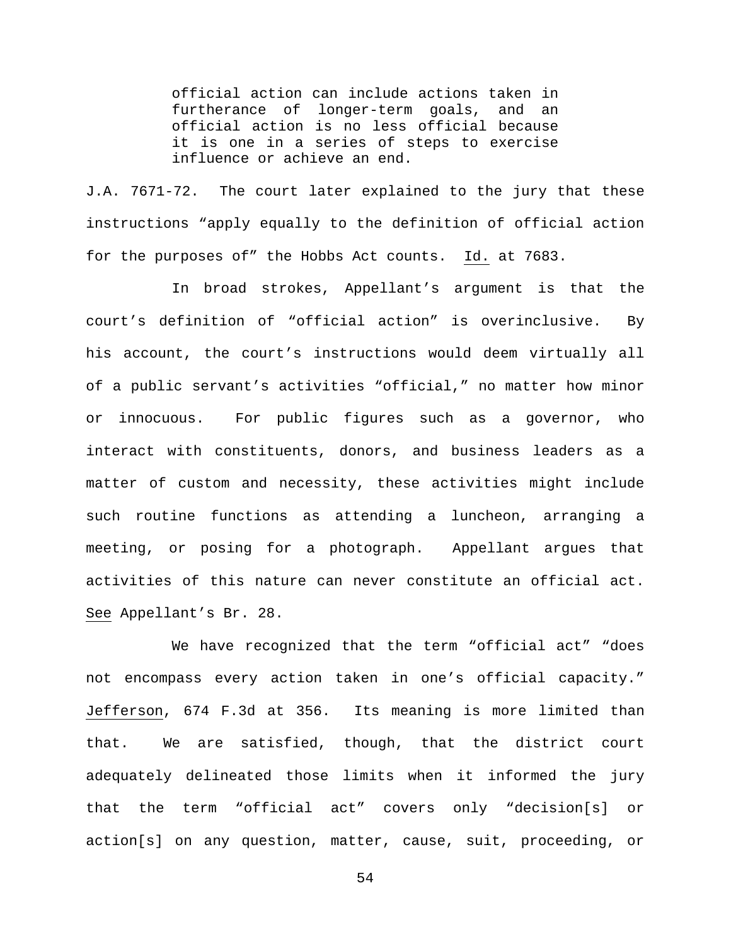official action can include actions taken in furtherance of longer-term goals, and an official action is no less official because it is one in a series of steps to exercise influence or achieve an end.

J.A. 7671-72. The court later explained to the jury that these instructions "apply equally to the definition of official action for the purposes of" the Hobbs Act counts. Id. at 7683.

In broad strokes, Appellant's argument is that the court's definition of "official action" is overinclusive. By his account, the court's instructions would deem virtually all of a public servant's activities "official," no matter how minor or innocuous. For public figures such as a governor, who interact with constituents, donors, and business leaders as a matter of custom and necessity, these activities might include such routine functions as attending a luncheon, arranging a meeting, or posing for a photograph. Appellant argues that activities of this nature can never constitute an official act. See Appellant's Br. 28.

We have recognized that the term "official act" "does not encompass every action taken in one's official capacity." Jefferson, 674 F.3d at 356. Its meaning is more limited than that. We are satisfied, though, that the district court adequately delineated those limits when it informed the jury that the term "official act" covers only "decision[s] or action[s] on any question, matter, cause, suit, proceeding, or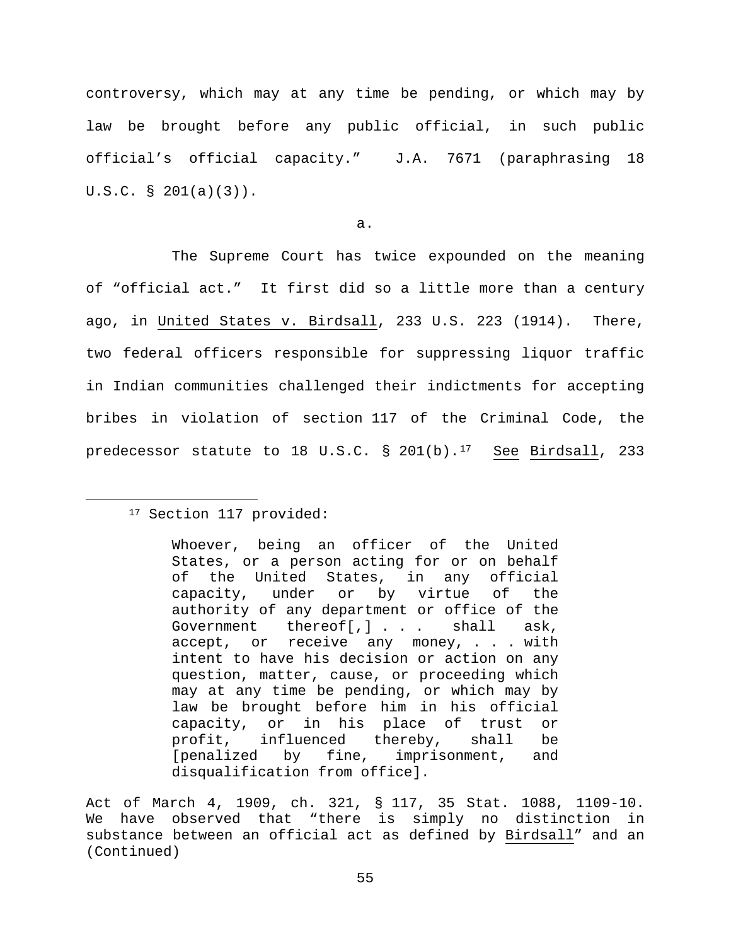controversy, which may at any time be pending, or which may by law be brought before any public official, in such public official's official capacity." J.A. 7671 (paraphrasing 18 U.S.C. § 201(a)(3)).

a.

The Supreme Court has twice expounded on the meaning of "official act." It first did so a little more than a century ago, in United States v. Birdsall, 233 U.S. 223 (1914). There, two federal officers responsible for suppressing liquor traffic in Indian communities challenged their indictments for accepting bribes in violation of section 117 of the Criminal Code, the predecessor statute to 18 U.S.C.  $\S$  201(b).<sup>17</sup> See Birdsall, 233

<span id="page-54-0"></span><sup>&</sup>lt;sup>17</sup> Section 117 provided:

Whoever, being an officer of the United States, or a person acting for or on behalf of the United States, in any official capacity, under or by virtue of the authority of any department or office of the<br>Government thereoff.1... shall ask. Government thereof[,] . . . shall ask, accept, or receive any money, . . . with intent to have his decision or action on any question, matter, cause, or proceeding which may at any time be pending, or which may by law be brought before him in his official capacity, or in his place of trust or profit, influenced thereby, shall be<br>[penalized by fine, imprisonment, and by fine, imprisonment, and disqualification from office].

Act of March 4, 1909, ch. 321, § 117, 35 Stat. 1088, 1109-10. We have observed that "there is simply no distinction in substance between an official act as defined by Birdsall" and an (Continued)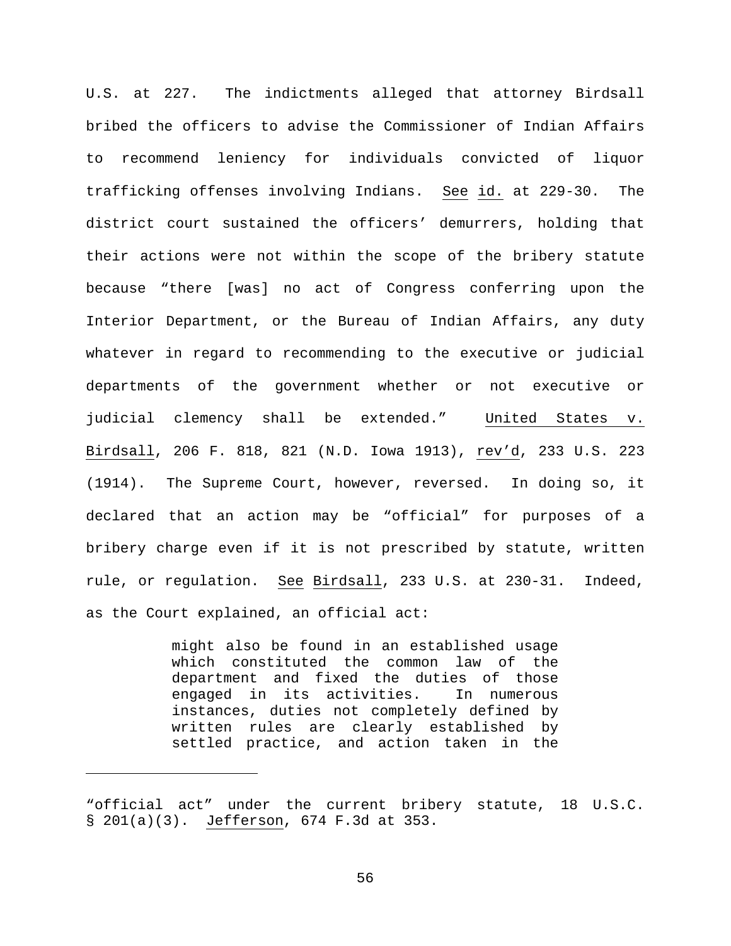U.S. at 227. The indictments alleged that attorney Birdsall bribed the officers to advise the Commissioner of Indian Affairs to recommend leniency for individuals convicted of liquor trafficking offenses involving Indians. See id. at 229-30. The district court sustained the officers' demurrers, holding that their actions were not within the scope of the bribery statute because "there [was] no act of Congress conferring upon the Interior Department, or the Bureau of Indian Affairs, any duty whatever in regard to recommending to the executive or judicial departments of the government whether or not executive or judicial clemency shall be extended." United States v. Birdsall, 206 F. 818, 821 (N.D. Iowa 1913), rev'd, 233 U.S. 223 (1914). The Supreme Court, however, reversed. In doing so, it declared that an action may be "official" for purposes of a bribery charge even if it is not prescribed by statute, written rule, or regulation. See Birdsall, 233 U.S. at 230-31. Indeed, as the Court explained, an official act:

> might also be found in an established usage which constituted the common law of the department and fixed the duties of those engaged in its activities. In numerous instances, duties not completely defined by written rules are clearly established by settled practice, and action taken in the

Ĩ.

<sup>&</sup>quot;official act" under the current bribery statute, 18 U.S.C. § 201(a)(3). Jefferson, 674 F.3d at 353.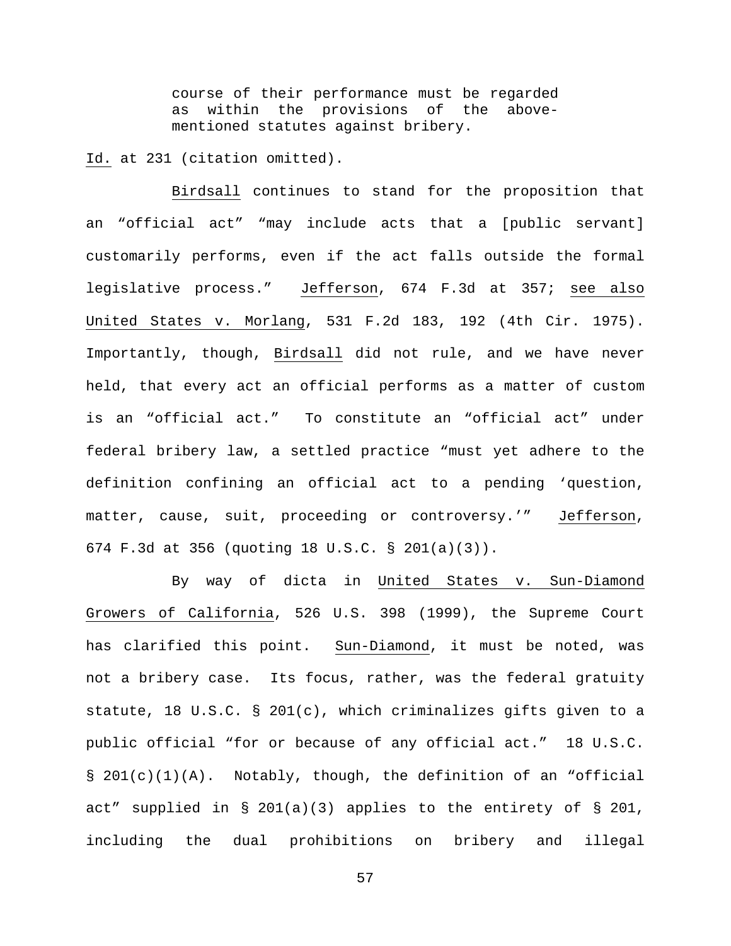course of their performance must be regarded as within the provisions of the abovementioned statutes against bribery.

Id. at 231 (citation omitted).

Birdsall continues to stand for the proposition that an "official act" "may include acts that a [public servant] customarily performs, even if the act falls outside the formal legislative process." Jefferson, 674 F.3d at 357; see also United States v. Morlang, 531 F.2d 183, 192 (4th Cir. 1975). Importantly, though, Birdsall did not rule, and we have never held, that every act an official performs as a matter of custom is an "official act." To constitute an "official act" under federal bribery law, a settled practice "must yet adhere to the definition confining an official act to a pending 'question, matter, cause, suit, proceeding or controversy.'" Jefferson, 674 F.3d at 356 (quoting 18 U.S.C. § 201(a)(3)).

By way of dicta in United States v. Sun-Diamond Growers of California, 526 U.S. 398 (1999), the Supreme Court has clarified this point. Sun-Diamond, it must be noted, was not a bribery case. Its focus, rather, was the federal gratuity statute, 18 U.S.C. § 201(c), which criminalizes gifts given to a public official "for or because of any official act." 18 U.S.C.  $\S$  201(c)(1)(A). Notably, though, the definition of an "official act" supplied in § 201(a)(3) applies to the entirety of § 201, including the dual prohibitions on bribery and illegal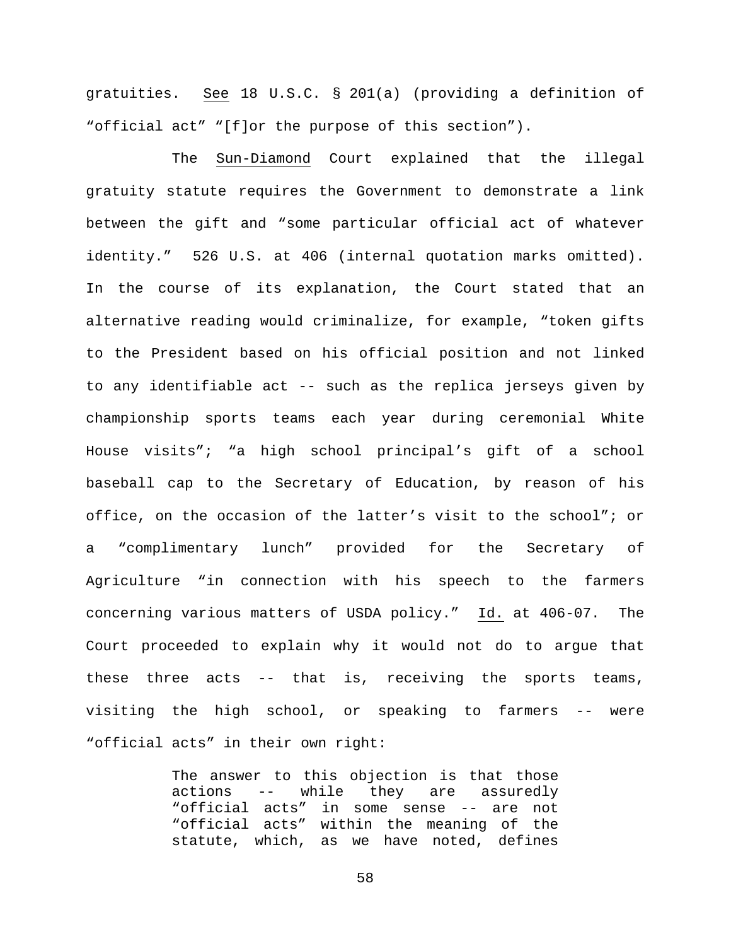gratuities. See 18 U.S.C. § 201(a) (providing a definition of "official act" "[f]or the purpose of this section").

The Sun-Diamond Court explained that the illegal gratuity statute requires the Government to demonstrate a link between the gift and "some particular official act of whatever identity." 526 U.S. at 406 (internal quotation marks omitted). In the course of its explanation, the Court stated that an alternative reading would criminalize, for example, "token gifts to the President based on his official position and not linked to any identifiable act -- such as the replica jerseys given by championship sports teams each year during ceremonial White House visits"; "a high school principal's gift of a school baseball cap to the Secretary of Education, by reason of his office, on the occasion of the latter's visit to the school"; or a "complimentary lunch" provided for the Secretary of Agriculture "in connection with his speech to the farmers concerning various matters of USDA policy." Id. at 406-07. The Court proceeded to explain why it would not do to argue that these three acts -- that is, receiving the sports teams, visiting the high school, or speaking to farmers -- were "official acts" in their own right:

> The answer to this objection is that those actions -- while they are assuredly "official acts" in some sense -- are not "official acts" within the meaning of the statute, which, as we have noted, defines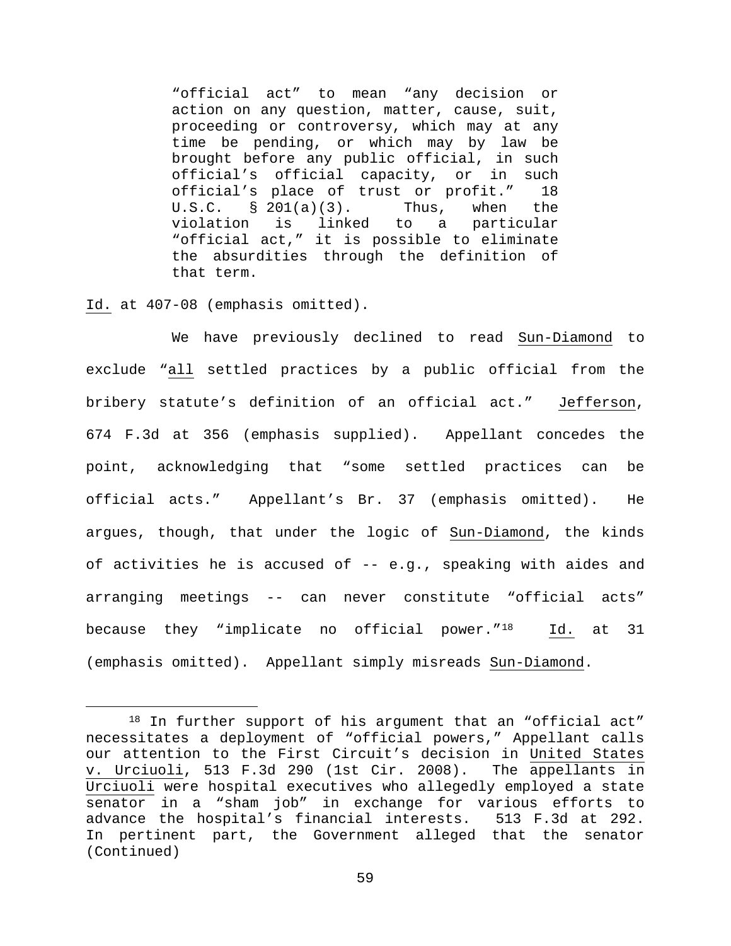"official act" to mean "any decision or action on any question, matter, cause, suit, proceeding or controversy, which may at any time be pending, or which may by law be brought before any public official, in such official's official capacity, or in such official's place of trust or profit." 18 U.S.C. § 201(a)(3). Thus, when the<br>violation is linked to a particular linked to a "official act," it is possible to eliminate the absurdities through the definition of that term.

## Id. at 407-08 (emphasis omitted).

We have previously declined to read Sun-Diamond to exclude "all settled practices by a public official from the bribery statute's definition of an official act." Jefferson, 674 F.3d at 356 (emphasis supplied). Appellant concedes the point, acknowledging that "some settled practices can be official acts." Appellant's Br. 37 (emphasis omitted). He argues, though, that under the logic of Sun-Diamond, the kinds of activities he is accused of -- e.g., speaking with aides and arranging meetings -- can never constitute "official acts" because they "implicate no official power."<sup>18</sup> Id. at 31 (emphasis omitted). Appellant simply misreads Sun-Diamond.

<span id="page-58-0"></span><sup>18</sup> In further support of his argument that an "official act" necessitates a deployment of "official powers," Appellant calls our attention to the First Circuit's decision in United States v. Urciuoli, 513 F.3d 290 (1st Cir. 2008). The appellants in Urciuoli were hospital executives who allegedly employed a state senator in a "sham job" in exchange for various efforts to<br>advance the hospital's financial interests. 513 F.3d at 292. advance the hospital's financial interests. In pertinent part, the Government alleged that the senator (Continued)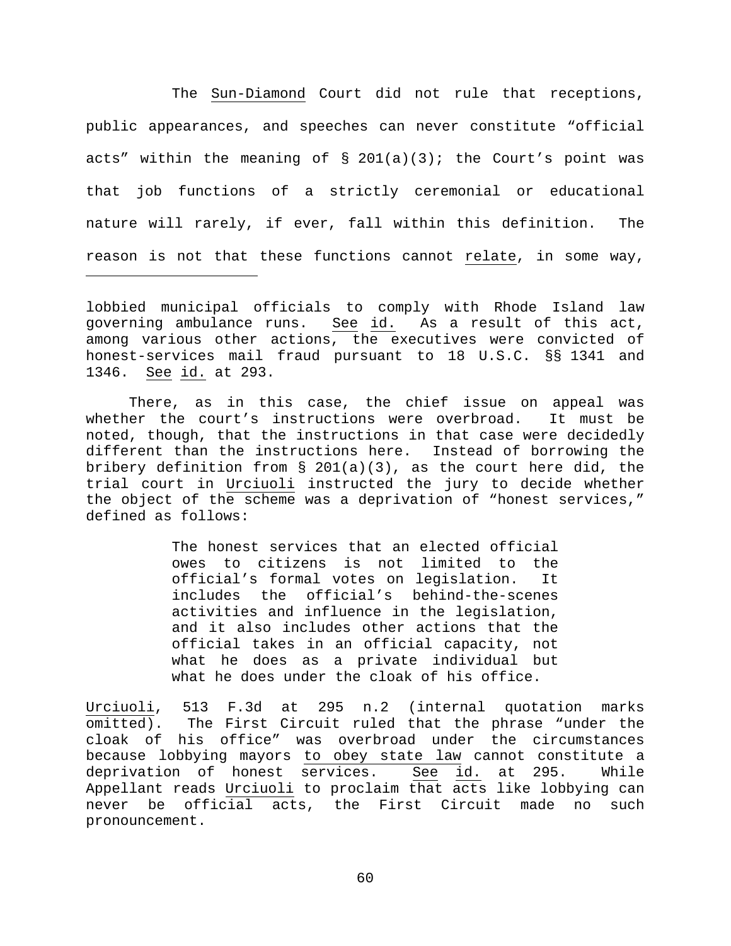The Sun-Diamond Court did not rule that receptions, public appearances, and speeches can never constitute "official acts" within the meaning of  $\S$  201(a)(3); the Court's point was that job functions of a strictly ceremonial or educational nature will rarely, if ever, fall within this definition. The reason is not that these functions cannot relate, in some way,

lobbied municipal officials to comply with Rhode Island law governing ambulance runs. See id. As a result of this act, among various other actions, the executives were convicted of honest-services mail fraud pursuant to 18 U.S.C. §§ 1341 and 1346. See id. at 293.

Ĩ.

There, as in this case, the chief issue on appeal was whether the court's instructions were overbroad. It must be noted, though, that the instructions in that case were decidedly different than the instructions here. Instead of borrowing the bribery definition from  $\S$  201(a)(3), as the court here did, the trial court in Urciuoli instructed the jury to decide whether the object of the scheme was a deprivation of "honest services," defined as follows:

> The honest services that an elected official owes to citizens is not limited to the official's formal votes on legislation. It includes the official's behind-the-scenes activities and influence in the legislation, and it also includes other actions that the official takes in an official capacity, not what he does as a private individual but what he does under the cloak of his office.

Urciuoli, 513 F.3d at 295 n.2 (internal quotation marks omitted). The First Circuit ruled that the phrase "under the cloak of his office" was overbroad under the circumstances because lobbying mayors to obey state law cannot constitute a deprivation of honest services. See id. at 295. While Appellant reads Urciuoli to proclaim that  $\overline{act}$  acts like lobbying can never be official acts, the First Circuit made no such pronouncement.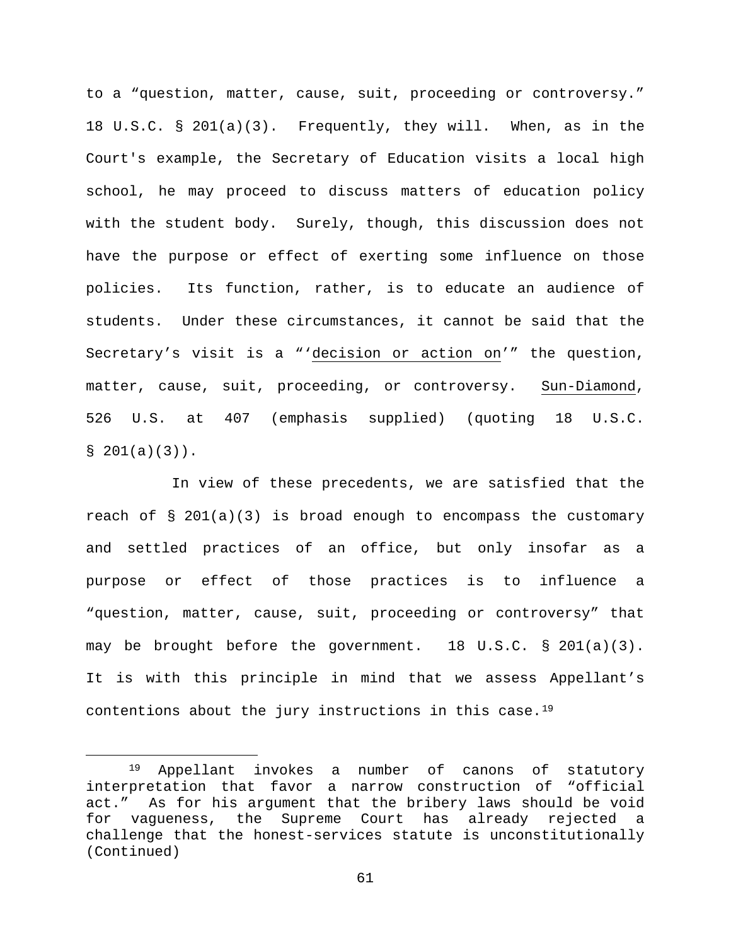to a "question, matter, cause, suit, proceeding or controversy." 18 U.S.C. § 201(a)(3). Frequently, they will. When, as in the Court's example, the Secretary of Education visits a local high school, he may proceed to discuss matters of education policy with the student body. Surely, though, this discussion does not have the purpose or effect of exerting some influence on those policies. Its function, rather, is to educate an audience of students. Under these circumstances, it cannot be said that the Secretary's visit is a "'decision or action on'" the question, matter, cause, suit, proceeding, or controversy. Sun-Diamond, 526 U.S. at 407 (emphasis supplied) (quoting 18 U.S.C.  $$201(a)(3))$ .

In view of these precedents, we are satisfied that the reach of § 201(a)(3) is broad enough to encompass the customary and settled practices of an office, but only insofar as a purpose or effect of those practices is to influence a "question, matter, cause, suit, proceeding or controversy" that may be brought before the government. 18 U.S.C. § 201(a)(3). It is with this principle in mind that we assess Appellant's contentions about the jury instructions in this case.[19](#page-60-0)

<span id="page-60-0"></span> <sup>19</sup> Appellant invokes a number of canons of statutory interpretation that favor a narrow construction of "official act." As for his argument that the bribery laws should be void for vagueness, the Supreme Court has already rejected a challenge that the honest-services statute is unconstitutionally (Continued)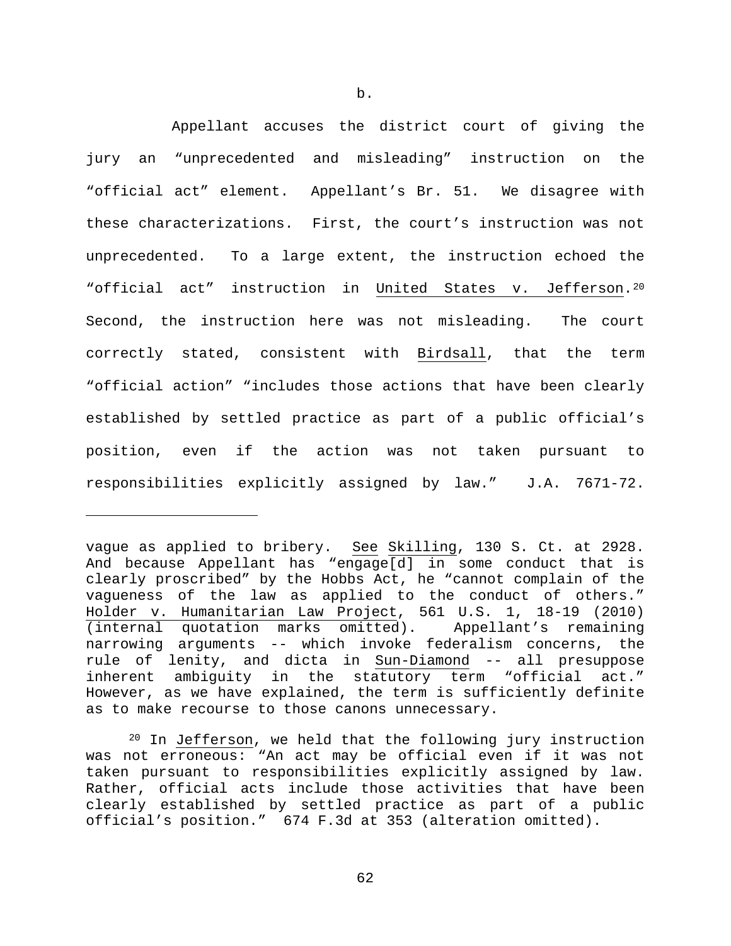Appellant accuses the district court of giving the jury an "unprecedented and misleading" instruction on the "official act" element. Appellant's Br. 51. We disagree with these characterizations. First, the court's instruction was not unprecedented. To a large extent, the instruction echoed the "official act" instruction in United States v. Jefferson.[20](#page-61-0) Second, the instruction here was not misleading. The court correctly stated, consistent with Birdsall, that the term "official action" "includes those actions that have been clearly established by settled practice as part of a public official's position, even if the action was not taken pursuant to responsibilities explicitly assigned by law." J.A. 7671-72.

Ĩ.

vague as applied to bribery. See Skilling, 130 S. Ct. at 2928. And because Appellant has "engage[d] in some conduct that is clearly proscribed" by the Hobbs Act, he "cannot complain of the vagueness of the law as applied to the conduct of others." Holder v. Humanitarian Law Project, 561 U.S. 1, 18-19 (2010) (internal quotation marks omitted). Appellant's remaining narrowing arguments -- which invoke federalism concerns, the rule of lenity, and dicta in Sun-Diamond -- all presuppose inherent ambiguity in the statutory term "official act." However, as we have explained, the term is sufficiently definite as to make recourse to those canons unnecessary.

<span id="page-61-0"></span><sup>&</sup>lt;sup>20</sup> In Jefferson, we held that the following jury instruction was not erroneous: "An act may be official even if it was not taken pursuant to responsibilities explicitly assigned by law. Rather, official acts include those activities that have been clearly established by settled practice as part of a public official's position." 674 F.3d at 353 (alteration omitted).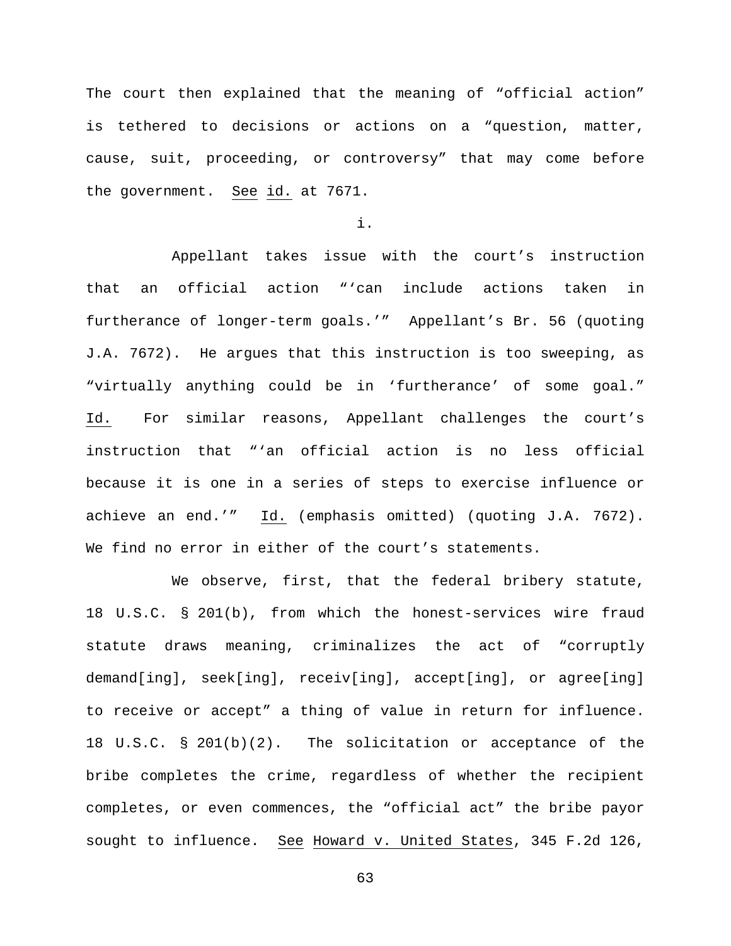The court then explained that the meaning of "official action" is tethered to decisions or actions on a "question, matter, cause, suit, proceeding, or controversy" that may come before the government. See id. at 7671.

i.

Appellant takes issue with the court's instruction that an official action "'can include actions taken in furtherance of longer-term goals.'" Appellant's Br. 56 (quoting J.A. 7672). He argues that this instruction is too sweeping, as "virtually anything could be in 'furtherance' of some goal." Id. For similar reasons, Appellant challenges the court's instruction that "'an official action is no less official because it is one in a series of steps to exercise influence or achieve an end.'" Id. (emphasis omitted) (quoting J.A. 7672). We find no error in either of the court's statements.

We observe, first, that the federal bribery statute, 18 U.S.C. § 201(b), from which the honest-services wire fraud statute draws meaning, criminalizes the act of "corruptly demand[ing], seek[ing], receiv[ing], accept[ing], or agree[ing] to receive or accept" a thing of value in return for influence. 18 U.S.C. § 201(b)(2). The solicitation or acceptance of the bribe completes the crime, regardless of whether the recipient completes, or even commences, the "official act" the bribe payor sought to influence. See Howard v. United States, 345 F.2d 126,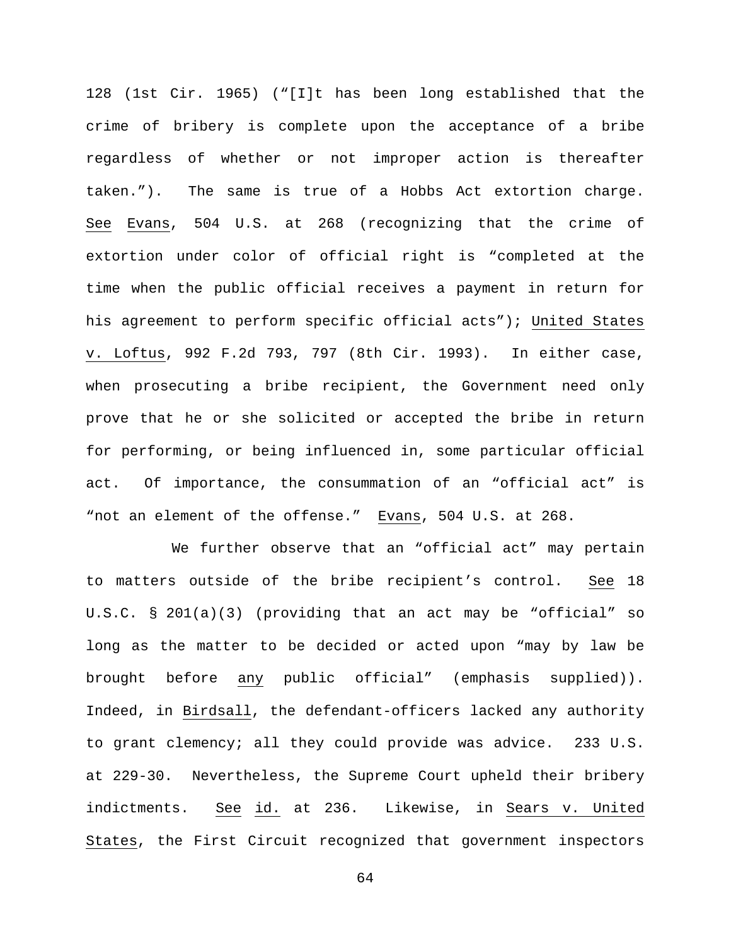128 (1st Cir. 1965) ("[I]t has been long established that the crime of bribery is complete upon the acceptance of a bribe regardless of whether or not improper action is thereafter taken."). The same is true of a Hobbs Act extortion charge. See Evans, 504 U.S. at 268 (recognizing that the crime of extortion under color of official right is "completed at the time when the public official receives a payment in return for his agreement to perform specific official acts"); United States v. Loftus, 992 F.2d 793, 797 (8th Cir. 1993). In either case, when prosecuting a bribe recipient, the Government need only prove that he or she solicited or accepted the bribe in return for performing, or being influenced in, some particular official act. Of importance, the consummation of an "official act" is "not an element of the offense." Evans, 504 U.S. at 268.

We further observe that an "official act" may pertain to matters outside of the bribe recipient's control. See 18 U.S.C. § 201(a)(3) (providing that an act may be "official" so long as the matter to be decided or acted upon "may by law be brought before any public official" (emphasis supplied)). Indeed, in Birdsall, the defendant-officers lacked any authority to grant clemency; all they could provide was advice. 233 U.S. at 229-30. Nevertheless, the Supreme Court upheld their bribery indictments. See id. at 236. Likewise, in Sears v. United States, the First Circuit recognized that government inspectors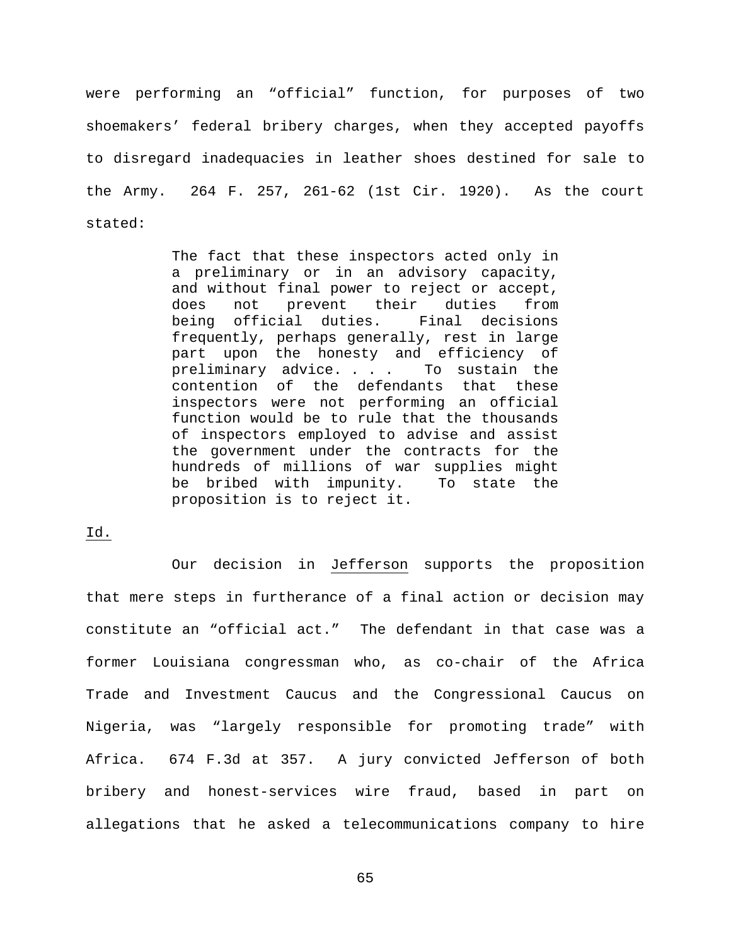were performing an "official" function, for purposes of two shoemakers' federal bribery charges, when they accepted payoffs to disregard inadequacies in leather shoes destined for sale to the Army. 264 F. 257, 261-62 (1st Cir. 1920). As the court stated:

> The fact that these inspectors acted only in a preliminary or in an advisory capacity, and without final power to reject or accept, does not prevent their duties from being official duties. Final decisions frequently, perhaps generally, rest in large part upon the honesty and efficiency of<br>preliminary advice.... To sustain the preliminary advice. . . . contention of the defendants that these inspectors were not performing an official function would be to rule that the thousands of inspectors employed to advise and assist the government under the contracts for the hundreds of millions of war supplies might be bribed with impunity. To state the proposition is to reject it.

Id.

Our decision in Jefferson supports the proposition that mere steps in furtherance of a final action or decision may constitute an "official act." The defendant in that case was a former Louisiana congressman who, as co-chair of the Africa Trade and Investment Caucus and the Congressional Caucus on Nigeria, was "largely responsible for promoting trade" with Africa. 674 F.3d at 357. A jury convicted Jefferson of both bribery and honest-services wire fraud, based in part on allegations that he asked a telecommunications company to hire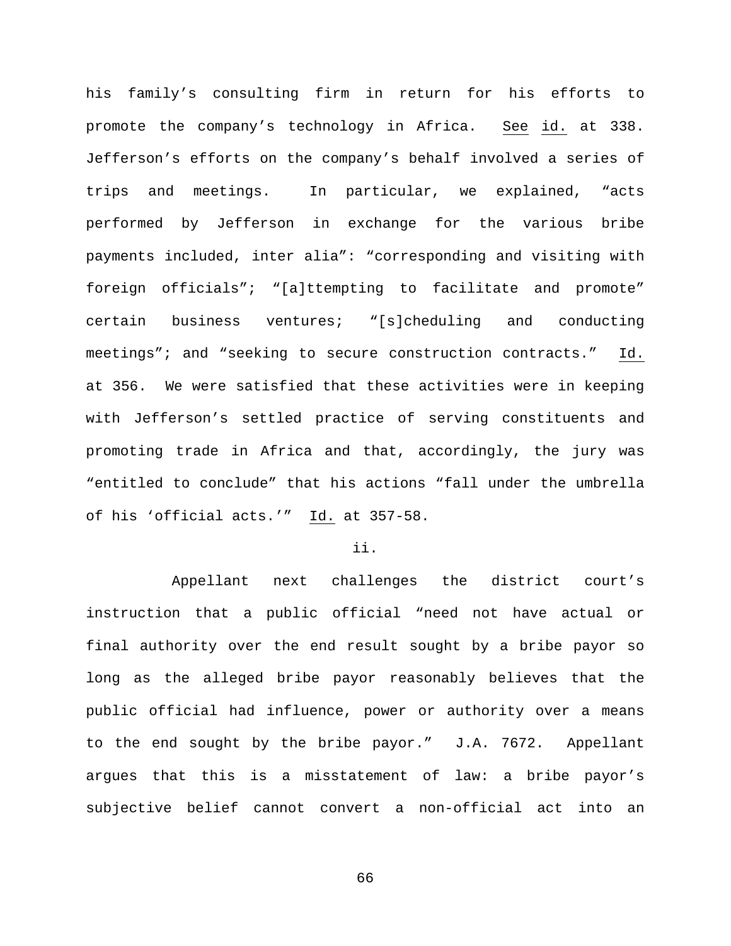his family's consulting firm in return for his efforts to promote the company's technology in Africa. See id. at 338. Jefferson's efforts on the company's behalf involved a series of trips and meetings. In particular, we explained, "acts performed by Jefferson in exchange for the various bribe payments included, inter alia": "corresponding and visiting with foreign officials"; "[a]ttempting to facilitate and promote" certain business ventures; "[s]cheduling and conducting meetings"; and "seeking to secure construction contracts." Id. at 356. We were satisfied that these activities were in keeping with Jefferson's settled practice of serving constituents and promoting trade in Africa and that, accordingly, the jury was "entitled to conclude" that his actions "fall under the umbrella of his 'official acts.'" Id. at 357-58.

### ii.

Appellant next challenges the district court's instruction that a public official "need not have actual or final authority over the end result sought by a bribe payor so long as the alleged bribe payor reasonably believes that the public official had influence, power or authority over a means to the end sought by the bribe payor." J.A. 7672. Appellant argues that this is a misstatement of law: a bribe payor's subjective belief cannot convert a non-official act into an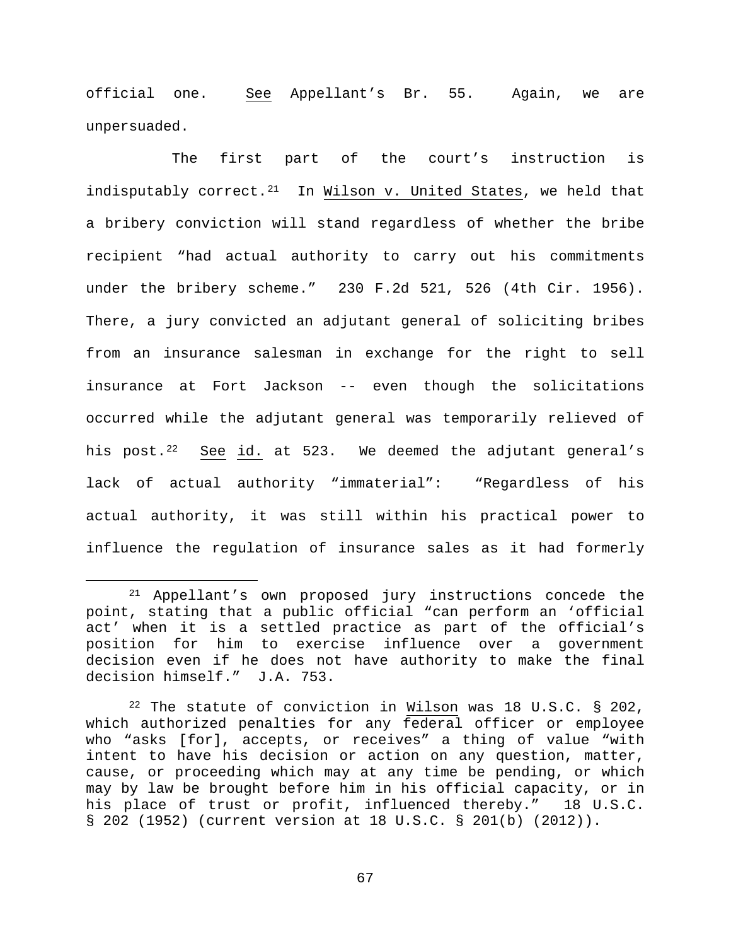official one. See Appellant's Br. 55. Again, we are unpersuaded.

The first part of the court's instruction is indisputably correct. $21$  In Wilson v. United States, we held that a bribery conviction will stand regardless of whether the bribe recipient "had actual authority to carry out his commitments under the bribery scheme." 230 F.2d 521, 526 (4th Cir. 1956). There, a jury convicted an adjutant general of soliciting bribes from an insurance salesman in exchange for the right to sell insurance at Fort Jackson -- even though the solicitations occurred while the adjutant general was temporarily relieved of his post.<sup>[22](#page-66-1)</sup> See id. at 523. We deemed the adjutant general's lack of actual authority "immaterial": "Regardless of his actual authority, it was still within his practical power to influence the regulation of insurance sales as it had formerly

<span id="page-66-0"></span> <sup>21</sup> Appellant's own proposed jury instructions concede the point, stating that a public official "can perform an 'official act' when it is a settled practice as part of the official's position for him to exercise influence over a government decision even if he does not have authority to make the final decision himself." J.A. 753.

<span id="page-66-1"></span> $22$  The statute of conviction in Wilson was 18 U.S.C. § 202, which authorized penalties for any federal officer or employee who "asks [for], accepts, or receives" a thing of value "with intent to have his decision or action on any question, matter, cause, or proceeding which may at any time be pending, or which may by law be brought before him in his official capacity, or in his place of trust or profit, influenced thereby." 18 U.S.C. § 202 (1952) (current version at 18 U.S.C. § 201(b) (2012)).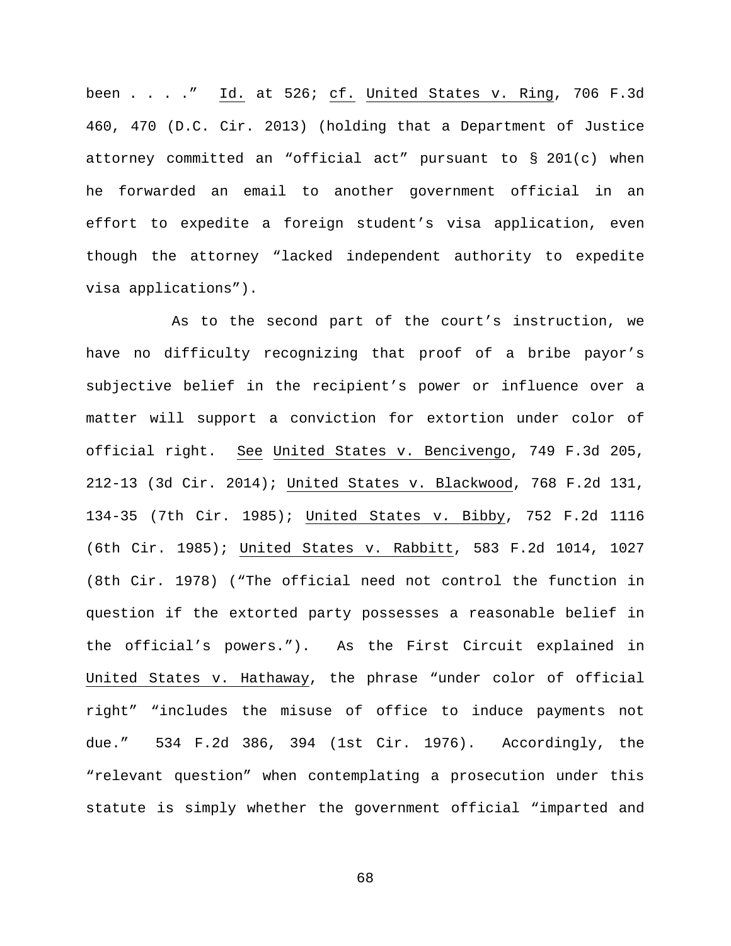been . . . ." Id. at 526; cf. United States v. Ring, 706 F.3d 460, 470 (D.C. Cir. 2013) (holding that a Department of Justice attorney committed an "official act" pursuant to § 201(c) when he forwarded an email to another government official in an effort to expedite a foreign student's visa application, even though the attorney "lacked independent authority to expedite visa applications").

As to the second part of the court's instruction, we have no difficulty recognizing that proof of a bribe payor's subjective belief in the recipient's power or influence over a matter will support a conviction for extortion under color of official right. See United States v. Bencivengo, 749 F.3d 205, 212-13 (3d Cir. 2014); United States v. Blackwood, 768 F.2d 131, 134-35 (7th Cir. 1985); United States v. Bibby, 752 F.2d 1116 (6th Cir. 1985); United States v. Rabbitt, 583 F.2d 1014, 1027 (8th Cir. 1978) ("The official need not control the function in question if the extorted party possesses a reasonable belief in the official's powers."). As the First Circuit explained in United States v. Hathaway, the phrase "under color of official right" "includes the misuse of office to induce payments not due." 534 F.2d 386, 394 (1st Cir. 1976). Accordingly, the "relevant question" when contemplating a prosecution under this statute is simply whether the government official "imparted and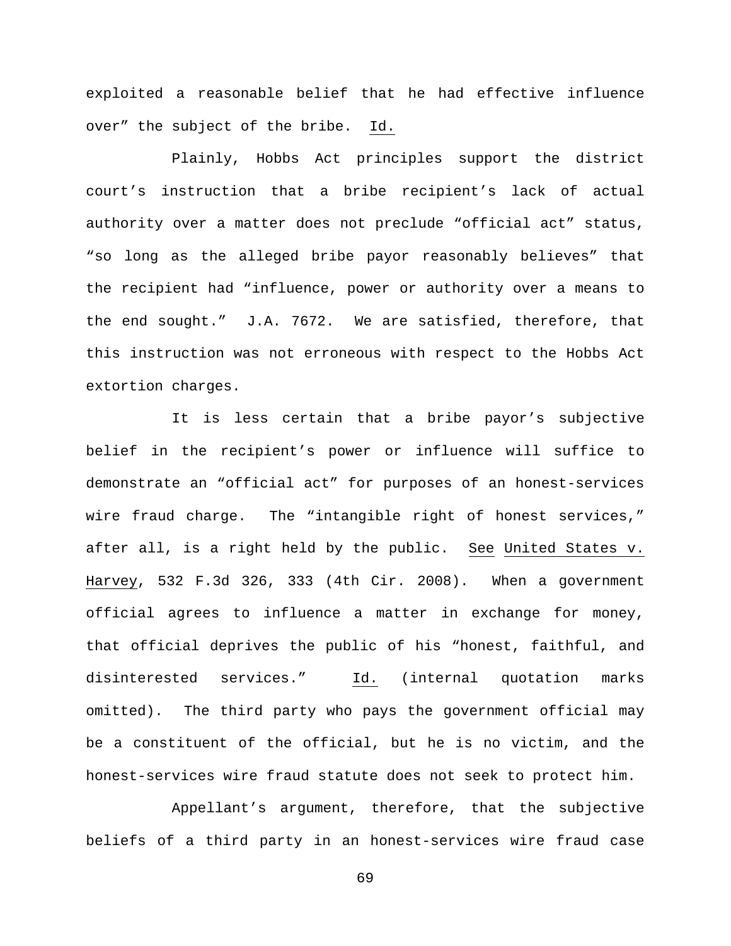exploited a reasonable belief that he had effective influence over" the subject of the bribe. Id.

Plainly, Hobbs Act principles support the district court's instruction that a bribe recipient's lack of actual authority over a matter does not preclude "official act" status, "so long as the alleged bribe payor reasonably believes" that the recipient had "influence, power or authority over a means to the end sought." J.A. 7672. We are satisfied, therefore, that this instruction was not erroneous with respect to the Hobbs Act extortion charges.

It is less certain that a bribe payor's subjective belief in the recipient's power or influence will suffice to demonstrate an "official act" for purposes of an honest-services wire fraud charge. The "intangible right of honest services," after all, is a right held by the public. See United States v. Harvey, 532 F.3d 326, 333 (4th Cir. 2008). When a government official agrees to influence a matter in exchange for money, that official deprives the public of his "honest, faithful, and disinterested services." Id. (internal quotation marks omitted). The third party who pays the government official may be a constituent of the official, but he is no victim, and the honest-services wire fraud statute does not seek to protect him.

Appellant's argument, therefore, that the subjective beliefs of a third party in an honest-services wire fraud case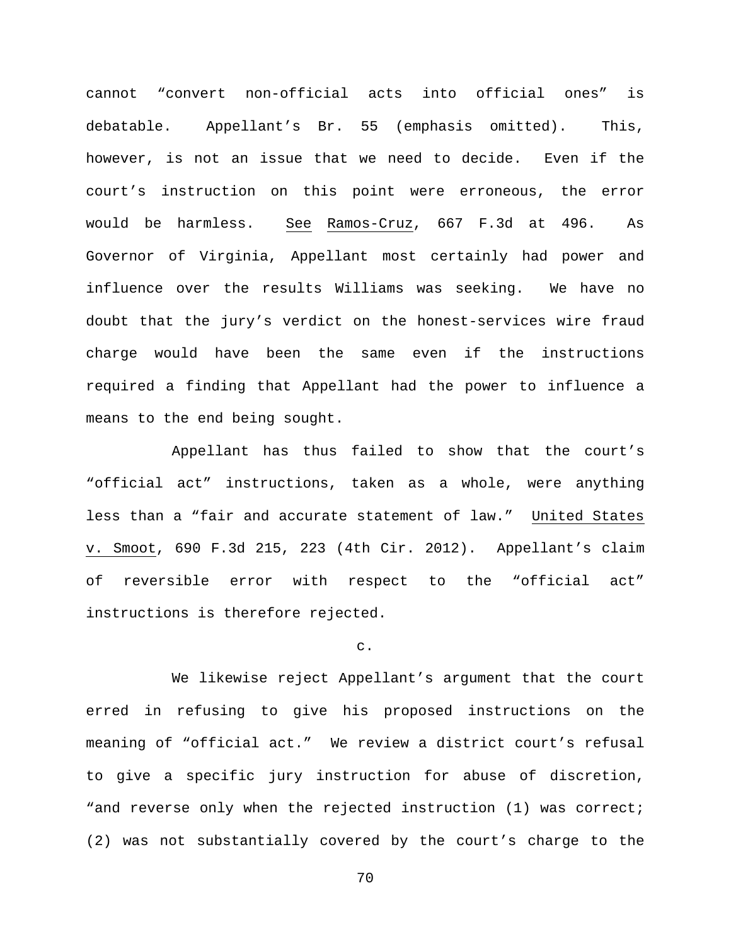cannot "convert non-official acts into official ones" is debatable. Appellant's Br. 55 (emphasis omitted). This, however, is not an issue that we need to decide. Even if the court's instruction on this point were erroneous, the error would be harmless. See Ramos-Cruz, 667 F.3d at 496. As Governor of Virginia, Appellant most certainly had power and influence over the results Williams was seeking. We have no doubt that the jury's verdict on the honest-services wire fraud charge would have been the same even if the instructions required a finding that Appellant had the power to influence a means to the end being sought.

Appellant has thus failed to show that the court's "official act" instructions, taken as a whole, were anything less than a "fair and accurate statement of law." United States v. Smoot, 690 F.3d 215, 223 (4th Cir. 2012). Appellant's claim of reversible error with respect to the "official act" instructions is therefore rejected.

c.

We likewise reject Appellant's argument that the court erred in refusing to give his proposed instructions on the meaning of "official act." We review a district court's refusal to give a specific jury instruction for abuse of discretion, "and reverse only when the rejected instruction (1) was correct; (2) was not substantially covered by the court's charge to the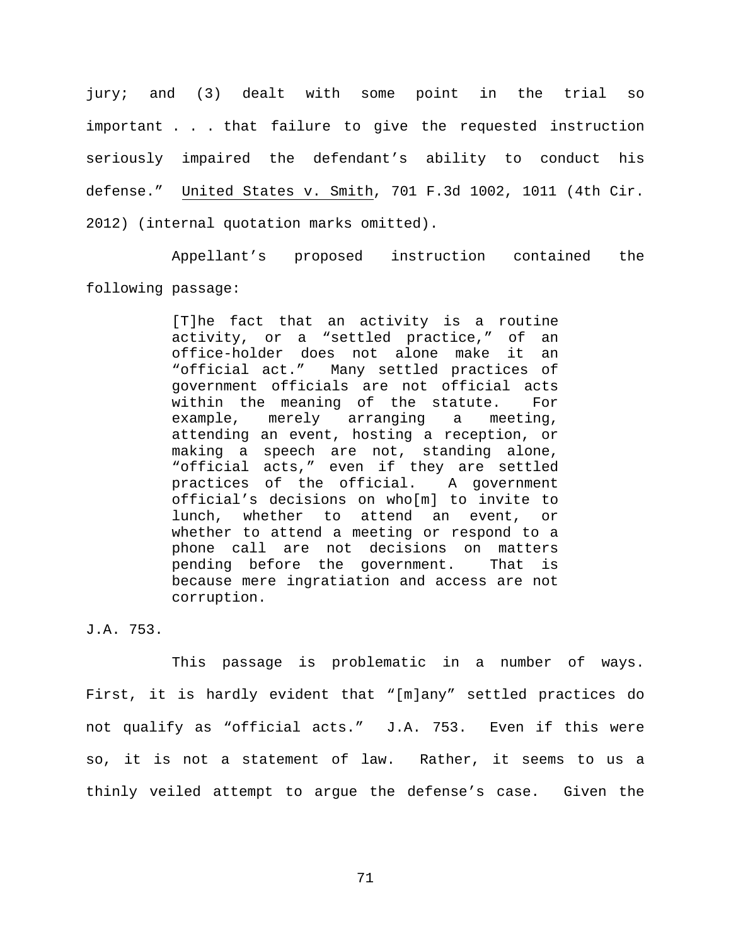jury; and (3) dealt with some point in the trial so important . . . that failure to give the requested instruction seriously impaired the defendant's ability to conduct his defense." United States v. Smith, 701 F.3d 1002, 1011 (4th Cir. 2012) (internal quotation marks omitted).

Appellant's proposed instruction contained the following passage:

> [T]he fact that an activity is a routine activity, or a "settled practice," of an office-holder does not alone make it an<br>"official act." Many settled practices of Many settled practices of government officials are not official acts within the meaning of the statute. For<br>example, merely arranging a meeting, merely arranging a meeting, attending an event, hosting a reception, or making a speech are not, standing alone, "official acts," even if they are settled practices of the official. A government official's decisions on who[m] to invite to lunch, whether to attend an event, or whether to attend a meeting or respond to a phone call are not decisions on matters pending before the government. That is because mere ingratiation and access are not corruption.

J.A. 753.

This passage is problematic in a number of ways. First, it is hardly evident that "[m]any" settled practices do not qualify as "official acts." J.A. 753. Even if this were so, it is not a statement of law. Rather, it seems to us a thinly veiled attempt to argue the defense's case. Given the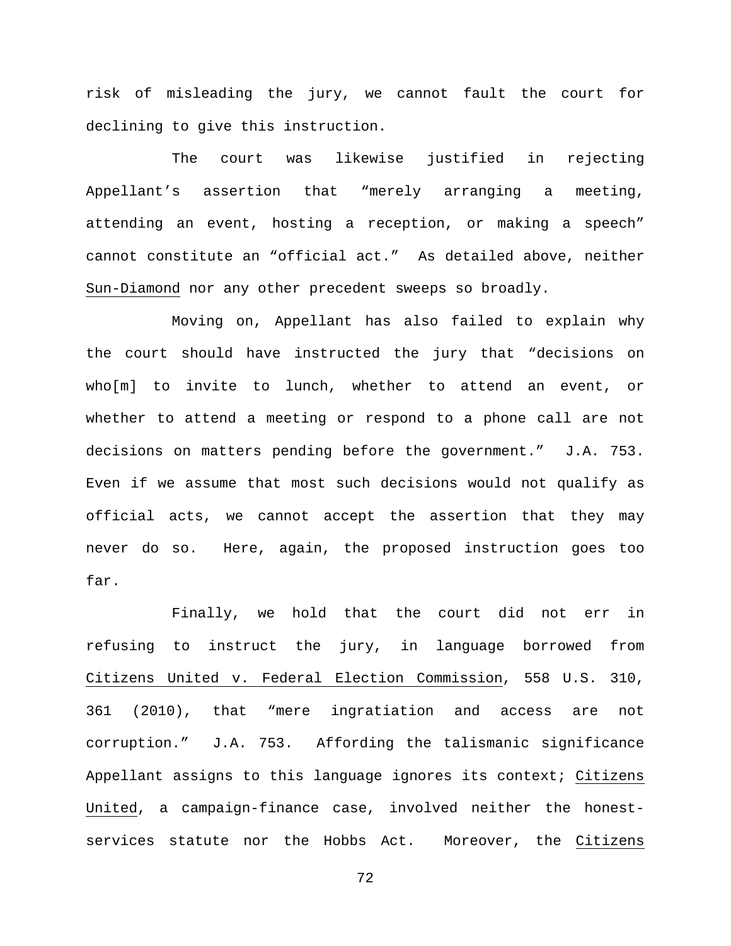risk of misleading the jury, we cannot fault the court for declining to give this instruction.

The court was likewise justified in rejecting Appellant's assertion that "merely arranging a meeting, attending an event, hosting a reception, or making a speech" cannot constitute an "official act." As detailed above, neither Sun-Diamond nor any other precedent sweeps so broadly.

Moving on, Appellant has also failed to explain why the court should have instructed the jury that "decisions on who[m] to invite to lunch, whether to attend an event, or whether to attend a meeting or respond to a phone call are not decisions on matters pending before the government." J.A. 753. Even if we assume that most such decisions would not qualify as official acts, we cannot accept the assertion that they may never do so. Here, again, the proposed instruction goes too far.

Finally, we hold that the court did not err in refusing to instruct the jury, in language borrowed from Citizens United v. Federal Election Commission, 558 U.S. 310, 361 (2010), that "mere ingratiation and access are not corruption." J.A. 753. Affording the talismanic significance Appellant assigns to this language ignores its context; Citizens United, a campaign-finance case, involved neither the honestservices statute nor the Hobbs Act. Moreover, the Citizens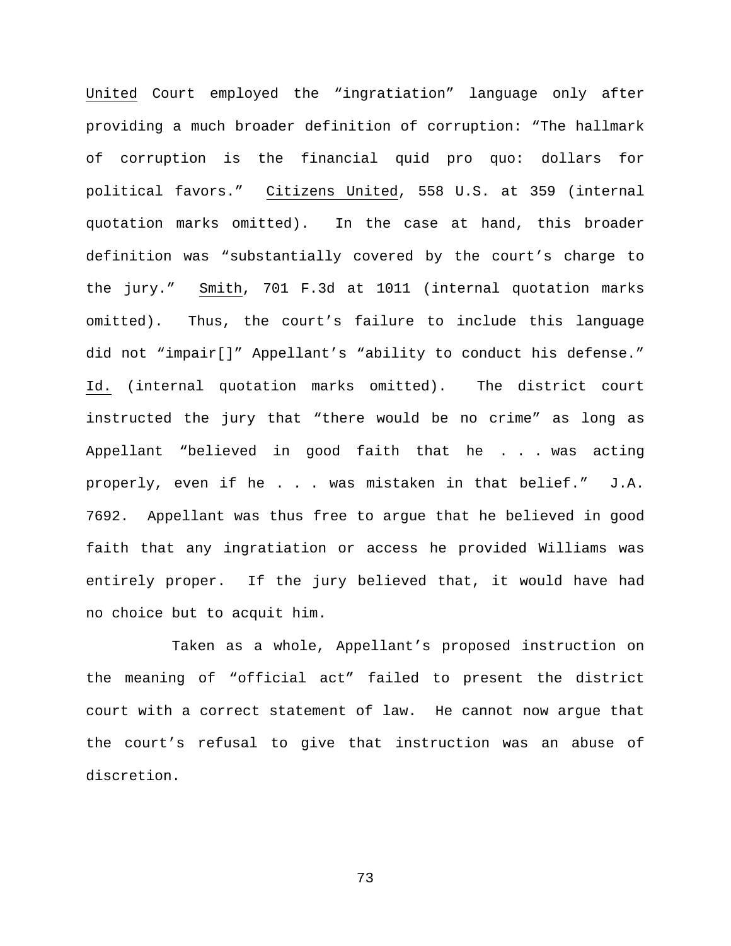United Court employed the "ingratiation" language only after providing a much broader definition of corruption: "The hallmark of corruption is the financial quid pro quo: dollars for political favors." Citizens United, 558 U.S. at 359 (internal quotation marks omitted). In the case at hand, this broader definition was "substantially covered by the court's charge to the jury." Smith, 701 F.3d at 1011 (internal quotation marks omitted). Thus, the court's failure to include this language did not "impair[]" Appellant's "ability to conduct his defense." Id. (internal quotation marks omitted). The district court instructed the jury that "there would be no crime" as long as Appellant "believed in good faith that he . . . was acting properly, even if he . . . was mistaken in that belief." J.A. 7692. Appellant was thus free to argue that he believed in good faith that any ingratiation or access he provided Williams was entirely proper. If the jury believed that, it would have had no choice but to acquit him.

Taken as a whole, Appellant's proposed instruction on the meaning of "official act" failed to present the district court with a correct statement of law. He cannot now argue that the court's refusal to give that instruction was an abuse of discretion.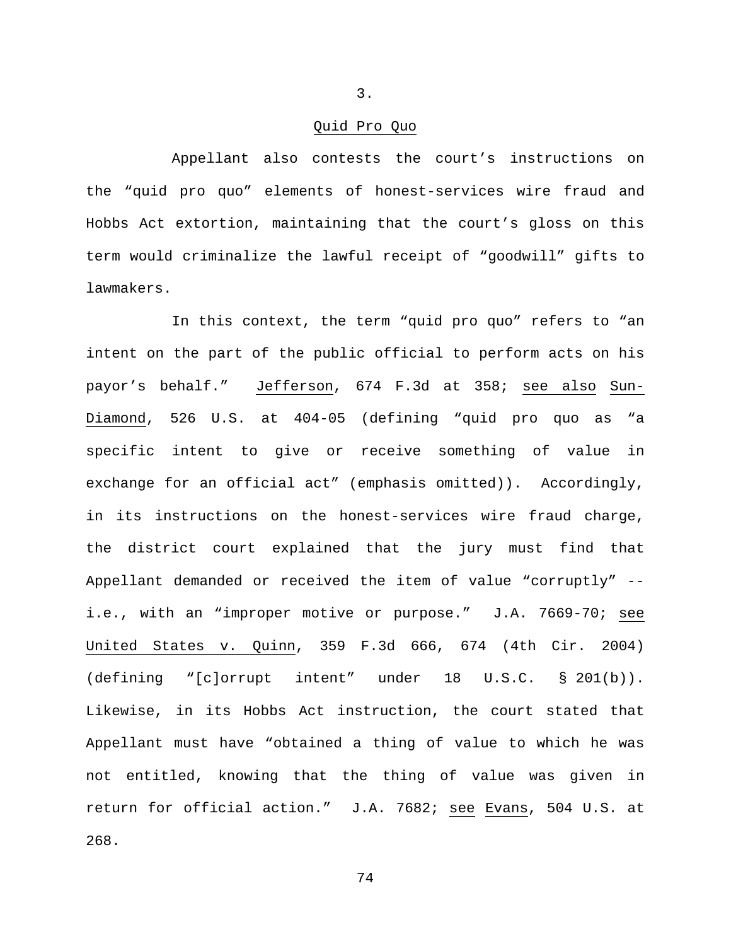### Quid Pro Quo

Appellant also contests the court's instructions on the "quid pro quo" elements of honest-services wire fraud and Hobbs Act extortion, maintaining that the court's gloss on this term would criminalize the lawful receipt of "goodwill" gifts to lawmakers.

In this context, the term "quid pro quo" refers to "an intent on the part of the public official to perform acts on his payor's behalf." Jefferson, 674 F.3d at 358; see also Sun-Diamond, 526 U.S. at 404-05 (defining "quid pro quo as "a specific intent to give or receive something of value in exchange for an official act" (emphasis omitted)). Accordingly, in its instructions on the honest-services wire fraud charge, the district court explained that the jury must find that Appellant demanded or received the item of value "corruptly" - i.e., with an "improper motive or purpose." J.A. 7669-70; see United States v. Quinn, 359 F.3d 666, 674 (4th Cir. 2004) (defining "[c]orrupt intent" under 18 U.S.C. § 201(b)). Likewise, in its Hobbs Act instruction, the court stated that Appellant must have "obtained a thing of value to which he was not entitled, knowing that the thing of value was given in return for official action." J.A. 7682; see Evans, 504 U.S. at 268.

3.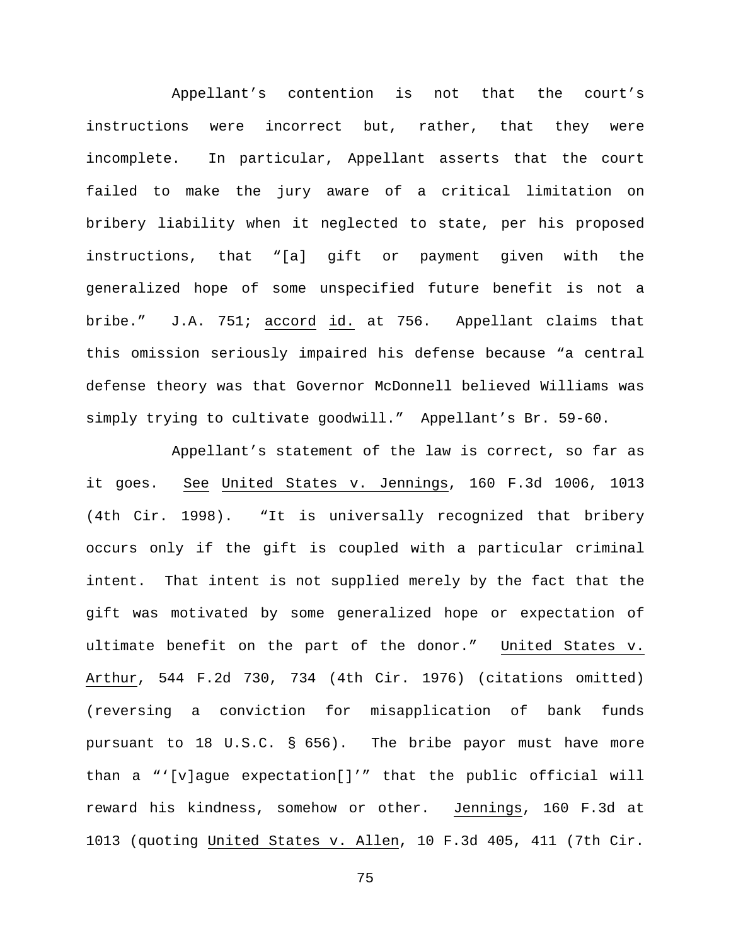Appellant's contention is not that the court's instructions were incorrect but, rather, that they were incomplete. In particular, Appellant asserts that the court failed to make the jury aware of a critical limitation on bribery liability when it neglected to state, per his proposed instructions, that "[a] gift or payment given with the generalized hope of some unspecified future benefit is not a bribe." J.A. 751; accord id. at 756. Appellant claims that this omission seriously impaired his defense because "a central defense theory was that Governor McDonnell believed Williams was simply trying to cultivate goodwill." Appellant's Br. 59-60.

Appellant's statement of the law is correct, so far as it goes. See United States v. Jennings, 160 F.3d 1006, 1013 (4th Cir. 1998). "It is universally recognized that bribery occurs only if the gift is coupled with a particular criminal intent. That intent is not supplied merely by the fact that the gift was motivated by some generalized hope or expectation of ultimate benefit on the part of the donor." United States v. Arthur, 544 F.2d 730, 734 (4th Cir. 1976) (citations omitted) (reversing a conviction for misapplication of bank funds pursuant to 18 U.S.C. § 656). The bribe payor must have more than a "'[v]ague expectation[]'" that the public official will reward his kindness, somehow or other. Jennings, 160 F.3d at 1013 (quoting United States v. Allen, 10 F.3d 405, 411 (7th Cir.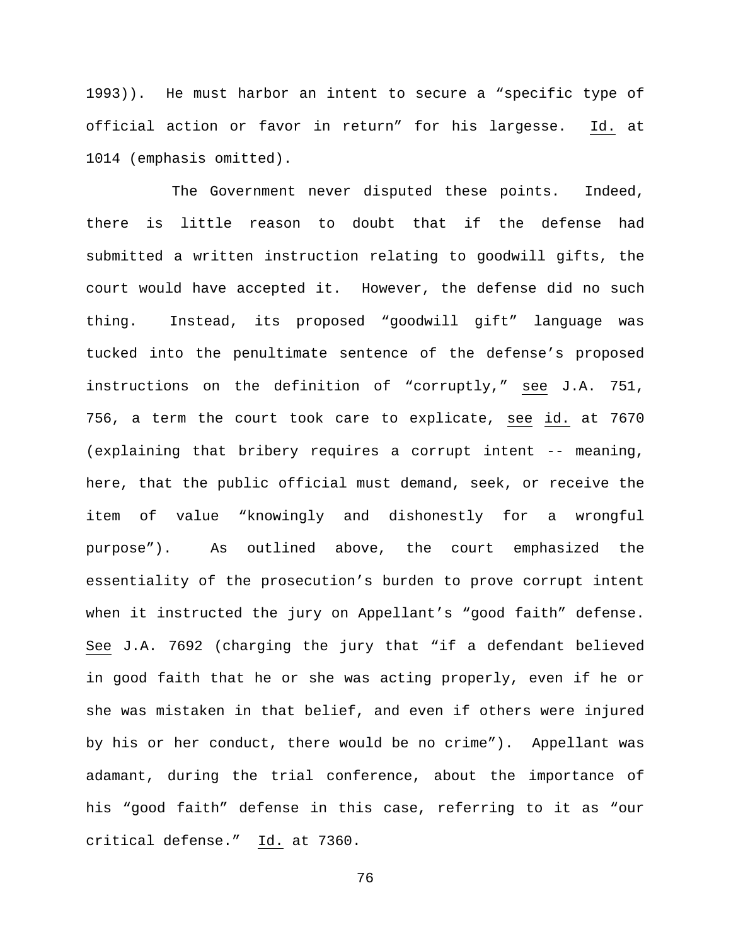1993)). He must harbor an intent to secure a "specific type of official action or favor in return" for his largesse. Id. at 1014 (emphasis omitted).

The Government never disputed these points. Indeed, there is little reason to doubt that if the defense had submitted a written instruction relating to goodwill gifts, the court would have accepted it. However, the defense did no such thing. Instead, its proposed "goodwill gift" language was tucked into the penultimate sentence of the defense's proposed instructions on the definition of "corruptly," see J.A. 751, 756, a term the court took care to explicate, see id. at 7670 (explaining that bribery requires a corrupt intent -- meaning, here, that the public official must demand, seek, or receive the item of value "knowingly and dishonestly for a wrongful purpose"). As outlined above, the court emphasized the essentiality of the prosecution's burden to prove corrupt intent when it instructed the jury on Appellant's "good faith" defense. See J.A. 7692 (charging the jury that "if a defendant believed in good faith that he or she was acting properly, even if he or she was mistaken in that belief, and even if others were injured by his or her conduct, there would be no crime"). Appellant was adamant, during the trial conference, about the importance of his "good faith" defense in this case, referring to it as "our critical defense." Id. at 7360.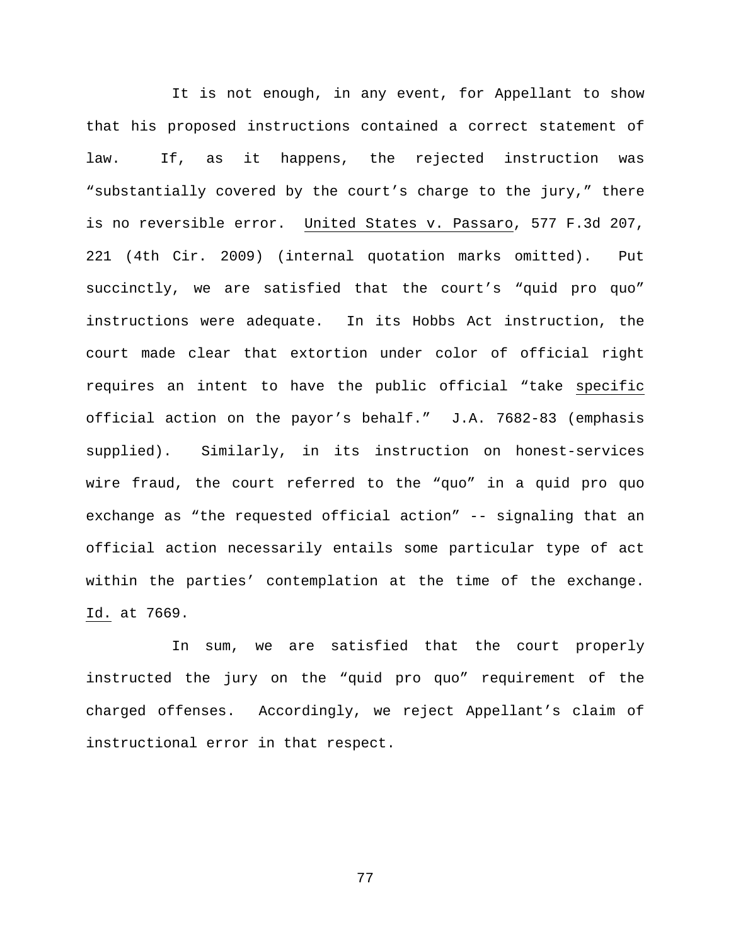It is not enough, in any event, for Appellant to show that his proposed instructions contained a correct statement of law. If, as it happens, the rejected instruction was "substantially covered by the court's charge to the jury," there is no reversible error. United States v. Passaro, 577 F.3d 207, 221 (4th Cir. 2009) (internal quotation marks omitted). Put succinctly, we are satisfied that the court's "quid pro quo" instructions were adequate. In its Hobbs Act instruction, the court made clear that extortion under color of official right requires an intent to have the public official "take specific official action on the payor's behalf." J.A. 7682-83 (emphasis supplied). Similarly, in its instruction on honest-services wire fraud, the court referred to the "quo" in a quid pro quo exchange as "the requested official action" -- signaling that an official action necessarily entails some particular type of act within the parties' contemplation at the time of the exchange. Id. at 7669.

In sum, we are satisfied that the court properly instructed the jury on the "quid pro quo" requirement of the charged offenses. Accordingly, we reject Appellant's claim of instructional error in that respect.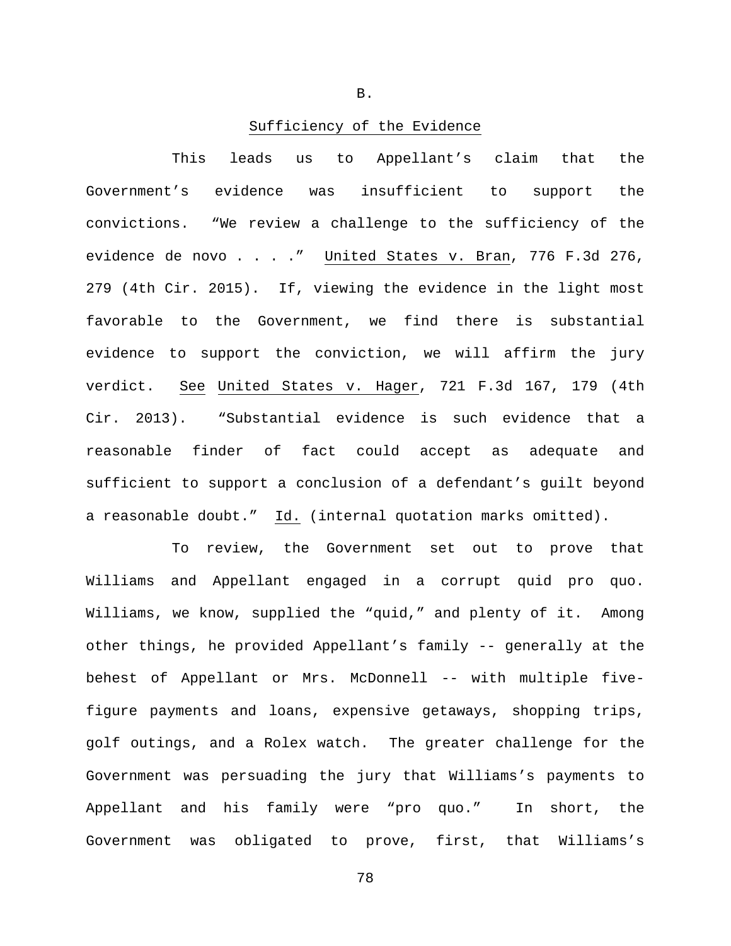B.

## Sufficiency of the Evidence

This leads us to Appellant's claim that the Government's evidence was insufficient to support the convictions. "We review a challenge to the sufficiency of the evidence de novo . . . ." United States v. Bran, 776 F.3d 276, 279 (4th Cir. 2015). If, viewing the evidence in the light most favorable to the Government, we find there is substantial evidence to support the conviction, we will affirm the jury verdict. See United States v. Hager, 721 F.3d 167, 179 (4th Cir. 2013). "Substantial evidence is such evidence that a reasonable finder of fact could accept as adequate and sufficient to support a conclusion of a defendant's guilt beyond a reasonable doubt." Id. (internal quotation marks omitted).

To review, the Government set out to prove that Williams and Appellant engaged in a corrupt quid pro quo. Williams, we know, supplied the "quid," and plenty of it. Among other things, he provided Appellant's family -- generally at the behest of Appellant or Mrs. McDonnell -- with multiple fivefigure payments and loans, expensive getaways, shopping trips, golf outings, and a Rolex watch. The greater challenge for the Government was persuading the jury that Williams's payments to Appellant and his family were "pro quo." In short, the Government was obligated to prove, first, that Williams's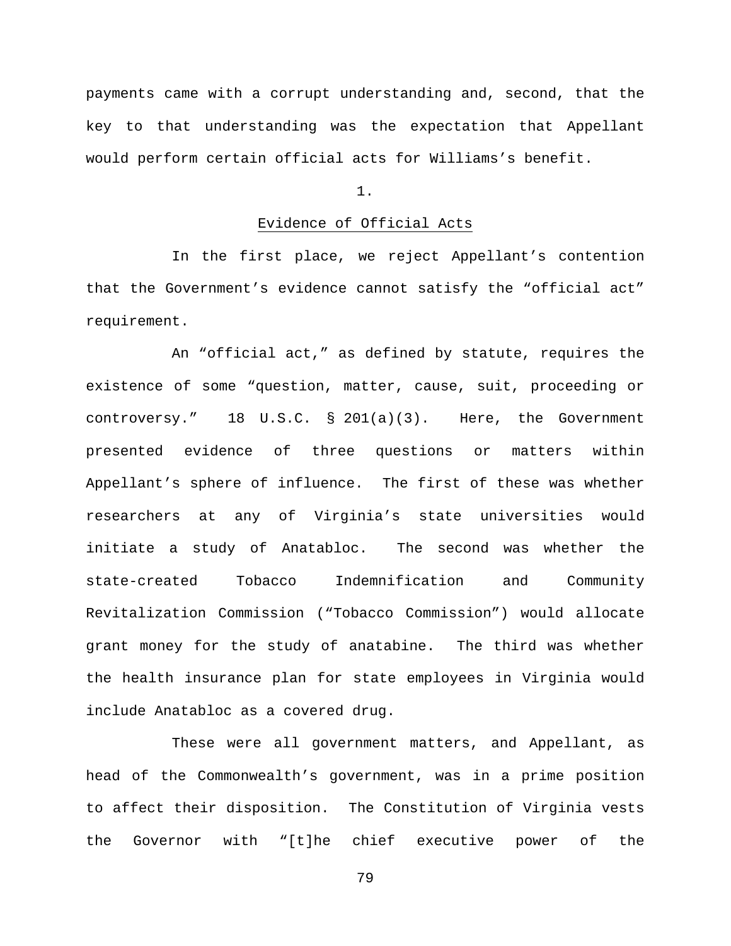payments came with a corrupt understanding and, second, that the key to that understanding was the expectation that Appellant would perform certain official acts for Williams's benefit.

1.

# Evidence of Official Acts

In the first place, we reject Appellant's contention that the Government's evidence cannot satisfy the "official act" requirement.

An "official act," as defined by statute, requires the existence of some "question, matter, cause, suit, proceeding or controversy." 18 U.S.C. § 201(a)(3). Here, the Government presented evidence of three questions or matters within Appellant's sphere of influence. The first of these was whether researchers at any of Virginia's state universities would initiate a study of Anatabloc. The second was whether the state-created Tobacco Indemnification and Community Revitalization Commission ("Tobacco Commission") would allocate grant money for the study of anatabine. The third was whether the health insurance plan for state employees in Virginia would include Anatabloc as a covered drug.

These were all government matters, and Appellant, as head of the Commonwealth's government, was in a prime position to affect their disposition. The Constitution of Virginia vests the Governor with "[t]he chief executive power of the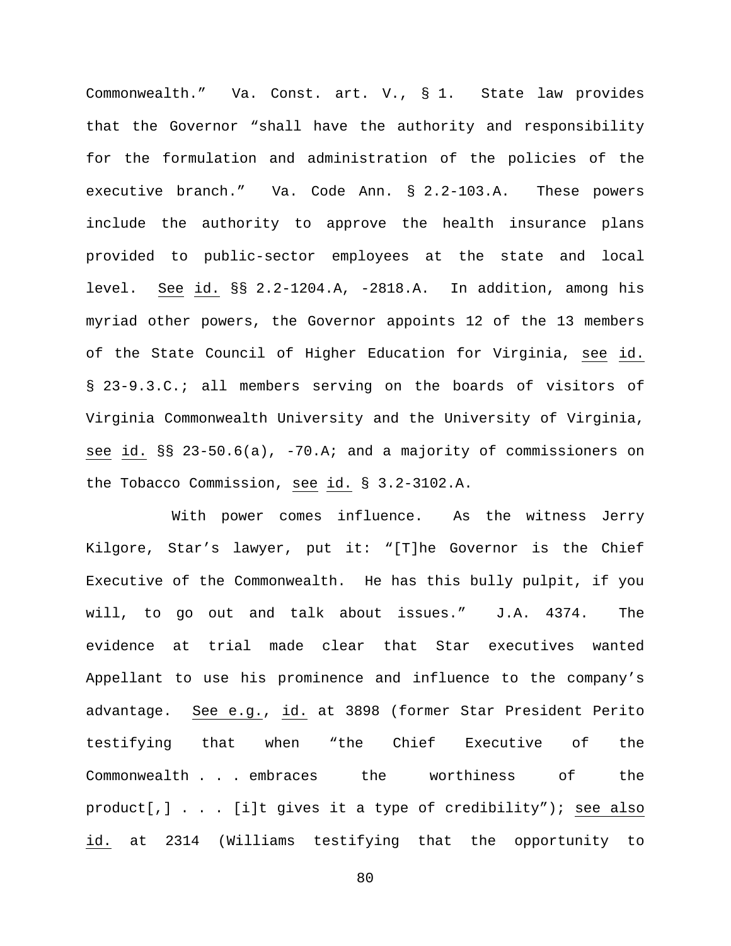Commonwealth." Va. Const. art. V., § 1. State law provides that the Governor "shall have the authority and responsibility for the formulation and administration of the policies of the executive branch." Va. Code Ann. § 2.2-103.A. These powers include the authority to approve the health insurance plans provided to public-sector employees at the state and local level. See id. §§ 2.2-1204.A, -2818.A. In addition, among his myriad other powers, the Governor appoints 12 of the 13 members of the State Council of Higher Education for Virginia, see id. § 23-9.3.C.; all members serving on the boards of visitors of Virginia Commonwealth University and the University of Virginia, see id. §§ 23-50.6(a), -70.A; and a majority of commissioners on the Tobacco Commission, see id. § 3.2-3102.A.

With power comes influence. As the witness Jerry Kilgore, Star's lawyer, put it: "[T]he Governor is the Chief Executive of the Commonwealth. He has this bully pulpit, if you will, to go out and talk about issues." J.A. 4374. The evidence at trial made clear that Star executives wanted Appellant to use his prominence and influence to the company's advantage. See e.g., id. at 3898 (former Star President Perito testifying that when "the Chief Executive of the Commonwealth . . . embraces the worthiness of the product[,] . . . [i]t gives it a type of credibility"); see also id. at 2314 (Williams testifying that the opportunity to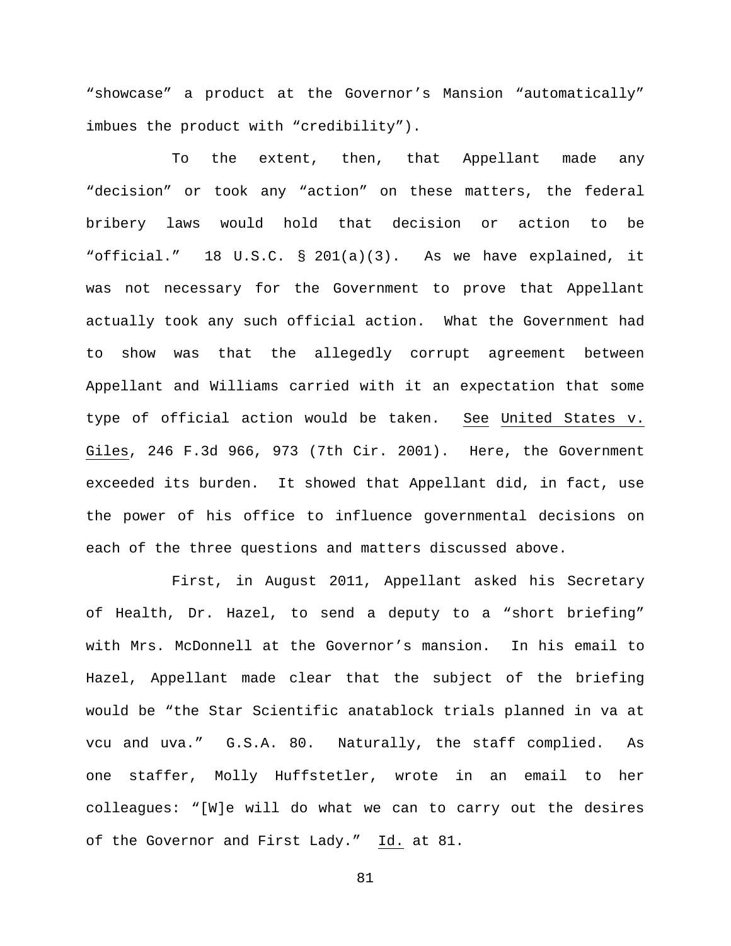"showcase" a product at the Governor's Mansion "automatically" imbues the product with "credibility").

To the extent, then, that Appellant made any "decision" or took any "action" on these matters, the federal bribery laws would hold that decision or action to be "official." 18 U.S.C. § 201(a)(3). As we have explained, it was not necessary for the Government to prove that Appellant actually took any such official action. What the Government had to show was that the allegedly corrupt agreement between Appellant and Williams carried with it an expectation that some type of official action would be taken. See United States v. Giles, 246 F.3d 966, 973 (7th Cir. 2001). Here, the Government exceeded its burden. It showed that Appellant did, in fact, use the power of his office to influence governmental decisions on each of the three questions and matters discussed above.

First, in August 2011, Appellant asked his Secretary of Health, Dr. Hazel, to send a deputy to a "short briefing" with Mrs. McDonnell at the Governor's mansion. In his email to Hazel, Appellant made clear that the subject of the briefing would be "the Star Scientific anatablock trials planned in va at vcu and uva." G.S.A. 80. Naturally, the staff complied. As one staffer, Molly Huffstetler, wrote in an email to her colleagues: "[W]e will do what we can to carry out the desires of the Governor and First Lady." Id. at 81.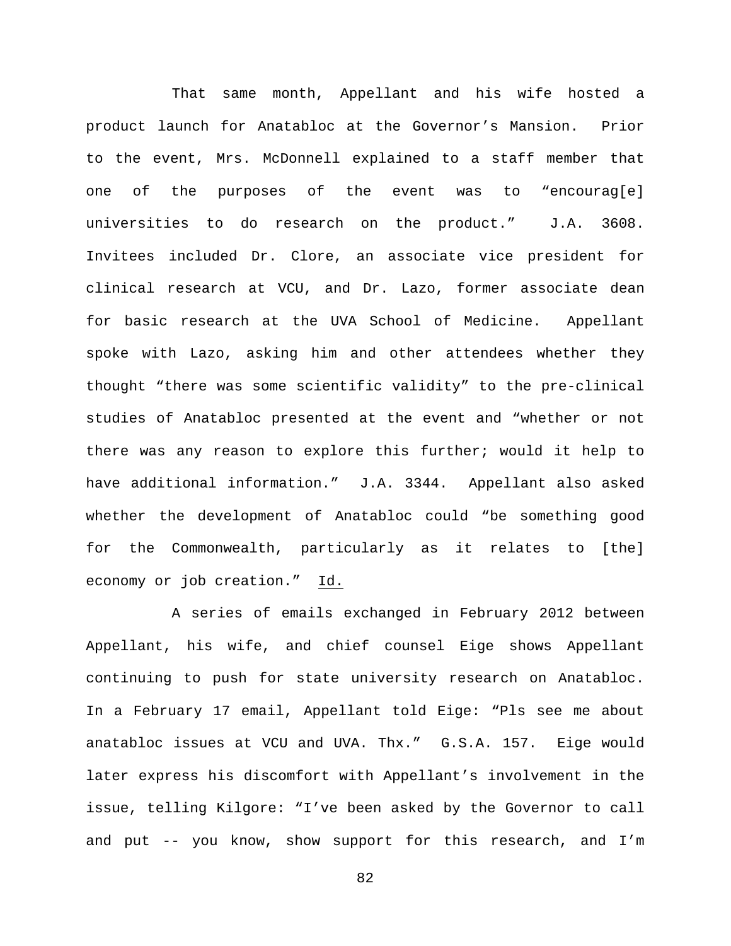That same month, Appellant and his wife hosted a product launch for Anatabloc at the Governor's Mansion. Prior to the event, Mrs. McDonnell explained to a staff member that one of the purposes of the event was to "encourag[e] universities to do research on the product." J.A. 3608. Invitees included Dr. Clore, an associate vice president for clinical research at VCU, and Dr. Lazo, former associate dean for basic research at the UVA School of Medicine. Appellant spoke with Lazo, asking him and other attendees whether they thought "there was some scientific validity" to the pre-clinical studies of Anatabloc presented at the event and "whether or not there was any reason to explore this further; would it help to have additional information." J.A. 3344. Appellant also asked whether the development of Anatabloc could "be something good for the Commonwealth, particularly as it relates to [the] economy or job creation." Id.

A series of emails exchanged in February 2012 between Appellant, his wife, and chief counsel Eige shows Appellant continuing to push for state university research on Anatabloc. In a February 17 email, Appellant told Eige: "Pls see me about anatabloc issues at VCU and UVA. Thx." G.S.A. 157. Eige would later express his discomfort with Appellant's involvement in the issue, telling Kilgore: "I've been asked by the Governor to call and put -- you know, show support for this research, and I'm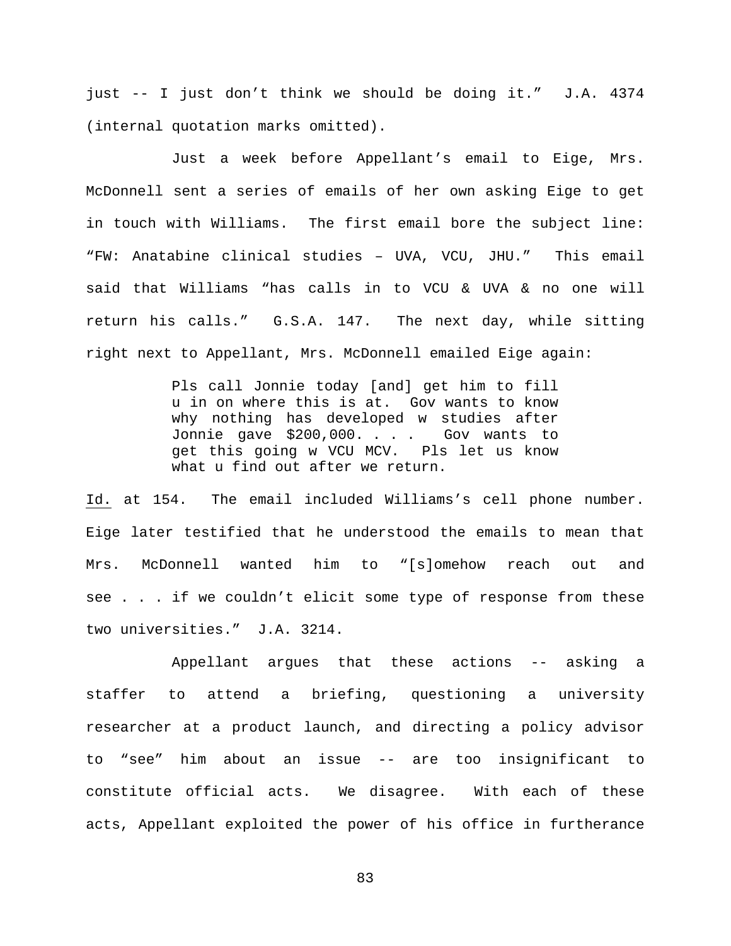just -- I just don't think we should be doing it." J.A. 4374 (internal quotation marks omitted).

Just a week before Appellant's email to Eige, Mrs. McDonnell sent a series of emails of her own asking Eige to get in touch with Williams. The first email bore the subject line: "FW: Anatabine clinical studies – UVA, VCU, JHU." This email said that Williams "has calls in to VCU & UVA & no one will return his calls." G.S.A. 147. The next day, while sitting right next to Appellant, Mrs. McDonnell emailed Eige again:

> Pls call Jonnie today [and] get him to fill u in on where this is at. Gov wants to know why nothing has developed w studies after Jonnie gave \$200,000. . . . Gov wants to get this going w VCU MCV. Pls let us know what u find out after we return.

Id. at 154. The email included Williams's cell phone number. Eige later testified that he understood the emails to mean that Mrs. McDonnell wanted him to "[s]omehow reach out and see . . . if we couldn't elicit some type of response from these two universities." J.A. 3214.

Appellant argues that these actions -- asking a staffer to attend a briefing, questioning a university researcher at a product launch, and directing a policy advisor to "see" him about an issue -- are too insignificant to constitute official acts. We disagree. With each of these acts, Appellant exploited the power of his office in furtherance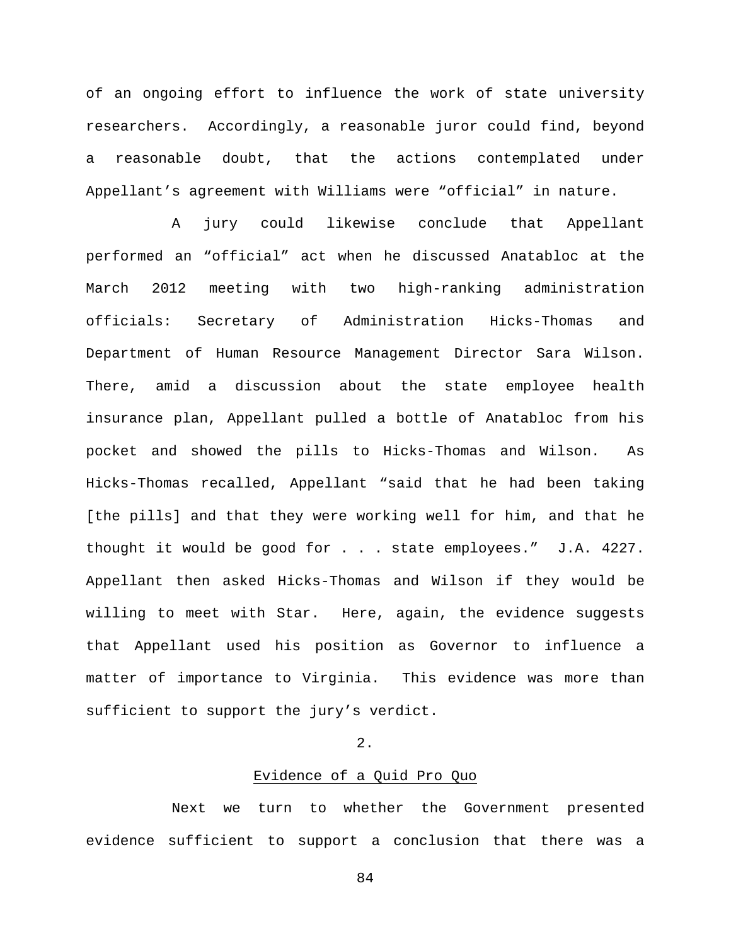of an ongoing effort to influence the work of state university researchers. Accordingly, a reasonable juror could find, beyond a reasonable doubt, that the actions contemplated under Appellant's agreement with Williams were "official" in nature.

A jury could likewise conclude that Appellant performed an "official" act when he discussed Anatabloc at the March 2012 meeting with two high-ranking administration officials: Secretary of Administration Hicks-Thomas and Department of Human Resource Management Director Sara Wilson. There, amid a discussion about the state employee health insurance plan, Appellant pulled a bottle of Anatabloc from his pocket and showed the pills to Hicks-Thomas and Wilson. As Hicks-Thomas recalled, Appellant "said that he had been taking [the pills] and that they were working well for him, and that he thought it would be good for . . . state employees." J.A. 4227. Appellant then asked Hicks-Thomas and Wilson if they would be willing to meet with Star. Here, again, the evidence suggests that Appellant used his position as Governor to influence a matter of importance to Virginia. This evidence was more than sufficient to support the jury's verdict.

# 2.

# Evidence of a Quid Pro Quo

Next we turn to whether the Government presented evidence sufficient to support a conclusion that there was a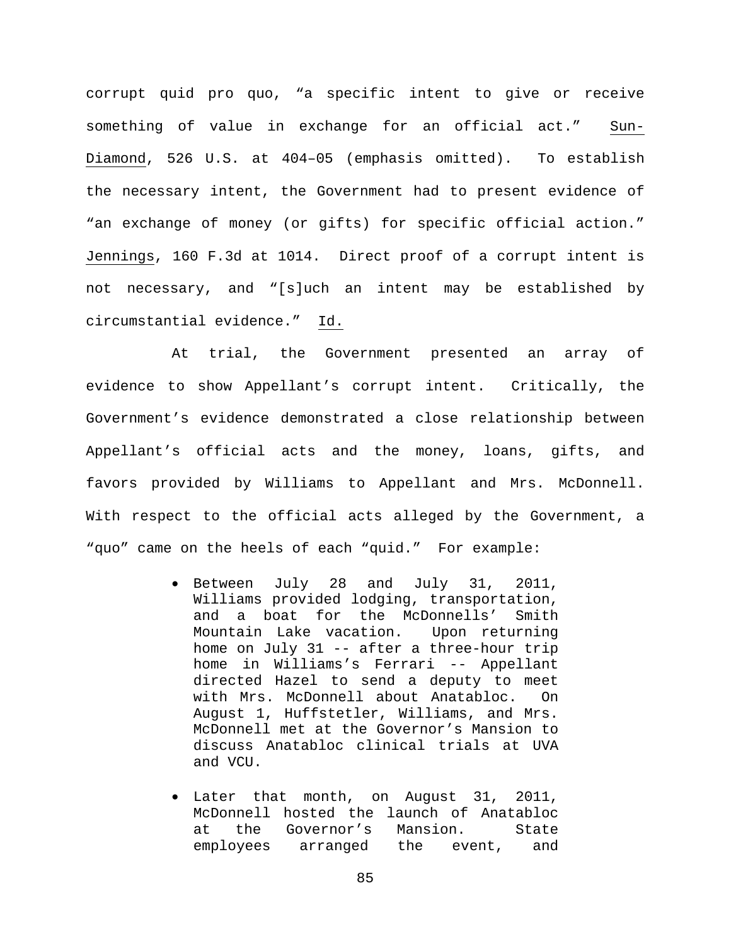corrupt quid pro quo, "a specific intent to give or receive something of value in exchange for an official act." Sun-Diamond, 526 U.S. at 404–05 (emphasis omitted). To establish the necessary intent, the Government had to present evidence of "an exchange of money (or gifts) for specific official action." Jennings, 160 F.3d at 1014. Direct proof of a corrupt intent is not necessary, and "[s]uch an intent may be established by circumstantial evidence." Id.

At trial, the Government presented an array of evidence to show Appellant's corrupt intent. Critically, the Government's evidence demonstrated a close relationship between Appellant's official acts and the money, loans, gifts, and favors provided by Williams to Appellant and Mrs. McDonnell. With respect to the official acts alleged by the Government, a "quo" came on the heels of each "quid." For example:

- Between July 28 and July 31, 2011, Williams provided lodging, transportation, and a boat for the McDonnells' Smith Mountain Lake vacation. Upon returning home on July 31 -- after a three-hour trip home in Williams's Ferrari -- Appellant directed Hazel to send a deputy to meet with Mrs. McDonnell about Anatabloc. On August 1, Huffstetler, Williams, and Mrs. McDonnell met at the Governor's Mansion to discuss Anatabloc clinical trials at UVA and VCU.
- Later that month, on August 31, 2011, McDonnell hosted the launch of Anatabloc at the Governor's Mansion. State<br>employees arranged the event, and arranged the event, and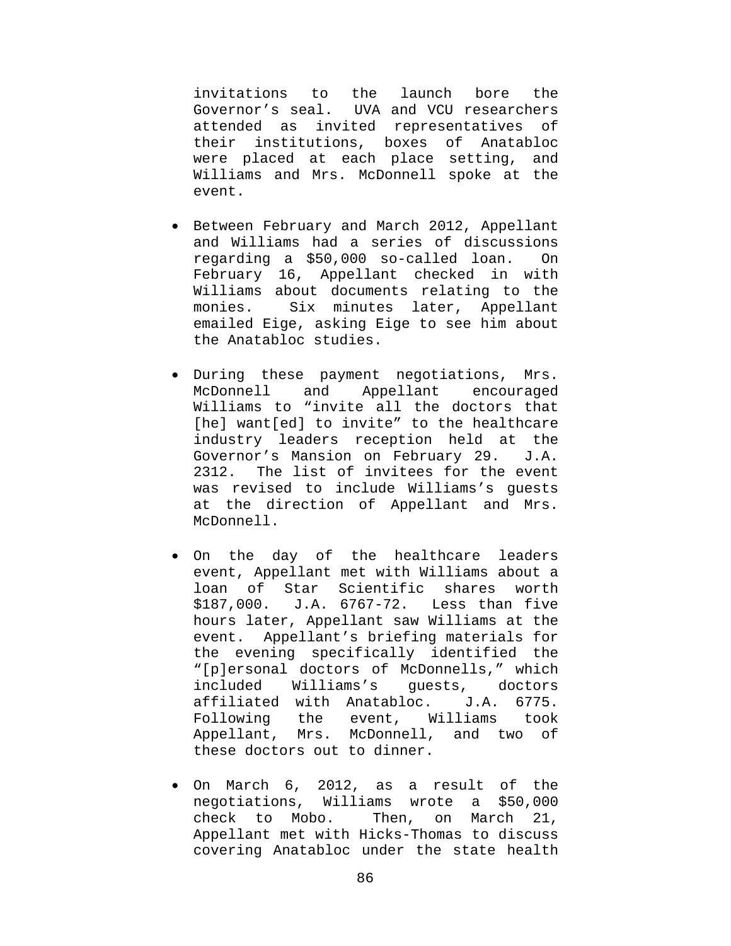invitations to the launch bore the Governor's seal. UVA and VCU researchers attended as invited representatives of their institutions, boxes of Anatabloc were placed at each place setting, and Williams and Mrs. McDonnell spoke at the event.

- Between February and March 2012, Appellant and Williams had a series of discussions regarding a \$50,000 so-called loan. On February 16, Appellant checked in with Williams about documents relating to the<br>monies. Six minutes later, Appellant Six minutes later, Appellant emailed Eige, asking Eige to see him about the Anatabloc studies.
- During these payment negotiations, Mrs. McDonnell and Appellant encouraged Williams to "invite all the doctors that [he] want[ed] to invite" to the healthcare industry leaders reception held at the Governor's Mansion on February 29. J.A. 2312. The list of invitees for the event was revised to include Williams's guests at the direction of Appellant and Mrs. McDonnell.
- On the day of the healthcare leaders event, Appellant met with Williams about a loan of Star Scientific shares worth \$187,000. J.A. 6767-72. Less than five hours later, Appellant saw Williams at the event. Appellant's briefing materials for the evening specifically identified the "[p]ersonal doctors of McDonnells," which included Williams's guests, doctors affiliated with Anatabloc. J.A. 6775. Following the event, Williams took Appellant, Mrs. McDonnell, and two of these doctors out to dinner.
- On March 6, 2012, as a result of the negotiations, Williams wrote a \$50,000<br>check to Mobo. Then, on March 21, Then, on March 21, Appellant met with Hicks-Thomas to discuss covering Anatabloc under the state health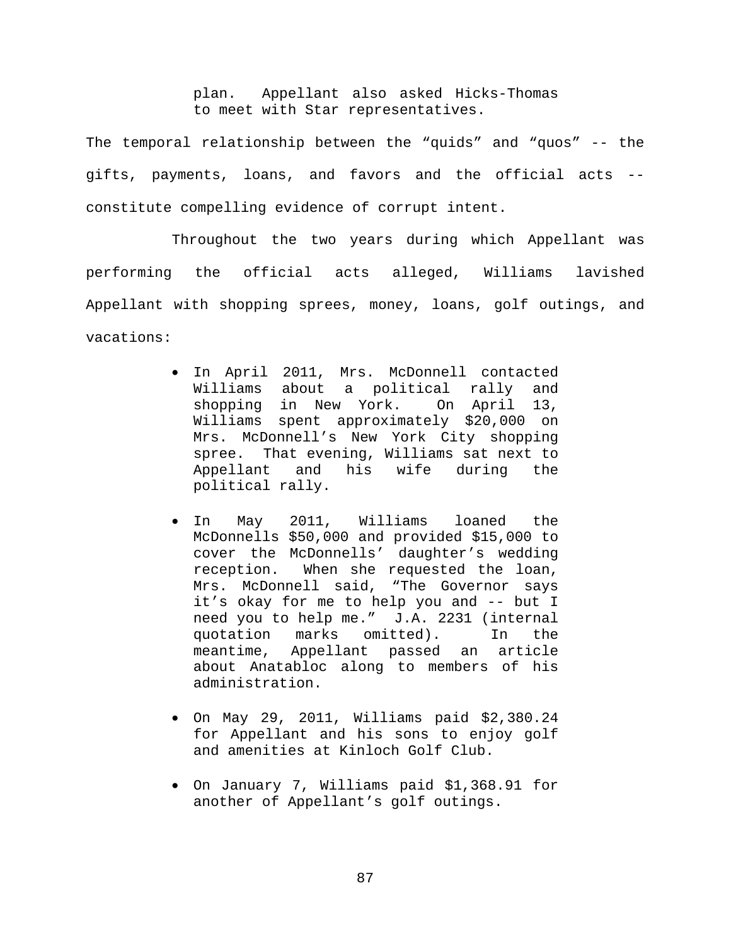plan. Appellant also asked Hicks-Thomas to meet with Star representatives.

The temporal relationship between the "quids" and "quos" -- the gifts, payments, loans, and favors and the official acts - constitute compelling evidence of corrupt intent.

Throughout the two years during which Appellant was performing the official acts alleged, Williams lavished Appellant with shopping sprees, money, loans, golf outings, and vacations:

- In April 2011, Mrs. McDonnell contacted Williams about a political rally and<br>shopping in New York. On April 13, shopping in New York. Williams spent approximately \$20,000 on Mrs. McDonnell's New York City shopping spree. That evening, Williams sat next to Appellant and his wife during the political rally.
- In May 2011, Williams loaned the McDonnells \$50,000 and provided \$15,000 to cover the McDonnells' daughter's wedding reception. When she requested the loan, Mrs. McDonnell said, "The Governor says it's okay for me to help you and -- but I need you to help me." J.A. 2231 (internal quotation marks omitted). In the meantime, Appellant passed an article about Anatabloc along to members of his administration.
- On May 29, 2011, Williams paid \$2,380.24 for Appellant and his sons to enjoy golf and amenities at Kinloch Golf Club.
- On January 7, Williams paid \$1,368.91 for another of Appellant's golf outings.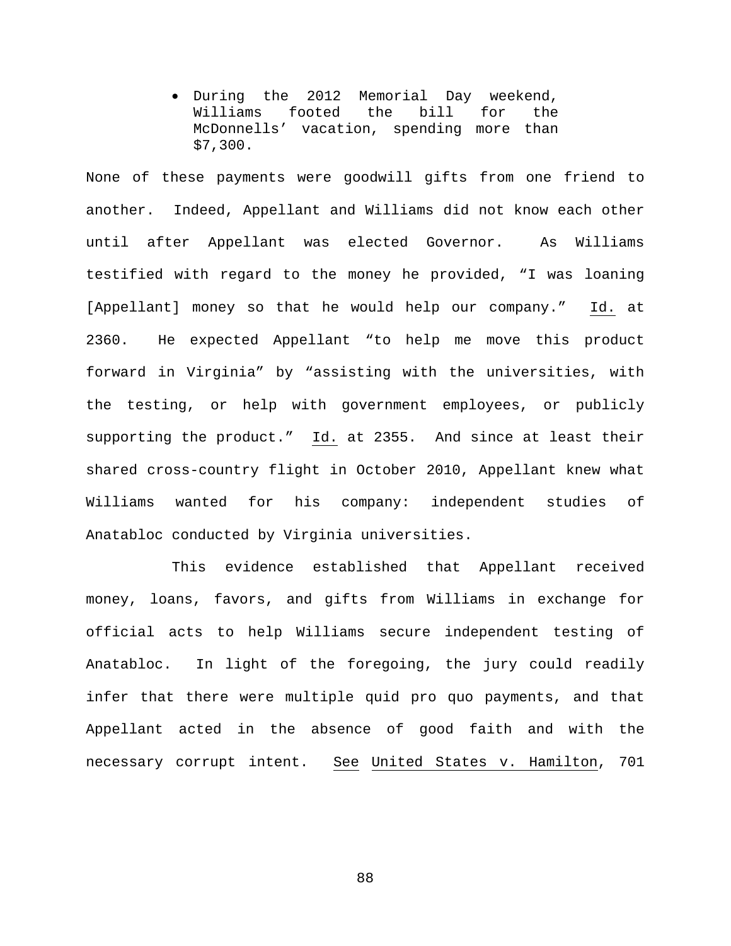• During the 2012 Memorial Day weekend, Williams footed the bill for the McDonnells' vacation, spending more than \$7,300.

None of these payments were goodwill gifts from one friend to another. Indeed, Appellant and Williams did not know each other until after Appellant was elected Governor. As Williams testified with regard to the money he provided, "I was loaning [Appellant] money so that he would help our company." Id. at 2360. He expected Appellant "to help me move this product forward in Virginia" by "assisting with the universities, with the testing, or help with government employees, or publicly supporting the product." Id. at 2355. And since at least their shared cross-country flight in October 2010, Appellant knew what Williams wanted for his company: independent studies of Anatabloc conducted by Virginia universities.

This evidence established that Appellant received money, loans, favors, and gifts from Williams in exchange for official acts to help Williams secure independent testing of Anatabloc. In light of the foregoing, the jury could readily infer that there were multiple quid pro quo payments, and that Appellant acted in the absence of good faith and with the necessary corrupt intent. See United States v. Hamilton, 701